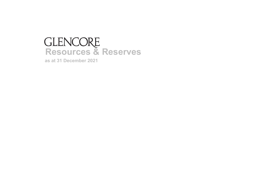# **Resources & Reserves**

**as at 31 December 2021**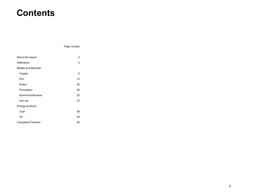# **Contents**

Page number

| About this report        | 3  |
|--------------------------|----|
| Definitions              | 5  |
| Metals and Minerals:     |    |
| Copper                   | 6  |
| Zinc                     | 14 |
| <b>Nickel</b>            | 26 |
| Ferroalloys              | 28 |
| Aluminium/Alumina        | 32 |
| Iron ore                 | 33 |
| Energy products          |    |
| Coal                     | 36 |
| Oil                      | 45 |
| <b>Competent Persons</b> | 46 |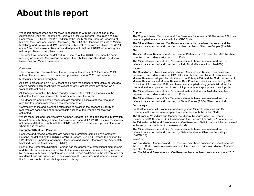# **About this report**

We report our resources and reserves in accordance with the 2012 edition of the Australasian Code for Reporting of Exploration Results, Mineral Resources and Ore Reserves (JORC Code), the 2016 edition of the South African Code for Reporting of Mineral Resources and Mineral Reserves (SAMREC), the Canadian Institute of Mining, Metallurgy and Petroleum (CIM) Standards on Mineral Resources and Reserves (2014 edition) and the Petroleum Resources Management System (PRMS) for reporting oil and natural gas Reserves and Resources.

The term 'Ore Reserves', as defined in Clause 28 of the JORC Code, has the same meaning as 'Mineral Reserves' as defined in the CIM Definition Standards for Mineral Resources and Mineral Reserves.

#### **Overview**

The resource and reserve data in the following tables are as at 31 December 2021, unless otherwise noted. For comparison purposes, data for 2020 has been included.

Metric units are used throughout.

All data is presented on a 100% asset basis, with the Glencore attributable percentage shown against each asset, with the exception of Oil assets which are shown on a working interest basis.

All tonnage information has been rounded to reflect the relative uncertainty in the estimates; there may therefore be small differences in the totals.

The Measured and Indicated resources are reported inclusive of those resources modified to produce reserves, unless otherwise noted.

Commodity prices and exchange rates used to establish the economic viability of reserves are based on long-term forecasts applied at the time the reserve was estimated.

Where resources and reserves have not been updated, on the basis that the information has not materially changed since it was reported under JORC 2004, this information has not been updated to comply with the JORC code 2012. Reference is given in the report where this is the case.

#### **Competent/Qualified Persons**

Resource and reserve estimates are based on information compiled by Competent Persons (as defined by the JORC, SAMREC Codes), Qualified Persons (as defined by CIM Definition Standards for Mineral Resources and Mineral Reserves) and Adequately Qualified Persons (as defined by PRMS).

Each of the Competent/Qualified Persons has the appropriate professional membership and the relevant experience in relation to the resources and/or reserves being reported by them to qualify as a Competent or Qualified Person as defined in the relevant code or standard. Each has consented to the inclusion of their resource and reserve estimates in the form and context in which it appears in this report.

#### **Copper**

The Copper Mineral Resources and Ore Reserves Statement at 31 December 2021 has been compiled in accordance with the JORC Code.

The Mineral Resources and Ore Reserves statements have been reviewed and the relevant data extracted and compiled by Mark Jamieson, Glencore Copper (AusIMM).

#### **Zinc**

The Zinc Mineral Resource and Ore Reserve Statement at 31 December 2021 has been compiled in accordance with the JORC Code.

The Mineral Resource and Ore Reserve statements have been reviewed and the relevant data extracted and compiled by Jody Todd, Glencore Zinc (AusIMM).

#### **Nickel**

The Canadian and New Caledonian Mineral Resource and Reserve estimates are prepared in accordance with the CIM Definition Standards on Mineral Resources and Mineral Reserves, adopted by CIM Council on 10 May 2014, and the CIM Estimation of Mineral Resources and Mineral Reserves Best Practice Guidelines, adopted by CIM Council on 29 November 2019, and have been compiled using geo-statistical and/or classical methods, plus economic and mining parameters appropriate to each project.

The Mineral Resource and Ore Reserve estimates at Murrin in Australia have been prepared in accordance with the JORC Code.

The Mineral Resource and Ore Reserve statements have been reviewed and the relevant data extracted and compiled by Steve Kormos (PGO), Glencore Nickel.

#### **Ferroalloys**

South African chromite, vanadium and manganese Mineral Resources and Ore Reserves in this report were prepared in accordance with the JORC Code.

The Chromite, Vanadium and Manganese Mineral Resource and Ore Reserve Statement at 31 December 2021 is based on the Glencore Ferroalloys "Procedure for the Estimation of Mineral Resources and Ore Reserves". Definitions of all the terms used in this report can be found in the relevant code.

The Mineral Resource and Ore Reserve statements have been reviewed and the relevant data extracted and compiled by Pieter-Jan Gräbe, Glencore Ferroalloys (SACNASP).

#### **Iron Ore**

Iron ore Mineral Resources and Ore Reserves have been compiled in accordance with the JORC Code, unless otherwise stated in the notes for a particular Mineral Resource and Ore Reserve.

Iron Ore Mineral Resources and Ore Reserves have not been re-estimated since 2015.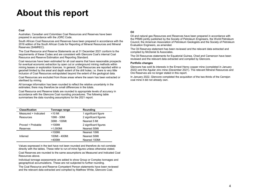# **About this report**

#### **Coal**

Australian, Canadian and Colombian Coal Resources and Reserves have been prepared in accordance with the JORC Code.

South African Coal Resources and Reserves have been prepared in accordance with the 2016 edition of the South African Code for Reporting of Mineral Resources and Mineral Reserves (SAMREC).

The Coal Resource and Reserve Statements as at 31 December 2021 conform to the requirements of these Codes and are consistent with Glencore Coal's internal Coal Resource and Reserve Estimation and Reporting Standard.

Coal resources have been estimated for all coal seams that have reasonable prospects for eventual economic extraction by open cut or underground mining methods within mining leases or exploration licences. In general, Coal Resources are reported within a geoshell limited by the areal and depth extent of the drill holes; i.e. there is very little inclusion of Coal Resources extrapolated beyond the extent of the geological data.

Coal Resources are excluded from those areas where the seam has been extracted or sterilised by mining.

All tonnage information has been rounded to reflect the relative uncertainty in the estimates; there may therefore be small differences in the totals.

Coal Resource and Reserve totals are rounded to appropriate levels of accuracy in accordance with the Glencore Coal rounding procedures. The following table summarises the data rounding assumptions for the 2021 report.

| <b>Classification</b> | Tonnage range | Rounding              |
|-----------------------|---------------|-----------------------|
| Measured + Indicated  | $<$ 10 Mt     | 1 significant figure  |
| Resources             | 10Mt - 30Mt   | 2 significant figures |
|                       | 30Mt - 100Mt  | Nearest 5 Mt          |
| Proved + Probable     | $>100$ Mt     | 2 significant figures |
| Reserves              | >1,000Mt      | Nearest 50Mt          |
|                       | $<$ 100Mt     | Nearest 10Mt          |
| Inferred              | 100Mt - 400Mt | Nearest 50Mt          |
|                       | >400Mt        | Nearest 100Mt         |

Values expressed in the text have not been rounded and therefore do not correlate directly with the tables. These refer to run-of-mine figures unless otherwise stated.

Coal Reserves are rounded to the same assumptions as Measured and Indicated Coal Resources above.

Individual tonnage assessments are added to show Group or Complex tonnages and geographical accumulations. These are not subjected to further rounding.

The Coal Resource and Reserve Competent Person statements have been reviewed and the relevant data extracted and compiled by Matthew White, Glencore Coal.

#### **Oil**

Oil and natural gas Resources and Reserves have been prepared in accordance with the PRMS jointly published by the Society of Petroleum Engineers, the World Petroleum Council, the American Association of Petroleum Geologists and the Society of Petroleum Evaluation Engineers, as amended.

The Oil Reserves statement has been reviewed and the relevant data extracted and compiled by McDaniel & Associates.

The Oil Resources statements for Equatorial Guinea, Chad and Cameroon have been reviewed and the relevant data extracted and compiled by Glencore.

#### **Portfolio changes**

Glencore has sold its interests in the Ernest Henry copper mine (completed in January 2022) and the Aguilar zinc mine (December 2021). The relevant Mineral Resources and Ore Reserves are no longer stated in this report.

In January 2022, Glencore completed the acquisition of the two-thirds of the Cerrejon coal mine it did not already own.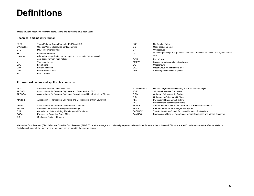# **Definitions**

Throughout this report, the following abbreviations and definitions have been used:

#### **Technical and industry terms:**

| 3PGE           | Three Platinum Group Elements (Pt, Pd and Rh)                                                      | <b>NSR</b>      | Net Smelter Return                                                                             |
|----------------|----------------------------------------------------------------------------------------------------|-----------------|------------------------------------------------------------------------------------------------|
| CV (kcal/kg)   | Calorific Value, kilocalories per kilogramme                                                       | <b>OC</b>       | Open cast or Open cut                                                                          |
| <b>DTC</b>     | Davis Tube Concentrate                                                                             | 0R              | Ore reserves                                                                                   |
| EL<br>Geoshell | <b>Exploration licence</b><br>A broad envelope limited by the depth and areal extent of geological | QQ              | Quantile quantile plot, a geostatistical method to assess modelled data against actual<br>data |
|                | data points (primarily drill holes)                                                                | <b>ROM</b>      | Run of mine                                                                                    |
| kt             | Thousand tonnes                                                                                    | SX/EW           | Solvent extraction and electrowinning                                                          |
| <b>LOM</b>     | Life of mine                                                                                       | UG              | Underground                                                                                    |
| <b>LOX</b>     | Limit of oxidation                                                                                 | UG <sub>2</sub> | Upper Group No2 chromitite layer                                                               |
| LOZ            | Lower oxidised zone                                                                                | <b>VMS</b>      | Volcanogenic Massive Sulphide                                                                  |
| Mt             | Million tonnes                                                                                     |                 |                                                                                                |

#### **Professional bodies and applicable standards:**

| AIG         | Australian Institute of Geoscientists                                         | ICOG-EurGeol   | Ilustre Colegio Oficial de Geólogos - European Geologist                   |
|-------------|-------------------------------------------------------------------------------|----------------|----------------------------------------------------------------------------|
| APEGBC      | Association of Professional Engineers and Geoscientists of BC                 | <b>JORC</b>    | Joint Ore Reserves Committee                                               |
| APEGGA      | Association of Professional Engineers Geologists and Geophysicists of Alberta | OGQ            | Ordre des Géologues du Québec                                              |
|             |                                                                               | <b>OIQ</b>     | Ordre des Ingénieurs du Québec                                             |
| APEGNB      | Association of Professional Engineers and Geoscientists of New Brunswick      | <b>PEO</b>     | Professional Engineers of Ontario                                          |
|             |                                                                               | <b>PGO</b>     | Professional Geoscientists Ontario                                         |
| <b>APGO</b> | Association of Professional Geoscientists of Ontario                          | <b>PLATO</b>   | South African Council for Professional and Technical Surveyors             |
| AusIMM      | Australasian Institute of Mining and Metallurgy                               | <b>PRMS</b>    | Petroleum Resources Management System                                      |
| <b>CIM</b>  | Canadian Institute of Mining, Metallurgy and Petroleum                        | <b>SACNASP</b> | The South African Council for Natural Scientific Professions               |
| <b>ECSA</b> | Engineering Council of South Africa                                           | <b>SAMREC</b>  | South African Code for Reporting of Mineral Resources and Mineral Reserves |
| GSL         | Geological Society of London                                                  |                |                                                                            |

Marketable Coal Reserves (CIM/JORC) and Saleable Coal Reserves (SAMREC) are the tonnage and coal quality expected to be available for sale, either in the raw ROM state at specific moisture content or after beneficiation. Definitions of many of the terms used in this report can be found in the relevant codes.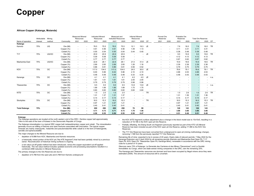#### **African Copper (Katanga, Mutanda)**

|                      | Attributable | Mining |            | <b>Measured Mineral</b><br>Resources |                          | <b>Indicated Mineral</b><br>Resources |       | Measured and<br><b>Indicated Resources</b> |       | <b>Inferred Mineral</b><br>Resources |      |           | Proved Ore<br>Reserves |                          | Probable Ore<br>Reserves |                          | <b>Total Ore Reserves</b> |      |           |
|----------------------|--------------|--------|------------|--------------------------------------|--------------------------|---------------------------------------|-------|--------------------------------------------|-------|--------------------------------------|------|-----------|------------------------|--------------------------|--------------------------|--------------------------|---------------------------|------|-----------|
| Name of operation    | interest     | method | Commodity  | 2021                                 | 2020                     | 2021                                  | 2020  | 2021                                       | 2020  | 2021                                 | 2020 | CP        | 2021                   | 2020                     | 2021                     | 2020                     | 2021                      | 2020 | CP        |
| Katanga              |              |        |            |                                      |                          |                                       |       |                                            |       |                                      |      |           |                        |                          |                          |                          |                           |      |           |
| Kamoto               | 75%          | UG     | Ore (Mt)   |                                      | $\overline{\phantom{a}}$ | 76.5                                  | 75.5  | 76.5                                       | 75.5  | 12.1                                 | 19.3 | JE.       |                        |                          | 7.6                      | 16.0                     | 7.6                       | 16.0 | <b>TR</b> |
|                      |              |        | Copper (%) |                                      | $\overline{\phantom{a}}$ | 4.61                                  | 4.56  | 4.61                                       | 4.56  | 1.49                                 | 1.13 |           |                        |                          | 3.11                     | 3.31                     | 3.11                      | 3.31 |           |
|                      |              |        | Cobalt (%) |                                      | $\overline{\phantom{a}}$ | 0.55                                  | 0.54  | 0.55                                       | 0.54  | 0.44                                 | 0.40 |           |                        |                          | 0.38                     | 0.48                     | 0.38                      | 0.48 |           |
| T <sub>17</sub>      | 75%          | UG/OC  | Ore (Mt)   | $\overline{\phantom{a}}$             | $\overline{\phantom{a}}$ | 20.9                                  | 20.9  | 20.9                                       | 20.9  |                                      |      | <b>JE</b> |                        |                          | 9.5                      | 10.6                     | 9.5                       | 10.6 | <b>TR</b> |
|                      |              |        | Copper (%) |                                      | $\overline{\phantom{a}}$ | 5.09                                  | 5.08  | 5.09                                       | 5.08  |                                      |      |           |                        |                          | 4.12                     | 4.13                     | 4.12                      | 4.13 |           |
|                      |              |        | Cobalt (%) |                                      | $\overline{\phantom{a}}$ | 0.77                                  | 0.77  | 0.77                                       | 0.77  | $\overline{\phantom{a}}$             |      |           |                        |                          | 0.67                     | 0.62                     | 0.67                      | 0.62 |           |
| Mashamba East        | 75%          | UG/OC  | Ore (Mt)   |                                      | $\overline{\phantom{a}}$ | 22.8                                  | 28.1  | 22.8                                       | 28.1  | 21.5                                 | 31.4 | <b>JE</b> |                        |                          | 15.9                     | 19.6                     | 15.9                      | 19.6 | <b>TR</b> |
|                      |              |        | Copper (%) |                                      | $\overline{\phantom{a}}$ | 2.69                                  | 2.65  | 2.69                                       | 2.65  | 1.26                                 | 1.16 |           |                        |                          | 2.39                     | 2.38                     | 2.39                      | 2.38 |           |
|                      |              |        | Cobalt (%) |                                      | $\overline{\phantom{a}}$ | 0.86                                  | 0.81  | 0.86                                       | 0.81  | 0.56                                 | 0.52 |           | $\sim$                 | $\overline{\phantom{a}}$ | 0.79                     | 0.75                     | 0.79                      | 0.75 |           |
| KOV                  | 75%          | OC     | Ore (Mt)   |                                      | $\sim$                   | 117.0                                 | 134.0 | 117.0                                      | 134.0 | 24.5                                 | 30.0 | JE        | $\sim$                 |                          | 76.6                     | 79.1                     | 76.6                      | 79.1 | <b>TR</b> |
|                      |              |        | Copper (%) |                                      | $\overline{\phantom{a}}$ | 6.00                                  | 5.96  | 6.02                                       | 5.96  | 2.10                                 | 2.10 |           |                        |                          | 4.88                     | 4.53                     | 4.88                      | 4.53 |           |
|                      |              |        | Cobalt (%) |                                      | $\overline{\phantom{a}}$ | 0.48                                  | 0.48  | 0.48                                       | 0.48  | 0.33                                 | 0.34 |           |                        |                          | 0.48                     | 0.43                     | 0.48                      | 0.43 |           |
| Kananga              | 75%          | OC     | Ore (Mt)   |                                      | $\overline{\phantom{a}}$ | 4.1                                   | 4.1   | 4.1                                        | 4.1   | 4.0                                  | 4.0  | <b>JE</b> |                        |                          |                          |                          |                           |      | n.a.      |
|                      |              |        | Copper (%) |                                      | $\overline{\phantom{a}}$ | 1.61                                  | 1.61  | 1.61                                       | 1.61  | 2.00                                 | 2.00 |           |                        |                          |                          |                          |                           |      |           |
|                      |              |        | Cobalt (%) | $\overline{\phantom{a}}$             | $\sim$                   | 0.79                                  | 0.79  | 0.79                                       | 0.79  | 0.98                                 | 0.98 |           |                        |                          |                          | $\overline{\phantom{a}}$ |                           |      |           |
| Tilwezembe           | 75%          | OC     | Ore (Mt)   |                                      | $\sim$                   | 9.5                                   | 9.5   | 9.5                                        | 9.5   | 13.8                                 | 13.8 | JE        |                        |                          |                          |                          |                           | ۰.   | n.a.      |
|                      |              |        | Copper (%) |                                      | $\overline{\phantom{a}}$ | 1.89                                  | 1.89  | 1.89                                       | 1.89  | 1.75                                 | 1.75 |           |                        |                          |                          |                          |                           |      |           |
|                      |              |        | Cobalt (%) |                                      | $\overline{\phantom{a}}$ | 0.60                                  | 0.60  | 0.60                                       | 0.60  | 0.60                                 | 0.60 |           |                        |                          |                          |                          |                           |      |           |
| <b>KITD</b>          | 75%          | OC     | Ore (Mt)   | $\overline{\phantom{a}}$             | $\sim$                   | 1.5                                   | 2.5   | 1.5                                        | 2.5   |                                      |      | <b>TR</b> |                        |                          | 1.5                      | 2.6                      | 1.5                       | 2.6  | <b>TR</b> |
|                      |              |        | Copper (%) |                                      | $\overline{\phantom{a}}$ | 1.31                                  | 1.37  | 1.31                                       | 1.37  |                                      |      |           |                        |                          | 1.31                     | 1.36                     | 1.31                      | 1.36 |           |
|                      |              |        | Cobalt (%) |                                      | $\overline{\phantom{a}}$ | 0.14                                  | 0.17  | 0.14                                       | 0.17  | $\overline{\phantom{a}}$             |      |           |                        | $\overline{\phantom{a}}$ | 0.14                     | 0.17                     | 0.14                      | 0.17 |           |
| Stockpiles           | 75%          | OC     | Ore (Mt)   |                                      | $\overline{\phantom{a}}$ | 16.5                                  | 15.3  | 16.5                                       | 15.3  | $\overline{\phantom{a}}$             |      | <b>TR</b> |                        |                          | 16.5                     | 15.3                     | 16.5                      | 15.3 | <b>TR</b> |
|                      |              |        | Copper (%) |                                      | $\overline{\phantom{a}}$ | 0.97                                  | 1.21  | 0.97                                       | 1.21  |                                      |      |           |                        |                          | 0.97                     | 1.21                     | 0.97                      | 1.21 |           |
|                      |              |        | Cobalt (%) |                                      | $\sim$                   | 0.40                                  | 0.41  | 0.40                                       | 0.41  |                                      |      |           | $\sim$                 |                          | 0.40                     | 0.41                     | 0.40                      | 0.41 |           |
| <b>Total Katanga</b> | 75%          |        | Ore (Mt)   | $\blacksquare$                       | $\sim$                   | 269                                   | 290   | 269                                        | 290   | 76                                   | 99   |           | $\blacksquare$         |                          | 128                      | 143                      | 128                       | 143  |           |
|                      |              |        | Copper (%) |                                      | $\overline{\phantom{a}}$ | 4.71                                  | 4.73  | 4.71                                       | 4.73  | 1.70                                 | 1.56 |           |                        |                          | 3.86                     | 3.66                     | 3.86                      | 3.66 |           |
|                      |              |        | Cobalt (%) |                                      |                          | 0.56                                  | 0.55  | 0.56                                       | 0.55  | 0.50                                 | 0.47 |           |                        |                          | 0.51                     | 0.49                     | 0.51                      | 0.49 |           |

#### **Katanga**

The Katanga operations are located at the north western end of the DRC / Zambia copper belt approximately 10km to the east of the town of Kolwezi in the Democratic Republic of Congo.

The Katanga mineralisation is a typical DRC copper belt metasedimentary copper and cobalt. The mineralisation generally occurs as infilling of fissures and open fractures associated with brecciation. The typical copper minerals are mainly chalcopyrite, malachite and pseudomalachite while cobalt is in the form of heterogenite, carrolite and spherocobaltite.

The major changes to the Mineral Resource are due to:

- •depletion of 8.8Mt from KOV, Mashamba and Kamoto resources.
- • a historically mined portion of the KOV pit ("the KTE fragment") that had been partially mined by a previous owner. Reconstruction of historical mining surfaces is ongoing.
- a net value cut-off grade method has been introduced, versus the copper equivalent cut-off applied historically. The net value method includes updated economic and processing assumptions resulted in a combined 24Mt reduction in Mineral Resources.

The primary changes to the Ore Reserves are due to:

• depletion of 5.7Mt from the open pits and 0.7Mt from Kamoto underground

- the KOV (KTE fragment) surface adjustment plus a change in the block model size to 10x10x5, resulting in a reduction of 18.1Mt in the KOV open pit Ore Reserve.
- Partially offsetting, the Etang South ore fragment (previously reported as part of the KTO UG Mineral Reserve) has been included as part of the KOV open pit Ore Reserve, adding 17.3Mt to the KOV Ore Reserves.
- The T17 Ore Reserves have been converted from underground to open pit (mining methodology change), removing 1.1Mt from the perviously reported T17 Ore Reserves.

Remaining life of mine: expected to be in excess of 20 years. Expiry date of relevant permits: 7 May 2022 for the Kananga Extension and 3 April 2024 for all remaining permits (Kamoto and Mashamba East Open Pit, T-17 Open Pit, KOV Open Pit, Tilwezembe Open Pit, Kananga Mine), renewable in accordance with the DRC mining code for a period of 15 years.

Glencore owns 75% of Katanga. La Generale des Carrieres et des Mines ("Gecamines") and La Société Immobilière du Congo, which are state-owned mining companies in the DRC, own the remaining 25%.

The Kananga and Tilwezembe resources are dormant and have been occupied by illegal miners since they were estimated (2009). The amount of resources left is uncertain.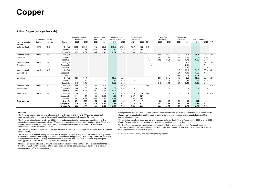#### **African Copper (Katanga, Mutanda)**

|                         | Attributable | Mining    |            | <b>Measured Mineral</b><br>Resources |       | <b>Indicated Mineral</b><br>Resources |                          | Measured and<br><b>Indicated Resources</b> |       | <b>Inferred Mineral</b><br>Resources |                          |    | Proved Ore<br>Reserves   |      | Probable Ore<br>Reserves |                          | <b>Total Ore Reserves</b> |                          |           |
|-------------------------|--------------|-----------|------------|--------------------------------------|-------|---------------------------------------|--------------------------|--------------------------------------------|-------|--------------------------------------|--------------------------|----|--------------------------|------|--------------------------|--------------------------|---------------------------|--------------------------|-----------|
| Name of operation       | interest     | method    | Commodity  | 2021                                 | 2020  | 2021                                  | 2020                     | 2021                                       | 2020  | 2021                                 | 2020                     | CP | 2021                     | 2020 | 2021                     | 2020                     | 2021                      | 2020                     | <b>CP</b> |
| Mutanda                 |              |           |            |                                      |       |                                       |                          |                                            |       |                                      |                          |    |                          |      |                          |                          |                           |                          |           |
| Mutanda South           | 100%         | OC        | Ore (Mt)   | 300.3                                | 299.7 | 78.2                                  | 76.8                     | 378.5                                      | 376.5 | 16.7                                 | 16.2                     | PO |                          |      |                          |                          |                           |                          |           |
|                         |              |           | Copper (%) | 1.38                                 | 1.38  | 0.95                                  | 0.96                     | 1.30                                       | 1.29  | 0.68                                 | 0.68                     |    |                          |      |                          |                          |                           |                          |           |
|                         |              |           | Cobalt (%) | 0.57                                 | 0.57  | 0.42                                  | 0.42                     | 0.54                                       | 0.54  | 0.54                                 | 0.55                     |    |                          |      |                          |                          |                           |                          |           |
| Mutanda South           | 100%         | OC        | Ore (Mt)   |                                      |       |                                       |                          |                                            |       |                                      |                          |    | 22.5                     | 20.6 | 3.9                      | 0.8                      | 26.4                      | 21.3                     | <b>JP</b> |
| Oxide ore               |              |           | Copper (%) |                                      |       |                                       |                          |                                            |       |                                      |                          |    | 1.85                     | 1.71 | 1.99                     | 0.80                     | 1.82                      | 1.68                     |           |
|                         |              |           | Cobalt (%) |                                      |       |                                       |                          |                                            |       |                                      |                          |    | 0.92                     | 0.91 | 0.98                     | 0.72                     | 0.90                      | 0.90                     |           |
| Mutanda South           | 100%         | OC        | Ore (Mt)   |                                      |       |                                       |                          |                                            |       |                                      |                          |    |                          |      | $\overline{\phantom{a}}$ | 18.7                     | $\sim$                    | 18.7                     | <b>JP</b> |
| <b>Transitional ore</b> |              |           | Copper (%) |                                      |       |                                       |                          |                                            |       |                                      |                          |    |                          |      | $\overline{\phantom{a}}$ | 2.01                     | $\sim$                    | 2.01                     |           |
|                         |              |           | Cobalt (%) |                                      |       |                                       |                          |                                            |       |                                      |                          |    |                          |      | $\sim$                   | 0.80                     | $\overline{\phantom{a}}$  | 0.80                     |           |
| Mutanda South           | 100%         | <b>OC</b> | Ore (Mt)   |                                      |       |                                       |                          |                                            |       |                                      |                          |    | ۰                        |      | 74.8                     | 59.6                     | 74.8                      | 59.6                     | <b>JP</b> |
| Sulphide ore            |              |           | Copper (%) |                                      |       |                                       |                          |                                            |       |                                      |                          |    |                          |      | 1.61                     | 1.46                     | 1.56                      | 1.46                     |           |
|                         |              |           | Cobalt (%) |                                      |       |                                       |                          |                                            |       |                                      |                          |    |                          |      | 0.77                     | 0.74                     | 0.74                      | 0.74                     |           |
| Stockpiles              |              |           | Ore (Mt)   | 32.5                                 | 30.4  | $\sim$                                | $\overline{\phantom{a}}$ | 32.5                                       | 30.4  | $\overline{\phantom{a}}$             |                          |    | 29.7                     | 27.8 | 2.7                      | 2.6                      | 32.5                      | 30.4                     | <b>JP</b> |
|                         |              |           | Copper (%) | 1.17                                 | 1.16  | $\sim$                                | $\overline{\phantom{a}}$ | 1.20                                       | 1.16  | $\overline{\phantom{a}}$             |                          |    | 1.11                     | 1.09 | 1.84                     | 1.84                     | 1.17                      | 1.16                     |           |
|                         |              |           | Cobalt (%) | 0.45                                 | 0.43  | $\overline{\phantom{a}}$              | $\overline{\phantom{a}}$ | 0.50                                       | 0.43  | $\overline{\phantom{a}}$             |                          |    | 0.43                     | 0.41 | 0.61                     | 0.63                     | 0.45                      | 0.43                     |           |
| Mutanda South           | 100%         | UG        | Ore (Mt)   | 28.8                                 | 28.8  | 9.1                                   | 9.1                      | 37.9                                       | 37.9  | $\sim$                               | ٠                        | PO |                          |      |                          | ٠                        |                           |                          | n.a       |
| ungerground             |              |           | Copper (%) | 1.86                                 | 1.86  | 1.14                                  | 1.14                     | 1.69                                       | 1.69  | $\sim$                               |                          |    |                          |      |                          | $\overline{\phantom{a}}$ |                           |                          |           |
|                         |              |           | Cobalt (%) | 0.51                                 | 0.51  | 0.49                                  | 0.49                     | 0.51                                       | 0.51  | $\overline{\phantom{a}}$             | $\overline{\phantom{a}}$ |    | $\overline{\phantom{a}}$ |      | $\overline{\phantom{a}}$ | $\sim$                   | $\overline{\phantom{a}}$  | $\overline{\phantom{a}}$ |           |
| Mutanda North           | 100%         | ОC        | Ore (Mt)   | 9.0                                  | 9.0   | 9.9                                   | 9.9                      | 18.9                                       | 18.9  | 0.4                                  | 0.4                      | PO |                          |      |                          | ٠                        |                           | ۰                        | n.a       |
|                         |              |           | Copper (%) | 1.14                                 | 1.14  | 0.88                                  | 0.88                     | 1.00                                       | 1.00  | 2.27                                 | 2.27                     |    |                          |      |                          | $\overline{\phantom{a}}$ |                           |                          |           |
|                         |              |           | Cobalt (%) | 0.47                                 | 0.47  | 0.57                                  | 0.57                     | 0.52                                       | 0.52  | 0.04                                 | 0.04                     |    |                          |      |                          | $\overline{\phantom{a}}$ |                           |                          |           |
| <b>Total Mutanda</b>    |              |           | Ore (Mt)   | 371                                  | 368   | 97                                    | 96                       | 468                                        | 464   | 17                                   | 17                       |    | 52                       | 48   | 81                       | 82                       | 134                       | 130                      |           |
|                         |              |           | Copper (%) | 1.39                                 | 1.39  | 0.96                                  | 0.97                     | 1.31                                       | 1.31  | 0.72                                 | 0.72                     |    | 1.43                     | 1.36 | 1.64                     | 1.59                     | 1.52                      | 1.51                     |           |
|                         |              |           | Cobalt (%) | 0.55                                 | 0.55  | 0.44                                  | 0.44                     | 0.53                                       | 0.53  | 0.53                                 | 0.54                     |    | 0.64                     | 0.62 | 0.78                     | 0.75                     | 0.70                      | 0.70                     |           |

#### **Mutanda**

 The Mutanda open pit operations are located at the north western end of the DRC / Zambia copper belt approximately 40km to the east of the town of Kolwezi in the Democratic Republic of Congo.

The Mutanda mineralisation is a typical DRC copper belt metasedimentary copper and cobalt deposit. The mineralisation generally occurs as infilling of fissures and open fractures associated with brecciation. The typical copper minerals are mainly chalcopyrite, malachite and pseudomalachite while cobalt is in the form of heterogenite, carrolite and spherocobaltite.

The remaining mine life is estimated to be approximately 20 years (assuming approval and investment in sulphide ore processing).

The expiry date of relevant mining permits ("permis d'exploitation") is 26 May 2022 for PE662 and 5 May 2022 for PE643 (The Mutanda South mining operations straddle both mining permits). Both mining permits are renewable in accordance with the DRC mining code for periods of 15 years, and applicable documents requesting the mining permit renewals have been lodged and are under review.

Mutanda was placed into care and maintenance in November 2019 and remained on care and maintenance until September 2021 - when processing of low grade oxide stockpiles recommenced, as a prelude to a planned commencement of mining operations.

Changes to the total Mineral Resources and Ore Reserves estimates are a result of: net stockpile increase due to stockpile survey updates less depletion due to commencement of processing; and an updated survey of the current mine topography.

The stockpiles have been separated out of the general Mutanda South Mineral Resources for 2021, and the 2020 Mineral Resources have been restated with a similar separation of the stockpile tonnage.

The Ore Reserves reporting classification has been simplified to oxides and sulphides. Previously reported "transitional" ore has been reclassified on the basis of which processing circuit (oxide or sulphide) is expected to generate the highest revenue for that ore.

Studies into sulphide mining and processing are in progress.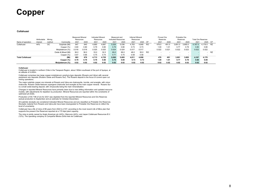#### **Collahuasi**

|                         | Attributable | Minina |                    | <b>Measured Mineral</b><br>Resources |       | <b>Indicated Mineral</b><br>Resources |       | Measured and<br>Indicated Resources |       | <b>Inferred Mineral</b><br>Resources |       |           | Proved Ore<br>Reserves |       | Probable Ore<br>Reserves |         | <b>Total Ore Reserves</b> |         |           |
|-------------------------|--------------|--------|--------------------|--------------------------------------|-------|---------------------------------------|-------|-------------------------------------|-------|--------------------------------------|-------|-----------|------------------------|-------|--------------------------|---------|---------------------------|---------|-----------|
| Name of operation       | interest     | method | Commodity          | 2021                                 | 2020  | 2021                                  | 2020  | 2021                                | 2020  | 2021                                 | 2020  | <b>CP</b> | 2021                   | 2020  | 2021                     | 2020    | 2021                      | 2020    | CP        |
| Collahuasi              | 44%          | OС     | Sulphide (Mt)      | 847                                  | 840   | 4,680                                 | 4,697 | 5,526                               | 5,536 | 4,763                                | 4.848 | <b>RO</b> | 476.0                  | 491.0 | 3,691.0                  | 3.685.0 | 4.167.0                   | 4.176.0 | <b>RZ</b> |
|                         |              |        | Copper (%)         | 0.80                                 | 0.80  | 0.79                                  | 0.80  | 0.79                                | 0.80  | 0.73                                 | 0.73  |           | 1.00                   | 1.01  | 0.77                     | 0.78    | 0.80                      | 0.80    |           |
|                         |              |        | Molvbdenum (%)     | 0.018                                | 0.018 | 0.025                                 | 0.025 | 0.024                               | 0.024 | 0.017                                | 0.017 |           | 0.022                  | 0.021 | 0.022                    | 0.023   | 0.022                     | 0.022   |           |
|                         |              |        | Oxide & Mixed (Mt) | 36.0                                 | 36.0  | 33.0                                  | 32.0  | 69.0                                | 69.0  | 48.0                                 | 50.0  | <b>RO</b> |                        | -     |                          |         |                           |         | <b>RZ</b> |
|                         |              |        | Copper (%)         | 0.67                                 | 0.66  | 0.75                                  | 0.74  | 0.71                                | 0.70  | 0.58                                 | 0.58  |           |                        |       |                          |         |                           |         |           |
| <b>Total Collahuasi</b> |              |        | (Mt)               | 883                                  | 876   | 4.713                                 | 4.729 | 5.595                               | 5.605 | 4.811                                | 4.898 |           | 476                    | 491   | 3.691                    | 3.685   | 4.167                     | 4,176   |           |
|                         |              |        | Copper (%)         | 0.79                                 | 0.79  | 0.79                                  | 0.80  | 0.79                                | 0.80  | 0.73                                 | 0.73  |           | 1.00                   | 1.01  | 0.77                     | 0.78    | 0.80                      | 0.80    |           |
|                         |              |        | Molybdenum (%)     | 0.02                                 | 0.02  | 0.02                                  | 0.02  | 0.02                                | 0.02  | 0.02                                 | 0.02  |           | 0.02                   | 0.02  | 0.02                     | 0.02    | 0.02                      | 0.02    |           |

#### **Collahuasi**

 Collahuasi is located in northern Chile in the Tarapacà Region, about 180km southeast of the port of Iquique, at an altitude of 4,400m.

Collahuasi comprises two large copper-molybdenum porphyry-type deposits (Rosario and Ujina) with several peripheral vein deposits (Rosario Oeste and Rosario Sur). The Rosario deposit is the focus of current open cut mining operations.

The major sulphide copper ore minerals at Rosario and Ujina are chalcopyrite, bornite, and enargite, with minor chalcocite. Rosario Oeste features supergene chalcocite and enargite as the main copper mineral. Rosario Sur is a small oxide-bearing deposit, with chrysocolla being the main mineralisation.

Changes in reported Mineral Resources have primarily been due to new drilling information and updated resource models, with adjustments for depletion by production. Mineral Resources are reported within the constraints of optimized pit shells.

Production of 55.7 Mt of ore for 2021 was depleted from the reported Mineral Resources and Ore Reserves (actual production to September and an estimate for October-December).

All sulphide stockpile are considered Indicated Mineral Resources and are classified as Probable Ore Reserves. Stockpile material from Rosario and Ujina pits have been downgraded to Probable Ore Reserves to reflect the level of uncertainty.

Collahuasi has a life of mine of 86 years from 2022 to 2107, according to the most recent Life of Mine plan that supports the present Ore Reserves reported at a 170 ktpd plant capacity.

The mine is jointly owned by Anglo American plc (44%), Glencore (44%), and Japan Collahuasi Resources B.V. (12%). The operating company is Compañía Minera Doña Inés de Collahuasi.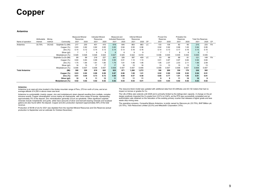#### **Antamina**

|                       | Attributable | Mining |                     | <b>Measured Mineral</b><br>Resources |       | <b>Indicated Mineral</b><br>Resources |       | Measured and<br><b>Indicated Resources</b> |       | <b>Inferred Mineral</b><br>Resources |       |     | Proved Ore<br>Reserves |       | Probable Ore<br>Reserves |       | <b>Total Ore Reserves</b> |       |           |
|-----------------------|--------------|--------|---------------------|--------------------------------------|-------|---------------------------------------|-------|--------------------------------------------|-------|--------------------------------------|-------|-----|------------------------|-------|--------------------------|-------|---------------------------|-------|-----------|
| Name of operation     | interest     | method | Commodity           | 2021                                 | 2020  | 2021                                  | 2020  | 2021                                       | 2020  | 2021                                 | 2020  | CP  | 2021                   | 2020  | 2021                     | 2020  | 2021                      | 2020  | CP        |
| Antamina              | 33.75%       | OC/UG  | Sulphide Cu (Mt)    | 217                                  | 230   | 401                                   | 415   | 618                                        | 645   | 863                                  | 863   | LC. | 133                    | 138   | 82                       | 95    | 215                       | 233   | <b>FA</b> |
|                       |              |        | Copper (%)          | 0.83                                 | 0.82  | 0.82                                  | 0.85  | 0.83                                       | 0.84  | 0.95                                 | 0.96  |     | 0.92                   | 0.92  | 0.98                     | 1.00  | 0.94                      | 0.95  |           |
|                       |              |        | Zinc $(\%)$         | 0.14                                 | 0.12  | 0.14                                  | 0.13  | 0.14                                       | 0.13  | 0.16                                 | 0.16  |     | 0.14                   | 0.13  | 0.17                     | 0.16  | 0.15                      | 0.15  |           |
|                       |              |        | Silver (g/t)        |                                      |       | 8                                     | 9     | 8                                          | 8     |                                      | 9     |     |                        |       |                          | 8     | 8                         |       |           |
|                       |              |        | Molybdenum (%)      | 0.029                                | 0.028 | 0.026                                 | 0.024 | 0.027                                      | 0.025 | 0.022                                | 0.018 |     | 0.036                  | 0.035 | 0.035                    | 0.034 | 0.035                     | 0.035 |           |
|                       |              |        | Sulphide Cu-Zn (Mt) | 89                                   | 99    | 218                                   | 227   | 307                                        | 326   | 397                                  | 409   | LC. | 53                     | 68    | 68                       | 81    | 121                       | 149   | FA        |
|                       |              |        | Copper (%)          | 0.84                                 | 0.83  | 0.99                                  | 0.95  | 0.95                                       | 0.91  | 1.10                                 | 1.10  |     | 0.91                   | 0.87  | 0.97                     | 0.82  | 0.94                      | 0.84  |           |
|                       |              |        | Zinc(%)             | 1.75                                 | 1.84  | 1.81                                  | 1.80  | 1.79                                       | 1.81  | 1.46                                 | 1.46  |     | 1.95                   | 2.07  | 2.03                     | 2.11  | 1.99                      | 2.09  |           |
|                       |              |        | Silver (g/t)        | 16                                   | 15    | 17                                    | 17    | 17                                         | 16    | 15                                   | 16    |     | 13                     | 13    | 15                       | 13    | 14                        | 13    |           |
|                       |              |        | Molybdenum (%)      | 0.008                                | 0.007 | 0.008                                 | 0.007 | 0.008                                      | 0.007 | 0.007                                | 0.006 |     | 0.008                  | 0.007 | 0.008                    | 0.007 | 0.008                     | 0.007 |           |
| <b>Total Antamina</b> |              |        | (Mt)                | 306                                  | 329   | 619                                   | 642   | 925                                        | 971   | 1,260                                | 1,272 |     | 186                    | 206   | 150                      | 176   | 336                       | 382   |           |
|                       |              |        | Copper (%)          | 0.83                                 | 0.82  | 0.88                                  | 0.89  | 0.87                                       | 0.86  | 1.00                                 | 1.01  |     | 0.92                   | 0.90  | 0.98                     | 0.92  | 0.94                      | 0.91  |           |
|                       |              |        | Zinc(%)             | 0.61                                 | 0.64  | 0.73                                  | 0.72  | 0.69                                       | 0.69  | 0.57                                 | 0.58  |     | 0.66                   | 0.77  | 1.01                     | 1.06  | 0.81                      | 0.91  |           |
|                       |              |        | Silver (g/t)        | 10                                   | 9     | 11                                    | 12    | 11                                         | 11    | 11                                   | 11    |     |                        |       | 11                       | 10    | 10                        |       |           |
|                       |              |        | Molybdenum (%)      | 0.02                                 | 0.02  | 0.02                                  | 0.02  | 0.02                                       | 0.02  | 0.02                                 | 0.01  |     | 0.03                   | 0.03  | 0.02                     | 0.02  | 0.03                      | 0.02  |           |

#### **Antamina**

 Antamina is an open-pit mine located in the Andes mountain range of Peru, 270 km north of Lima, and at an average altitude of 4,200 m above mean sea level.

Antamina is a polymetallic (mainly copper, zinc and molybdenum) skarn deposit resulting from multiple, complex intrusive events. Copper mineralization occurs mainly as chalcopyrite, with minor areas of bornite, representing approximately 5% of the deposit. Zinc mineralization generally occurs as sphalerite. Other significant sulphide<br>minerals include molybdenite and pyrite, while trace amounts of silver and bismuth-bearing minerals and locali galena are also found within the deposit. Copper and Zinc production represent approximately 90% of the total revenue.

Production of 56 Mt of ore for 2021 was depleted from the reported Mineral Resources and Ore Reserves (actual production to September and an estimate for October-December).

The resource block model was updated with additional data from 63 drillholes and 20,132 meters that had no impact on tonnes or grades for Cu.

The Life of Mine plan extends until 2028 and is primarily limited by the tailings-dam capacity. A change on the pit<br>design positively impacted the Cu grade from 0.91% to 0.94%, as the PFS was successfully completed and an<br> waste strip mining area.

The operating company, Compañia Minera Antamina, is jointly owned by Glencore plc (33.75%), BHP Billiton plc<br>(33.75%), Teck Resources Limited (22.5%) and Mitsubishi Corporation (10%).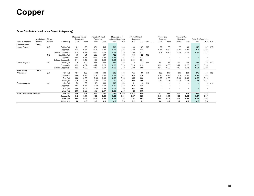#### **Other South America (Lomas Bayas, Antapaccay)**

|                                  | Attributable | Minina      |                    | <b>Measured Mineral</b><br>Resources |      | <b>Indicated Mineral</b><br>Resources |       | Measured and<br><b>Indicated Resources</b> |       | <b>Inferred Mineral</b><br>Resources |      |           | Proved Ore<br>Reserves   |                          | Probable Ore<br>Reserves |                          | <b>Total Ore Reserves</b> |      |           |
|----------------------------------|--------------|-------------|--------------------|--------------------------------------|------|---------------------------------------|-------|--------------------------------------------|-------|--------------------------------------|------|-----------|--------------------------|--------------------------|--------------------------|--------------------------|---------------------------|------|-----------|
| Name of operation                | interest     | method      | Commodity          | 2021                                 | 2020 | 2021                                  | 2020  | 2021                                       | 2020  | 2021                                 | 2020 | CP        | 2021                     | 2020                     | 2021                     | 2020                     | 2021                      | 2020 | <b>CP</b> |
| <b>Lomas Bayas</b>               | 100%         |             |                    |                                      |      |                                       |       |                                            |       |                                      |      |           |                          |                          |                          |                          |                           |      |           |
| Lomas Bayas I                    |              | <b>OC</b>   | Oxides (Mt)        | 101                                  | 95   | 401                                   | 505   | 503                                        | 600   | 69                                   | 107  | <b>MS</b> | 69                       | 68                       | 77                       | 99                       | 145                       | 167  | EC        |
|                                  |              |             | Copper (%)         | 0.32                                 | 0.31 | 0.24                                  | 0.24  | 0.26                                       | 0.25  | 0.22                                 | 0.22 |           | 0.34                     | 0.32                     | 0.26                     | 0.25                     | 0.3                       | 0.28 |           |
|                                  |              |             | Soluble Copper (%) | 0.19                                 | 0.19 | 0.13                                  | 0.14  | 0.14                                       | 0.15  | 0.08                                 | 0.11 |           | 0.2                      | 0.20                     | 0.15                     | 0.15                     | 0.18                      | 0.17 |           |
|                                  |              | $_{\rm OC}$ | Sulphides (Mt)     | 70                                   | 61   | 653                                   | 507   | 722                                        | 568   | 749                                  | 422  | <b>MS</b> |                          |                          |                          |                          |                           |      |           |
|                                  |              |             | Copper (%)         | 0.45                                 | 0.49 | 0.31                                  | 0.35  | 0.33                                       | 0.37  | 0.27                                 | 0.31 |           |                          |                          |                          | ٠                        |                           |      |           |
|                                  |              |             | Soluble Copper (%) | 0.11                                 | 0.12 | 0.03                                  | 0.04  | 0.04                                       | 0.05  | 0.01                                 | 0.01 |           |                          |                          |                          | $\overline{\phantom{a}}$ |                           |      |           |
| Lomas Bayas II                   |              | $_{\rm OC}$ | Oxides (Mt)        | 119                                  | 100  | 168                                   | 226   | 287                                        | 326   | 16                                   | 17   | <b>MS</b> | 94                       | 83                       | 91                       | 142                      | 186                       | 225  | EC        |
|                                  |              |             | Copper (%)         | 0.33                                 | 0.32 | 0.27                                  | 0.26  | 0.30                                       | 0.28  | 0.14                                 | 0.13 |           | 0.33                     | 0.33                     | 0.27                     | 0.27                     | 0.30                      | 0.29 |           |
|                                  |              |             | Soluble Copper (%) | 0.23                                 | 0.22 | 0.17                                  | 0.17  | 0.20                                       | 0.19  | 0.09                                 | 0.08 |           | 0.24                     | 0.23                     | 0.19                     | 0.18                     | 0.21                      | 0.20 |           |
| Antapaccay                       | 100%         |             |                    |                                      |      |                                       |       |                                            |       |                                      |      |           |                          |                          |                          |                          |                           |      |           |
| Antapaccay                       |              | ОC          | Ore (Mt)           | 194                                  | 183  | 438                                   | 403   | 632                                        | 586   | 177                                  | 96   | <b>HB</b> | 189                      | 177                      | 286                      | 269                      | 475                       | 446  | HB        |
|                                  |              |             | Copper (%)         | 0.44                                 | 0.48 | 0.37                                  | 0.40  | 0.39                                       | 0.42  | 0.28                                 | 0.30 |           | 0.45                     | 0.48                     | 0.4                      | 0.41                     | 0.42                      | 0.44 |           |
|                                  |              |             | Gold (g/t)         | 0.08                                 | 0.09 | 0.08                                  | 0.08  | 0.08                                       | 0.08  | 0.05                                 | 0.06 |           | 0.08                     | 0.09                     | 0.08                     | 0.08                     | 0.08                      | 0.08 |           |
|                                  |              |             | Silver (g/t)       | 1.19                                 | 1.28 | 1.06                                  | 1.11  | 1.10                                       | 1.17  | 0.66                                 | 0.69 |           | 1.19                     | 1.28                     | 1.13                     | 1.15                     | 1.15                      | 1.21 |           |
| Coroccohuayco                    |              | <b>OC</b>   | Ore (Mt)           | 72                                   | 69   | 571                                   | 490   | 643                                        | 559   | 61                                   | 12   | <b>HB</b> | $\overline{\phantom{a}}$ | $\overline{\phantom{a}}$ | ٠                        | ٠                        | $\overline{\phantom{a}}$  |      | n.a.      |
|                                  |              |             | Copper (%)         | 0.64                                 | 0.67 | 0.59                                  | 0.63  | 0.60                                       | 0.68  | 0.36                                 | 0.28 |           |                          |                          |                          | ٠                        |                           |      |           |
|                                  |              |             | Gold (g/t)         | 0.08                                 | 0.08 | 0.08                                  | 0.09  | 0.08                                       | 0.09  | 0.05                                 | 0.04 |           | $\overline{\phantom{a}}$ |                          |                          | ۰                        |                           |      |           |
|                                  |              |             | Silver (g/t)       | 2.60                                 | 2.65 | 2.3                                   | 2.37  | 2.33                                       | 2.49  | 1.23                                 | 0.89 |           | $\overline{\phantom{a}}$ | $\overline{\phantom{a}}$ |                          | ۰                        |                           |      |           |
| <b>Total Other South America</b> |              |             | Ore (Mt)           | 556                                  | 509  | 2,231                                 | 2,131 | 2,787                                      | 2,639 | 1,072                                | 654  |           | 352                      | 328                      | 454                      | 510                      | 806                       | 838  |           |
|                                  |              |             | Copper (%)         | 0.42                                 | 0.44 | 0.38                                  | 0.39  | 0.39                                       | 0.41  | 0.27                                 | 0.29 |           | 0.40                     | 0.41                     | 0.35                     | 0.34                     | 0.37                      | 0.37 |           |
|                                  |              |             | Gold (g/t)         | 0.04                                 | 0.04 | 0.04                                  | 0.04  | 0.04                                       | 0.04  | 0.01                                 | 0.01 |           | 0.04                     | 0.05                     | 0.05                     | 0.04                     | 0.05                      | 0.04 |           |
|                                  |              |             | Silver (g/t)       | 0.8                                  | 0.8  | 0.8                                   | 0.8   | 0.8                                        | 0.8   | 0.2                                  | 0.1  |           | 0.6                      | 0.7                      | 0.7                      | 0.6                      | 0.7                       | 0.6  |           |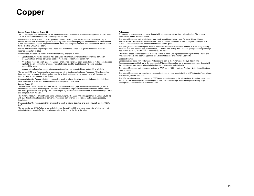#### **Lomas Bayas (I)-Lomas Bayas (III)**

The Lomas Bayas open cut operations are located in the centre of the Atacama Desert copper belt approximately 115 km to the northeast of the town of Antofagasta in Chile.

Lomas Bayas is a low grade copper-molybdenum deposit resulting from the intrusion of several porphyry and breccia systems that were later exposed to leaching and subsequent supergene enrichment and in situ oxidation. Green copper oxides, copper sulphates in various forms and less partially mixed ores are the main source of ore for the existing SX/EW operation.

For the 2021 Resource Reporting Lomas I Resources include the Lomas III Sulphide Resources that were reported separately in 2020.

Lomas I resource estimate update includes the following changes in 2021:

- Updated resource model based on new geological information gathered in the 2020 drilling campaign (27,236m of infill drilling), as well as updated modelling and estimation parameters.
- An updated resource cutoff grade for Lomas I and Lomas II pits has been applied due to reduction in the cost inputs for the pit optimisation process. The cutoff grade used for sulphides are the same as in the prefeasibility study.
- Incorporation of updated copper price assumptions which have resulted in an updated final pit shell.

The Lomas III Mineral Resources have been reported within the Lomas I sulphide Resource. This change has been made as the Lomas III mineralisation was the at depth extension of the Lomas I and will therefore be reported as a single resource going forward.

Changes to the Ore Reserves in 2021 are mainly a result of mining depletion, an updated operational pit life-ofmine developed in 2021, and a decrease in the cut-off grade to 0.12% CuT.

#### **Lomas Bayas (II)**

This low grade copper deposit is located 2km south of Lomas Bayas (I) pit, in the same district and geological environment as Lomas Bayas deposit. The main difference is a larger presence of water soluble copper oxides and lower geotechnical rock quality. The Lomas Bayas (II) block model includes historic drill holes totalling 129Km and sampled at 2m intervals.

The Mineral Resources are estimated using Ordinary Kriging. The 2020 infill drilling program in Lomas Bayas (II) with 5,518 m of drilling focused on converting resources from Inferred to Indicated, and increasing orebody knowledge

Changes to the Ore Reserves in 2021 are mainly a result of mining depletion and revised cut-off grades (0.07% CuT)

The Lomas Bayas SX/EW plant is fed by both Lomas Bayas (I) and (II) and has a current life of mine plan that extends to 2029; permits for the operation are valid to the end of the life of the mine.

#### **Antapaccay**

Antapaccay is a copper-gold porphyry deposit with zones of gold-silver skarn mineralisation. The primary minerals are bornite and chalcopyrite.

The Mineral Resource estimate is based on a block model interpolation using Ordinary Kriging. Mineral Resources and Ore Reserves were estimated using a variable cut-off grade with a marginal cut-off grade of 0.10% Cu content considered as the minimum recoverable grade.

The geological model of the deposit and the Mineral Resources estimate were updated in 2021 using a drilling database that now includes 385,030 meters (1,117 holes) total drilling data. The last geological drilling campaign was carried out in 2021 with 12,422.8 meters (50 drill holes).

Life of mine based on ore reserves is 12 years ending in 2033. Ore is processed through both the Tintaya and Antapaccay plants. The operating permits are valid until the end of the mine's useful life.

#### **Coroccohuayco**

Coroccohuayco, along with Tintaya and Antapaccay is part of the mineralized Tintaya district. The Coroccohuayco project is 9 km to the south east of Tintaya. Coroccohuayco is a copper-gold skarn deposit with the main copper ore-bearing minerals being bornite, chalcopyrite and chalcocite.

The Mineral Resource estimates were updated in 2019 using 255,611 metres of drilling. No further drilling took place in 2020-21.

The Mineral Resources are based on an economic pit shell and are reported with a 0.10% Cu cut-off as minimum recoverable grade on the plant.

The difference in resources compared to 2020 is due to the increase in the prices of Cu, Au and Ag metals, as well as decreased mining costs in the long-term. The Coroccohuayco project is in the pre-feasibility stage of development, and ore reserves are not reported.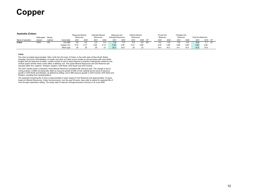#### **Australia (Cobar)**

| Australia (VODAL) | Attributable Mining |        |              | <b>Measured Mineral</b><br>Resources |      | <b>Indicated Mineral</b><br>Resources |      | Measured and<br><b>Indicated Resources</b> |      | <b>Inferred Mineral</b><br>Resources |      |    | Proved Ore<br>Reserves |      | Probable Ore<br>Reserves |      | <b>Total Ore Reserves</b> |      |           |
|-------------------|---------------------|--------|--------------|--------------------------------------|------|---------------------------------------|------|--------------------------------------------|------|--------------------------------------|------|----|------------------------|------|--------------------------|------|---------------------------|------|-----------|
| Name of operation | interest            | method | Commodity    | 2021                                 | 2020 | 2021                                  | 2020 | 2021                                       | 2020 | 2021                                 | 2020 | CP | 2021                   | 2020 | 2021                     | 2020 | 2021                      | 2019 | <b>CP</b> |
| Cobar             | 100%                | UG     | Ore (Mt)     | 3.9                                  | 4.5  |                                       |      |                                            |      |                                      | 3.8  | EA |                        |      |                          | 2.8  | 6.8                       | 77   | JC        |
|                   |                     |        | Copper (%)   | 5.74                                 | 5.77 | 4.92                                  | 5.14 | 5.36                                       | 5.50 | 5.41                                 | 5.66 |    | 4.00                   | 3.95 | 3.60                     | 3.65 | 3.80                      | 3.84 |           |
|                   |                     |        | Silver (g/t) | 24                                   | 25   | 20                                    |      | 22.0                                       | 23.0 |                                      | 22   |    | 16.4                   | 16.3 | 14.7                     | 15.0 | 15.6                      | 15.8 |           |

#### **Cobar**

The mine is located approximately 10km north from the town of Cobar, in the north west of New South Wales, Australia. Economic mineralisation of copper and silver at Cobar occurs mostly as narrow lenses with short strike lengths that are extensive at depth. Lenses consist of vein or semi-massive to massive chalcopyrite hosted by subvertical quartz-chlorite shear zones within a siltstone unit. The Cobar Mineral Resources and Ore Reserves are reported within five 'systems': Western, Eastern, QTS North, QTS South and QTS Central.

The 2021 results shown a reduction of the Mineral Resource compared with previous year. The change is due to<br>mining activity (-0.9Mt) not being fully offset by resource growth (0.2Mt of new material as the result of resour growth in QTS North and Western, as defined by drilling; and 0.4Mt resource growth in QTS Central, QTS North and Western, resulting from reinterpretation).

The expected remaining life of mine is approximately 6 years based on Ore Reserves and approximately 10 years based on Mineral Resources. Cobar has previously, over the past 50 years, been able to extend its expected life of mine through exploratory drilling. The expiry date of relevant mining/concession licences is 24 June 2028.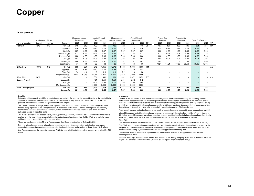#### **Other projects**

|                             | Attributable | Mining    |                 | <b>Measured Mineral</b><br>Resources |                          | <b>Indicated Mineral</b><br>Resources |       | Measured and<br>Indicated Resources |       | <b>Inferred Mineral</b><br>Resources |       |           | Proved Ore<br>Reserves |       | Probable Ore<br>Reserves |       | <b>Total Ore Reserves</b> |       |           |
|-----------------------------|--------------|-----------|-----------------|--------------------------------------|--------------------------|---------------------------------------|-------|-------------------------------------|-------|--------------------------------------|-------|-----------|------------------------|-------|--------------------------|-------|---------------------------|-------|-----------|
| Name of operation           | interest     | method    | Commodity       | 2021                                 | 2020                     | 2021                                  | 2020  | 2021                                | 2020  | 2021                                 | 2020  | <b>CP</b> | 2021                   | 2020  | 2021                     | 2020  | 2021                      | 2020  | CP        |
| Polymet                     | 72%          | <b>OC</b> | Ore (Mt)        | 319                                  | 319                      | 403                                   | 403   | 722                                 | 722   | 415                                  | 415   | ZB        | 157                    | 157   | 106                      | 106   | 264                       | 264   | <b>HW</b> |
|                             |              |           | Copper (%)      | 0.24                                 | 0.24                     | 0.23                                  | 0.23  | 0.23                                | 0.23  | 0.24                                 | 0.24  |           | 0.29                   | 0.29  | 0.29                     | 0.29  | 0.29                      | 0.29  |           |
|                             |              |           | Nickel (%)      | 0.07                                 | 0.07                     | 0.07                                  | 0.07  | 0.07                                | 0.07  | 0.07                                 | 0.07  |           | 0.08                   | 0.08  | 0.08                     | 0.08  | 0.08                      | 0.08  |           |
|                             |              |           | Palladium (g/t) | 0.22                                 | 0.22                     | 0.21                                  | 0.21  | 0.21                                | 0.21  | 0.23                                 | 0.23  |           | 0.27                   | 0.27  | 0.26                     | 0.26  | 0.26                      | 0.26  |           |
|                             |              |           | Platinum (q/t)  | 0.06                                 | 0.06                     | 0.06                                  | 0.06  | 0.06                                | 0.06  | 0.06                                 | 0.06  |           | 0.08                   | 0.08  | 0.08                     | 0.08  | 0.08                      | 0.08  |           |
|                             |              |           | Gold (g/t)      | 0.03                                 | 0.03                     | 0.03                                  | 0.03  | 0.03                                | 0.03  | 0.03                                 | 0.03  |           | 0.04                   | 0.04  | 0.04                     | 0.04  | 0.04                      | 0.04  |           |
|                             |              |           | Silver (g/t)    | 0.88                                 | 0.88                     | 0.87                                  | 0.87  | 0.87                                | 0.87  | 0.87                                 | 0.87  |           | 1.05                   | 1.05  | 1.08                     | 1.08  | 1.06                      | 1.06  |           |
|                             |              |           | Cobalt (ppm)    | 71                                   | 71                       | 68                                    | 68    | 39                                  | 39    | 56                                   | 56    |           | 74.21                  | 74.21 | 73.56                    | 73.56 | 73.95                     | 73.95 |           |
| El Pachón                   | 100%         | ОC        | Ore (Mt)        | 533                                  | 534                      | 1,045                                 | 1,055 | 1,578                               | 1,588 | 1,693                                | 1,536 | <b>FM</b> |                        |       |                          |       | $\overline{\phantom{a}}$  |       | - n.a.    |
|                             |              |           | Copper (%)      | 0.67                                 | 0.67                     | 0.49                                  | 0.49  | 0.55                                | 0.55  | 0.40                                 | 0.41  |           |                        |       |                          |       |                           |       |           |
|                             |              |           | Silver (g/t)    | 2.4                                  | 2.4                      | 2.0                                   | 2.0   | 2.1                                 | 2.2   | 1.8                                  | 1.8   |           |                        |       |                          |       |                           |       |           |
|                             |              |           | Molybdenum (%)  | 0.013                                | 0.013                    | 0.011                                 | 0.011 | 0.012                               | 0.012 | 0.009                                | 0.009 |           |                        |       |                          |       | $\sim$                    |       |           |
| <b>West Wall</b>            | 50%          |           | Ore (Mt)        |                                      | $\blacksquare$           | 861                                   | 861   | 861                                 | 861   | 1,072                                | 1,072 | <b>RT</b> | ۰                      |       |                          |       | $\sim$                    |       | $-$ n.a.  |
| <b>Copper Project</b>       |              |           | Copper (%)      |                                      | $\overline{\phantom{a}}$ | 0.51                                  | 0.51  | 0.51                                | 0.51  | 0.42                                 | 0.42  |           |                        |       |                          |       |                           |       |           |
|                             |              |           | Gold (g/t)      | $\sim$                               | $\overline{\phantom{a}}$ | 0.05                                  | 0.05  | 0.05                                | 0.05  | 0.05                                 | 0.05  |           |                        |       |                          |       |                           |       |           |
|                             |              |           | Molybdenum (%)  |                                      | $\overline{\phantom{a}}$ | 0.008                                 | 0.008 | 0.008                               | 0.008 | 0.006                                | 0.006 |           |                        |       |                          |       |                           |       |           |
| <b>Total Other projects</b> |              |           | Ore (Mt)        | 852                                  | 853                      | 2,309                                 | 2,319 | 3,161                               | 3,171 | 3,180                                | 3,023 |           | 157                    | 157   | 106                      | 106   | 264                       | 264   |           |
|                             |              |           | Copper (%)      | 0.51                                 | 0.51                     | 0.45                                  | 0.45  | 0.47                                | 0.47  | 0.39                                 | 0.39  |           | 0.29                   | 0.29  | 0.29                     | 0.29  | 0.29                      | 0.29  |           |

#### **PolyMet**

Polymet and the deposit NorthMet is located approximately 92Km north of the town of Duluth, to the west of Lake Superior in Minnesota, United States of America. Northmet is a polymetallic deposit hosting copper-nickelplatinum located at the northern margin of the Duluth Complex.

The Duluth Complex is a large, composite, layered, mafic intrusion that was emplaced into comagmatic flood basalts along a portion of the Mesoproterozoic Midcontinent Rift System. The ore-bearing units are primarily found in the basal unit of the Duluth Complex, which contains disseminated sulphides and minor massive sulphides hosted in troctolitic rocks.

The metals of interest are copper, nickel, cobalt, platinum, palladium, silver and gold. The majority of the metals are found in the sulphide minerals: chalcopyrite, cubanite, pentlandite, and pyrrhotite. Platinum, palladium and gold are found in bismuthides, tellurides, and alloys.

There are no changes to the Mineral Resource and Ore Reserve estimates for PolyMet in 2021.

Both the mineral resource and mineral reserve estimates take into consideration metallurgical recoveries, concentrate grades, transportation costs, smelter treatment charges and royalties in determining NSR values.

Ore Reserves exceed the currently approved EIS LOM ore milled limit of 204 million tonnes over a mine life of 20 years.

#### **El Pachón**

 Located in the southwest of San Juan Province of Argentina, the El Pachón orebody is a porphyry coppermolybdenum deposit in which two major stages of sulphide mineralisation contributed to the formation of the orebody. The bulk of the ore takes the form of disseminated Chalcopyrite-Molybdenite primary sulphides on top of which an immature, relatively small copper enrichment blanket has been developed. In this upper part of the deposit Chalcocite and minor Covellite are partially replacing the primary Chalcopyrite ore.

The mineral resource estimate changes are a result of updated cost and commodity price assumptions for 2021.

Mineral Resources stated herein are based on assay and geology information from 135Km of mainly diamond drill holes. Mineral Resources have been classified using a combination of criteria including geological continuity and Kriging parameters. Mineral Resources are constrained by the use of an economic pit shell.

#### **West Wall**

The West Wall Copper Project is located in the central Chilean Andes, approximately 100km NNE of Santiago.

West Wall is a copper-molybdenum porphyry, with two distinct mineralized zones; Lagunillas to the south of the prospect, and West Wall Norte (WWN) 2km to the north of Lagunillas. The mineralization zones are part of an extensive NNE striking hydrothermal alteration zone of approximately 9km by 4km.

The sulphide Mineral Resource is reported within an economic pit shell at a copper cut-off and remains unchanged from 2019.

Glencore and Anglo American each have a 50% interest in the mining company West Wall SCM which holds the project. The project is jointly owned by Glencore plc (50%) and Anglo American (50%).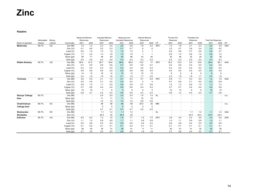**Kazzinc** 

|                         |              |        |              | <b>Measured Mineral</b>  |                          | <b>Indicated Mineral</b> |      | Measured and               |      | <b>Inferred Mineral</b>  |                |            | Proved Ore               |                          | Probable Ore             |                          |                           |      |      |
|-------------------------|--------------|--------|--------------|--------------------------|--------------------------|--------------------------|------|----------------------------|------|--------------------------|----------------|------------|--------------------------|--------------------------|--------------------------|--------------------------|---------------------------|------|------|
|                         | Attributable | Mining |              | Resources                |                          | Resources                |      | <b>Indicated Resources</b> |      | Resources                |                |            | Reserves                 |                          | Reserves                 |                          | <b>Total Ore Reserves</b> |      |      |
| Name of operation       | interest     | method | Commodity    | 2021                     | 2020                     | 2021                     | 2020 | 2021                       | 2020 | 2021                     | 2020           | CP         | 2021                     | 2020                     | 2021                     | 2020                     | 2021                      | 2020 | CP   |
| Maleevsky               | 69.7%        | UG     | Ore (Mt)     | 1.9                      | 1.2                      | 2.3                      | 2.4  | 4.2                        | 3.6  | 1.9                      | 2.0            | <b>APC</b> | 1.3                      | 1.6                      | 2.1                      | 2.3                      | 3.4                       | 3.9  | AAA  |
|                         |              |        | Zinc $(%)$   | 5.1                      | 6.6                      | 5.2                      | 5.3  | 5.1                        | 5.7  | 6                        | 6              |            | 3.3                      | 4.7                      | 3.6                      | 3.4                      | 3.4                       | 4.0  |      |
|                         |              |        | Lead $(\%)$  | 0.9                      | 1.0                      | 1.0                      | 1.0  | 1.0                        | 1.0  | $\overline{2}$           |                |            | 0.5                      | 0.8                      | 0.7                      | 0.6                      | 0.6                       | 0.7  |      |
|                         |              |        | Copper (%)   | 1.7                      | 2.2                      | 1.3                      | 1.8  | 1.5                        | 1.9  | $\overline{1}$           |                |            | 0.9                      | 1.3                      | 0.8                      | 1.2                      | 0.8                       | 1.2  |      |
|                         |              |        | Silver (g/t) | 58                       | 71                       | 48                       | 63   | 53                         | 66   | 43                       | 40             |            | 33                       | 45                       | 32                       | 34                       | 33                        | 39   |      |
|                         |              |        | Gold (g/t)   | 0.4                      | 0.5                      | 0.4                      | 0.4  | 0.4                        | 0.4  | 0.3                      | 0.3            |            | 0.2                      | 0.3                      | 0.2                      | 0.2                      | 0.2                       | 0.3  |      |
| Ridder-Sokolny          | 69.7%        | UG     | Ore (Mt)     | 39.9                     | 51.0                     | 26.7                     | 34.8 | 66.6                       | 85.8 | 12.2                     | 17             | <b>APC</b> | 16.2                     | 15.5                     | 9.3                      | 10.6                     | 25.4                      | 26.1 | AAA  |
|                         |              |        | Zinc $(%)$   | 0.7                      | 0.9                      | 0.6                      | 0.8  | 0.7                        | 0.9  | 0.5                      | 0.7            |            | 0.4                      | 0.6                      | 0.4                      | 0.5                      | 0.4                       | 0.6  |      |
|                         |              |        | Lead $(\%)$  | 0.3                      | 0.4                      | 0.3                      | 0.4  | 0.3                        | 0.4  | 0.2                      | 0.3            |            | 0.2                      | 0.3                      | 0.2                      | 0.2                      | 0.2                       | 0.3  |      |
|                         |              |        | Copper (%)   | 0.6                      | 0.6                      | 0.6                      | 0.5  | 0.6                        | 0.6  | 0.6                      | 0.5            |            | 0.4                      | 0.5                      | 0.5                      | 0.5                      | 0.4                       | 0.5  |      |
|                         |              |        | Silver (g/t) | 14                       | 13                       | 16                       | 14   | 15                         | 13   | 15                       | 13             |            | 8                        | 8                        | 9                        | 9                        | 8                         | 8    |      |
|                         |              |        | Gold (g/t)   | 2.3                      | 1.9                      | 1.8                      | 1.6  | 2.1                        | 1.8  | 1.7                      | 2.0            |            | 2.3                      | 1.8                      | 1.9                      | 1.7                      | 2.2                       | 1.8  |      |
| <b>Tishinsky</b>        | 69.7%        | UG     | Ore (Mt)     | 3.6                      | 5.0                      | 2.1                      | 1.4  | 5.7                        | 6.4  | 0.7                      | 0.8            | <b>APC</b> | 0.9                      | 1.1                      | 0.3                      | 0.5                      | 1.2                       | 1.6  | AAA  |
|                         |              |        | Zinc(%)      | 4.9                      | 5.5                      | 5.1                      | 4.0  | 5.0                        | 5.2  | $\overline{4}$           | $\overline{4}$ |            | 6.7                      | 6.9                      | 5.1                      | 6.0                      | 6.3                       | 6.6  |      |
|                         |              |        | Lead $(\%)$  | 0.8                      | 1.0                      | 1.1                      | 0.5  | 0.9                        | 0.9  | 0.7                      | 0.6            |            | 1.5                      | 1.3                      | 0.8                      | 1.5                      | 1.3                       | 1.4  |      |
|                         |              |        | Copper (%)   | 0.7                      | 0.6                      | 0.4                      | 0.4  | 0.6                        | 0.6  | 0.4                      | 0.4            |            | 0.7                      | 0.7                      | 0.4                      | 0.4                      | 0.6                       | 0.6  |      |
|                         |              |        | Silver (g/t) | 10                       | 10                       | $\overline{7}$           | 6    | 9                          | 9    | 6                        | 5              |            | 12                       | 14                       | 6                        | 8                        | 10                        | 12   |      |
|                         |              |        | Gold (g/t)   | 0.8                      | 0.7                      | 0.3                      | 0.4  | 0.6                        | 0.6  | 0.3                      | 0.3            |            | 0.8                      | 1.2                      | 0.4                      | 0.4                      | 0.7                       | 0.9  |      |
| <b>Staroye Tailings</b> | 69.7%        |        | Ore (Mt)     | ٠                        | $\blacksquare$           | 2.4                      | 2.4  | 2.4                        | 2.4  | 1.4                      | 1.4            | AL         | ٠                        | ٠                        |                          | $\overline{\phantom{a}}$ |                           | ÷    | n.a. |
| Dam                     |              |        | Silver (g/t) |                          | $\blacksquare$           | 11                       | 11   | 11                         | 11   | 10                       | 10             |            |                          |                          |                          | ٠                        |                           |      |      |
|                         |              |        | Gold (g/t)   | ٠                        | ÷,                       | 1.0                      | 1.0  | 1.0                        | 1.0  | 0.8                      | 0.8            |            |                          |                          |                          | $\overline{\phantom{a}}$ |                           |      |      |
| Chashinskoye            | 69.7%        | OC     | Ore (Mt)     | $\blacksquare$           | $\sim$                   | 58                       | 58   | 58                         | 58   | 30.0                     | 30             | <b>MM</b>  | $\overline{\phantom{0}}$ | ٠                        |                          | $\blacksquare$           |                           | ٠    | n.a. |
| <b>Tailings Dam</b>     |              |        | Silver (g/t) |                          | $\blacksquare$           | 5                        | 5    | 5                          | 5    | 5                        | 5              |            |                          |                          |                          | $\overline{\phantom{a}}$ |                           |      |      |
|                         |              |        | Gold (g/t)   | $\overline{\phantom{a}}$ | $\blacksquare$           | 0.7                      | 0.7  | 0.7                        | 0.7  | 0.5                      | 0.5            |            | $\overline{\phantom{a}}$ | $\overline{\phantom{a}}$ | $\overline{\phantom{a}}$ | $\overline{\phantom{a}}$ | $\overline{\phantom{a}}$  | ٠    |      |
| Shaimerden              | 69.7%        | OC     | Ore (Mt)     | $\overline{a}$           | $\sim$                   | 1.1                      | 1.2  | 1.1                        | 1.2  | $\blacksquare$           | $\blacksquare$ | <b>AL</b>  | ٠                        | $\sim$                   | 1.1                      | 1.2                      | 1.1                       | 1.2  | AAA  |
| <b>Stockpiles</b>       |              |        | Zinc $(%)$   | $\overline{\phantom{a}}$ | $\overline{\phantom{a}}$ | 24.4                     | 24   | 24.4                       | 24   | $\overline{\phantom{a}}$ |                |            | $\blacksquare$           | $\overline{\phantom{a}}$ | 24.4                     | 24.4                     | 24.4                      | 24.4 |      |
| <b>Dolinnoe</b>         | 69.7%        | UG     | Ore (Mt)     | 6.5                      | 6.2                      | 1.2                      | 1.6  | 7.8                        | 7.7  | 7.4                      | 7.5            | <b>APC</b> | 3.9                      | 4.4                      | 0.3                      | 0.6                      | 4.2                       | 5.0  | AAA  |
|                         |              |        | Zinc $(%)$   | 1.1                      | 1.2                      | 0.9                      | 0.9  | 1.1                        | 1.1  | 0.8                      | 0.8            |            | 1.0                      | 1.1                      | 0.9                      | 0.8                      | 1.0                       | 1.1  |      |
|                         |              |        | Lead $(\%)$  | 0.6                      | 0.6                      | 0.5                      | 0.4  | 0.6                        | 0.6  | 0.4                      | 0.4            |            | 0.6                      | 0.6                      | 0.4                      | 0.4                      | 0.5                       | 0.6  |      |
|                         |              |        | Copper (%)   | 0.1                      | 0.2                      | 0.1                      | 0.1  | 0.1                        | 0.2  | 0.1                      | 0.1            |            | 0.1                      | 0.1                      | 0.1                      | 0.1                      | 0.1                       | 0.1  |      |
|                         |              |        | Silver (g/t) | 39                       | 42                       | 35                       | 37   | 38                         | 41   | 11                       | 11             |            | 43                       | 41                       | 31                       | 32                       | 42                        | 40   |      |
|                         |              |        | Gold (g/t)   | 2.7                      | 3.0                      | 2.0                      | 2.0  | 2.6                        | 2.8  | 1.8                      | 1.8            |            | 2.7                      | 2.8                      | 2.4                      | 2.2                      | 2.7                       | 2.7  |      |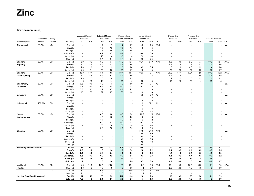#### **Kazzinc (continued)**

|                                   |                          |                  |                            | <b>Measured Mineral</b>  |                | <b>Indicated Mineral</b> |            | Measured and<br>Indicated Resources |                          | Inferred Mineral               |                       |            | Proved Ore       |           | Probable Ore     |                          | <b>Total Ore Reserves</b> |           |      |
|-----------------------------------|--------------------------|------------------|----------------------------|--------------------------|----------------|--------------------------|------------|-------------------------------------|--------------------------|--------------------------------|-----------------------|------------|------------------|-----------|------------------|--------------------------|---------------------------|-----------|------|
| Name of operation                 | Attributable<br>interest | Mining<br>method | Commodity                  | Resources<br>2021        | 2020           | Resources<br>2021        | 2020       | 2021                                | 2020                     | Resources<br>2021              | 2020                  | CP         | Reserves<br>2021 | 2020      | Reserves<br>2021 | 2020                     | 2021                      | 2020      | CP   |
|                                   |                          |                  |                            |                          |                |                          |            |                                     |                          |                                |                       |            |                  |           |                  |                          |                           |           |      |
| Obruchevsky                       | 69.7%                    | UG               | Ore (Mt)<br>Zinc $(%)$     |                          | $\sim$         | 1.7<br>7.5               | 1.7<br>7.5 | 1.7<br>7.5                          | 1.7<br>7.5               | 4.9<br>5                       | 4.9<br>5              | <b>APC</b> |                  |           |                  |                          |                           |           | n.a. |
|                                   |                          |                  | Lead $(\%)$                |                          |                | 3.6                      | 3.6        | 3.6                                 | 3.6                      | $\overline{2}$                 | $\overline{2}$        |            |                  |           |                  |                          |                           |           |      |
|                                   |                          |                  | Copper (%)                 |                          | $\sim$         | 0.7                      | 0.7        | 0.7                                 | 0.7                      | 0.6                            | 0.6                   |            |                  |           |                  |                          |                           |           |      |
|                                   |                          |                  | Silver (g/t)               |                          |                | 18                       | 18         | 18                                  | 18                       | 30                             | 30                    |            |                  |           |                  |                          |                           |           |      |
|                                   |                          |                  | Gold (g/t)                 |                          | $\sim$         | 0.4                      | 0.4        | 0.4                                 | 0.4                      | 0.5                            | 0.5                   |            |                  |           |                  |                          |                           |           |      |
| Zhairem                           | 69.7%                    | OC               | Ore (Mt)                   | 5.9                      | 8.3            | 5.0                      | 6.7        | 11.0                                | 15.1                     | 0.01                           | 0.70                  | <b>APC</b> | 8.3              | 8.0       | 2.0              | 5.7                      | 10.3                      | 13.7      | AAA  |
| Zapadny                           |                          |                  | Zinc $(%$                  | 4.7                      | 4.9            | 4.2                      | 4.2        | 4.5                                 | 4.6                      | $\overline{2}$                 | $\overline{1}$        |            | 4.6              | 4.8       | 3.3              | 4.2                      | 4.3                       | 4.6       |      |
|                                   |                          |                  | Lead $(\%)$                | 1.6                      | 1.6            | 1.3                      | 1.2        | 1.5                                 | 1.4                      | 0.5                            | 0.5                   |            | 1.6              | 1.6       | 0.8              | $1.2$                    | 1.4                       | 1.4       |      |
|                                   |                          |                  | Silver (g/t)               | 30                       | 31             | 26                       | 23         | 28                                  | 27                       | 12                             | 10                    |            | 29               | 30        | 21               | 23                       | 27                        | 27        |      |
| Zhairem                           | 69.7%                    | OC               | Ore (Mt)                   | 36.0                     | 38.4           | 3.1                      | 3.3        | 39.1                                | 41.7                     | 0.03                           | 0.1                   | <b>APC</b> | 39.2             | 37.4      | 0.04             | 2.9                      | 39.3                      | 40.2      | AAA  |
| Dalnezapadny                      |                          |                  | Zinc $(%)$                 | 4.7                      | 4.6            | 5.2                      | 5.1        | 4.7                                 | 4.6                      | 3                              | 3                     |            | 4.5              | 4.5       | 2.0              | 5.0                      | 4.5                       | 4.5       |      |
|                                   |                          |                  | Lead $(\%)$                | 1.3                      | 1.3            | 1.5                      | 1.4        | 1.3                                 | 1.3                      | 2                              | $\mathbf{1}$          |            | 1.2              | 1.2       | 1.0              | 1.3                      | 1.2                       | 1.2       |      |
|                                   |                          |                  | Silver (g/t)               | 16                       | 16             | 14                       | 14         | 16                                  | 16                       | 22                             | 19                    |            | 15               | 16        | 22               | 14                       | 15                        | 16        |      |
| Zhairemsky                        | 69.7%                    | OC               | Ore (Mt)                   | 0.6                      | 0.6            | 1.3                      | 1.3        | 1.9                                 | 1.9                      | 0.1                            | 0.1                   | <b>AL</b>  |                  |           |                  |                          |                           |           | n.a. |
| Ushkatyn                          |                          |                  | Zinc $(%)$                 | 0.1                      | 0.1            | 0.1                      | 0.1        | 0.1                                 | 0.1                      | 0.2                            | 0.2                   |            |                  |           |                  |                          |                           |           |      |
|                                   |                          |                  | Lead $(\%)$                | 5.3                      | 5.3            | 3.7                      | 3.7        | 4.2                                 | 4.2                      | 3                              | 3                     |            |                  |           |                  |                          |                           |           |      |
|                                   |                          |                  | Silver (g/t)               | 35                       | 35             | 27                       | 27         | 30                                  | 30                       | 18                             | 18                    |            |                  |           |                  |                          |                           |           |      |
| Ushkatyn I                        | 69.7%                    | OC               | Ore (Mt)                   | $\sim$                   | $\sim$         | $\sim$                   |            |                                     | $\overline{a}$           | 5.9<br>$\boldsymbol{2}$        | 5.9<br>$\overline{2}$ | AL         |                  |           |                  |                          |                           |           | n.a. |
|                                   |                          |                  | Zinc $(%)$                 |                          |                |                          |            |                                     |                          | 5                              | 5                     |            |                  |           |                  |                          |                           |           |      |
| Uzhynzhal                         | 100.0%                   | ОC               | Lead $(\%)$<br>Ore (Mt)    |                          |                |                          |            |                                     |                          | 21.2                           | 21.2                  | <b>AL</b>  |                  |           |                  |                          |                           |           | n.a. |
|                                   |                          |                  | Zinc $(%$                  |                          |                |                          |            |                                     |                          | $\overline{1}$                 | $\overline{1}$        |            |                  |           |                  |                          |                           |           |      |
|                                   |                          |                  | Lead $(\%)$                |                          |                |                          |            |                                     | $\overline{\phantom{a}}$ | 3                              | 3                     |            |                  |           |                  |                          |                           |           |      |
|                                   |                          |                  | Silver (g/t)               |                          |                |                          |            |                                     |                          | 48                             | 48                    |            |                  |           |                  |                          |                           |           |      |
| Novo-                             | 69.7%                    | UG               | Ore (Mt)                   |                          | $\sim$         | 8.0                      | 8.0        | 8.0                                 | 8.0                      | 22.2                           | 22.2                  | <b>APC</b> |                  |           |                  |                          |                           |           | n.a. |
| Leninogorsky                      |                          |                  | Zinc $(%)$                 |                          | $\sim$         | 4.3                      | 4.3        | 4.3                                 | 4.3                      | 5                              | 5                     |            |                  |           |                  |                          |                           |           |      |
|                                   |                          |                  | Lead $(\%)$                |                          | $\sim$         | 1.7                      | 1.7        | 1.7                                 | 1.7                      | $\overline{2}$                 | $\overline{2}$        |            |                  |           |                  |                          |                           |           |      |
|                                   |                          |                  | Copper (%)                 |                          |                | 0.2                      | 0.2        | 0.2                                 | 0.2                      | 0.2                            | 0.2                   |            |                  |           |                  |                          |                           |           |      |
|                                   |                          |                  | Silver (g/t)               |                          |                | 38                       | 38         | 38                                  | 38                       | 48                             | 48                    |            |                  |           |                  |                          |                           |           |      |
|                                   |                          |                  | Gold (g/t)                 |                          |                | 2.0                      | 2.0        | 2.0                                 | 2.0                      | 1.8                            | 2.0                   |            |                  |           |                  |                          |                           |           |      |
| Chekmar                           | 69.7%                    | OC               | Ore (Mt)                   |                          |                |                          |            |                                     |                          | 57.8                           | 57.8                  | <b>APC</b> |                  |           |                  |                          |                           |           | n.a. |
|                                   |                          |                  | Zinc(%)                    |                          |                |                          |            |                                     | $\overline{a}$           | 2.6                            | 3.0                   |            |                  |           |                  |                          |                           |           |      |
|                                   |                          |                  | Lead $(\%)$                |                          |                |                          |            |                                     |                          | 0.9                            | 0.9                   |            |                  |           |                  |                          |                           |           |      |
|                                   |                          |                  | Copper (%)                 |                          |                |                          |            |                                     |                          | 0.5                            | 0.5                   |            |                  |           |                  |                          |                           |           |      |
|                                   |                          |                  | Silver (g/t)               |                          |                |                          |            |                                     |                          | 13                             | 13                    |            |                  |           |                  |                          |                           |           |      |
|                                   |                          |                  | Gold (g/t)                 | $\overline{\phantom{a}}$ | $\sim$         | $\sim$                   | $\sim$     |                                     | $\overline{\phantom{a}}$ | 0.4                            | 0.4                   |            |                  |           |                  | $\overline{\phantom{a}}$ |                           |           |      |
| <b>Total Polymetallic Kazzinc</b> |                          |                  | Ore (Mt)                   | 94                       | 111            | 113                      | 123        | 208<br>2.0                          | 234<br>2.0               | 166<br>2.0                     | 172<br>2.2            |            | 70<br>3.4        | 68<br>3.5 | 15.1<br>3.1      | 23.8                     | 85<br>3.3                 | 92<br>3.5 |      |
|                                   |                          |                  | Zinc $(\%)$<br>Lead $(\%)$ | 2.7<br>0.9               | 2.8<br>0.9     | 1.3<br>0.4               | 1.4<br>0.4 | 0.6                                 | 0.6                      | 1.2                            | 1.2                   |            | 1.0              | 1.0       | 0.3              | 3.5<br>0.6               | 0.9                       | 0.9       |      |
|                                   |                          |                  | Copper (%)                 | 0.3                      | 0.3            | 0.2                      | 0.2        | 0.3                                 | 0.3                      | 0.3                            | 0.3                   |            | 0.1              | 0.2       | 0.4              | 0.3                      | 0.2                       | 0.2       |      |
|                                   |                          |                  | Silver (g/t)               | 18                       | 18             | 13                       | 13         | 15                                  | 15                       | 21                             | 21                    |            | 17               | 18        | 14               | 15                       | 16                        | 17        |      |
|                                   |                          |                  | Gold (g/t)                 | 1.2                      | 1.1            | 1.0                      | 1.0        | 1.1                                 | 1.0                      | 0.7                            | 0.8                   |            | 0.7              | 0.6       | 1.3              | 0.8                      | 0.8                       | 0.7       |      |
|                                   |                          |                  |                            |                          |                |                          |            |                                     |                          |                                |                       |            |                  |           |                  |                          |                           |           |      |
| Vasilkovsky                       | 69.7%                    | OC               | Ore (Mt)                   | 63                       | 71.8           | 26.5                     | 26.5       | 89                                  | 98.4                     | 0.6                            | 0.6                   | <b>APC</b> | 35.4             | 43.0      | 36.0             | 36.0                     | 71                        | 79        | AAA  |
| (Gold)                            |                          |                  | Gold (g/t)                 | 1.9                      | 1.9            | 1.9                      | 1.9        | 1.9                                 | 1.9                      | $\overline{1}$                 | 0.9                   |            | 2.0              | 2.0       | 1.8              | 1.8                      | 1.9                       | 1.9       |      |
|                                   |                          | UG               | Ore (Mt)                   | 1.4                      | $\overline{1}$ | 26.5                     | 27         | 27.9                                | 27.9                     | 1.4                            | 1.4                   | <b>APC</b> | $\sim$           |           |                  |                          |                           |           |      |
| Kazzinc Gold (Vasilkovskoye)      |                          |                  | Gold (g/t)<br>Ore (Mt)     | 2.1<br>64                | 2.1<br>73      | 2.3<br>53                | 2.3<br>53  | 2.3<br>117                          | 2.3<br>126               | $\overline{\mathbf{c}}$<br>2.0 | 2.2<br>2.0            |            | 35               | 43        | 36               | $\sim$<br>36             | $\sim$<br>71              | 79        |      |
|                                   |                          |                  | Gold (g/t)                 | 1.9                      | 1.9            | 2.1                      | 2.1        | 2.0                                 | 2.0                      | 1.7                            | 1.8                   |            | 2.0              | 2.0       | 1.8              | 1.8                      | 1.9                       | 1.9       |      |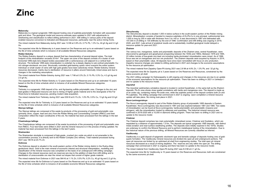#### **Maleevsky**

Maleevsky is a typical syngenetic VMS deposit hosting ores of sulphide-polymetallic formation with associated gold and silver. The geological model and resource estimate were updated in 2021 with adjustments to wireframing and classification to reflect drilling performed in 2021. Infill drilling in various parts of the deposit enabled resource conversion to Indicated and Measured resources, particularly near the active mining fronts.

The mined material from Maleevsky during 2021 was 1.6 Mt at 3.9% Zn, 0.7% Pb, 1.3% Cu, 44 g/t Ag and 0.3 g/t Au.

The expected mine life for Maleevsky is 4 years based on Ore Reserves and up to an estimated 5 years based on the life of mine schedule which is inclusive of all available Mineral Resources categories.

#### **Ridder-Sokolny**

The Ridder-Sokolny deposit is a unique deposit that has characteristics of several deposit styles. The total footprint of the mineralisation exceeds 20 km2. The upper ore zone of the deposit consists of a cluster of subhorizontal VMS-style lens-shaped bodies associated with a carbonaceous unit adjacent to a vertical fault structure. The lenticular VMS-style mineralisation is underlain by a steeply dipping to sub-vertical polymetallic Curich stringer-stockwork ore zone. Structurally controlled gold-bearing quartz veins overprint the entire system. Individual or small cluster of veins with high gold grades have been selectively mined. Ridder-Sokolny mineral resources decreased, mainly due to sterilization of resource in pillars around historically mined areas and due to changes in the marketing assumptions.

The mined material from Ridder-Sokolny during 2021 was 1.7 Mt at 0.3% Zn, 0.1% Pb, 0.3% Cu, 4.3 g/t Ag and 2.0 g/t Au.

The expected mine life for Ridder-Sokolny is 12 years based on Ore Reserves and up to an estimated 15 years based on the life of mine schedule which is inclusive of all available Mineral Resources categories.

#### **Tishinsky**

Tishinsky is a syngenetic VMS deposit of Au- and Ag-bearing sulfide polymetallic ores. Changes to the zinc and lead grades in Measured resource are due to mining of higher grade material and to the downgrade of the Far West Zone to Indicated resources, pending modern data acquisition.

The mined material from Tishinsky during 2021 was 539 Kt at 6.1% Zn, 1.0% Pb, 0.5% Cu, 13 g/t Ag and 0.9 g/t Au.

The expected mine life for Tishinsky is 2.5 years based on Ore Reserves and up to an estimated 10 years based on the life of mine schedule which is inclusive of all available Mineral Resources categories.

#### **Staroye tailings**

The Staroye tailings are composed of the waste by-products of the processing of gold and polymetallic ores (primarily silver, copper, lead and zinc) from the Ridder Mining and Concentrating Complex (RMCC) and their composition reflect the major constituents of the ore. No material has been processed from the tailings in the last 5 years.

#### **Chasinskoye tailings**

The Chashinskoye tailings are composed of the waste by-products of the processing of gold and polymetallic ores from RMCC. Four test holes were drilled in 2021 and the mineral resource is in the process of being updated. No material has been processed from the tailings in the last 5 years.

#### **Shaimerden**

The Shaimerden stockpile is composed of high-grade, crushed zinc oxide ore which is not amenable to the concentration process; it is directly sent to the Ridder Complex Zinc refinery. Total material processed during 2021 was 180 Kt at 20.7% Zn.

#### **Dolinnoe**

The Dolinnoe deposit is situated in the south-eastern portion of the Ridder mining district in the Rudny-Altay geotectonic block. Gold is the main mineral of economic interest and structural interpretation, modelling and classification of the mineral resource was completed on the basis of an underground infill drilling campaign. Changes to the mineral resources (and ore reserves) are due to the addition of data from infill drilling and to sterilisation of unrecoverable ore near the mined out stopes that consist of higher grade material.

The mined material from Dolinnoe in 2021 was 564 Kt at 1.1% Zn, 0.5% Pb, 0.2% Cu, 40 g/t Ag and 2.2 g/t Au.

The expected mine life for Dolinnoe is 9 years based on Ore Reserves and up to an estimated 10 years based on the life of mine schedule which is inclusive of all available economic Mineral Resources categories.

#### **Obruchevsky**

The Obruchevsky deposit is situated 1,000 m below surface in the south-eastern portion of the Ridder mining district. Mineralisation consists of banded to massive sulphides of Zn-Pb-Cu in one principal, subhorizontal lens 1,000 m long by 300 m wide with thickness from 3 to >40 m. It was discovered in 1987 and delineated with 147,000 m of drilling in 130 drillholes by the end of 1996. Confirmation and infill drilling was ongoing in 2019, 2020, and 2021. Late arrival of analytical results and a substantially modified geological model delayed a resource update for year-end 2021.

#### **Zhairem**

The various iron, manganese, barite and polymetallic deposits of the Zhairem area, central Kazakhstan, were discovered by geological and geophysical prospecting between the 1930s and 1960s. Between 1978 and 1995, 22 million tonnes of low-grade zinc-lead ore including barite-dominated mineralisation were mined. As of 1996, focus was set on manganese and iron ore production. The Zhairem deposits were acquired by Kazzinc in 2014, based on their polymetallic value. All deposits have since been remodelled with focus on zinc production. Zapadny resource changes are related to drilling performed in 2021 and changes to the economic assumptions for the resource pit optimization.

The mined material from Zapadny Open-Pit during 2021 was 2.8 Mt at 4.8% Zn, 1.3% Pb, and 32 g/t Ag.

The expected mine life for Zapadny pit is 3 years based on Ore Reserves and Resources, constrained by the same economic pit shell.

The 2021 drilling campaign for Dalnezapadny is still ongoing and changes in the resources are due to an update of the economic assumptions for the resource pit optimization. There has been no drilling in 2021 in Ushkatyn I and no update to the resource model.

#### **Uzynzhal**

The Uzynzhal sedimentary exhalative deposit is located in central Kazakhstan, in the same belt as the Zhairem deposits. Pb-Zn ores shows close spatial correlations with barite and manganese ores. The deposit is made up of an oxide cap, containing mainly Pb-oxide ores, while the sulphide portion of the deposit contains both Zn and Pb sulphides. The drilling campaign that commenced in 2021 is ongoing. Upon completion a mineral resource update will take place. No mining took place in 2021.

#### **Novo-Leninogorskoye**

The Novo-Leninogorsky deposit is part of the Ridder-Sokolny group of polymetallic VMS deposits in Eastern Kazakhstan. Novo-Leninogorsky was discovered in 1981 and was explored between 1981 and 1985. Two styles of mineralisation can be found at Novo-Leninogorsky: barite-polymetallic and polymetallic (massive and stringers), with the mineralisation hosted by siltstones and quartzites. The historical mineral resource was confirmed in 2019-2020 with a 15,000 m diamond drilling program. There has been no drilling in 2021 and no update to the resource model.

#### **Chekmar**

The Chekmar deposit comprises two main polymetallic mineralised zones: Chekmar and Gusliakov, which are separated by a distance of approximately 1.5 km. The deposits are typical syngenetic VMS deposits, with distinct metal zonation and near-surface weathering profiles. The deposits were initially explored in the 1970s. Studies are underway to confirm the Mineral Resource and to perform metallurgical testing of the mineralization. Due to the historical nature of the previous drilling, all Mineral Resources are currently classified as Inferred.

#### **Vasilkovsky**

Vasilkovsky is a gold deposit of epigenetic stockwork type and beresite subtype of deposits hosting ores of goldquartz formation. The Vasilkovsky mineral resources are divided into open pit and underground portions. The open pit resources are limited by an optimised pit shell from engineering studies. The total open pit mineral resources decreased as a result of mining depletion. The reserves are only within the open pit. The drilling campaign that commenced in 2021 is ongoing and there has been no update to the resource model.

The mined material from Vasilkovsky Open-Pit during 2021 was 8.0 Mt at 2.1 g/t Au.

The expected mine life for Vasilkovsky is 10 years based on Ore Reserves and Resources; both are constrained by the same economic pit shell.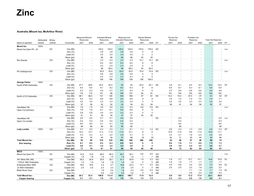#### **Australia (Mount Isa, McArthur River)**

|                                            |              |        |                         | <b>Measured Mineral</b>         |                          | <b>Indicated Mineral</b> |            | Measured and               |            | Inferred Mineral         |                   |           | Proved Ore |                          | Probable Ore             |                          |                           |            |           |
|--------------------------------------------|--------------|--------|-------------------------|---------------------------------|--------------------------|--------------------------|------------|----------------------------|------------|--------------------------|-------------------|-----------|------------|--------------------------|--------------------------|--------------------------|---------------------------|------------|-----------|
|                                            | Attributable | Mining |                         | Resources                       |                          | Resources                |            | <b>Indicated Resources</b> |            | Resources                |                   |           | Reserves   |                          | Reserves                 |                          | <b>Total Ore Reserves</b> |            |           |
| Name of operation                          | interest     | method | Commodity               | 2021                            | 2020                     | 2021                     | 2020       | 2021                       | 2020       | 2021                     | 2020              | CP        | 2021       | 2020                     | 2021                     | 2020                     | 2021                      | 2020       | CP        |
| <b>Mount Isa</b>                           | 100%         |        |                         |                                 |                          |                          |            |                            |            |                          |                   |           |            |                          |                          |                          |                           |            |           |
| Mount Isa Open Pit - Zn                    |              | OC     | Ore (Mt)                |                                 |                          | 125.0                    | 125.0      | 125.0                      | 125.0      | 178.0                    | 178.0             | DC        |            |                          |                          |                          |                           |            | n.a.      |
|                                            |              |        | Zinc $(%)$              |                                 | $\overline{\phantom{a}}$ | 3.9                      | 3.9        | 3.9                        | 3.9        | 4                        | 4                 |           |            |                          |                          |                          |                           |            |           |
|                                            |              |        | Lead $(\%)$             |                                 | $\overline{\phantom{a}}$ | 3.0                      | 3.0        | 3.0                        | 3.0        | $\overline{2}$           | $\overline{2}$    |           |            |                          |                          |                          |                           |            |           |
|                                            |              |        | Silver (g/t)            |                                 | ÷                        | 66                       | 66         | 66                         | 66         | 35                       | 35                |           |            |                          |                          |                          |                           |            |           |
| Rio Grande                                 |              | UG     | Ore (Mt)                | $\overline{\phantom{a}}$        | $\sim$                   | 2.3                      | 2.3        | 2.3                        | 2.3        | 13.1                     | 13.1              | DC        |            |                          |                          | ٠                        |                           | ٠          | n.a.      |
|                                            |              |        | Zinc $(%)$              |                                 | $\blacksquare$           | 6.0                      | 6.0        | 6.0                        | 6.0        | 6                        | 6                 |           |            |                          |                          |                          |                           |            |           |
|                                            |              |        | Lead $(\%)$             |                                 | $\blacksquare$           | 2.4                      | 2.4        | 2.4                        | 2.4        | $\overline{2}$           | $\overline{2}$    |           |            |                          |                          |                          |                           |            |           |
|                                            |              |        | Silver (g/t)            |                                 | $\sim$                   | 58                       | 58.0       | 58                         | 58.0       | 54                       | 54.0              |           |            |                          |                          |                          |                           |            |           |
| Pb Underground                             |              | UG     | Ore (Mt)                |                                 | ÷.                       | 32.0                     | 32.0       | 32.0                       | 32.0       | 15.4                     | 15.4              | DC        |            |                          |                          | $\overline{a}$           |                           | ٠          | n.a.      |
|                                            |              |        | Zinc(%)                 |                                 | ÷,                       | 4.8                      | 4.8        | 4.8                        | 4.8        | $\overline{4}$           | 4                 |           |            |                          |                          |                          |                           |            |           |
|                                            |              |        | Lead $(\%)$             |                                 | $\sim$                   | 4.3                      | 4.3        | 4.3                        | 4.3        | 5                        | 5                 |           |            |                          |                          | ٠                        |                           |            |           |
|                                            |              |        | Silver (g/t)            | $\overline{\phantom{a}}$        | $\sim$                   | 108                      | 108        | 108                        | 108        | 108                      | 108.0             |           |            | $\overline{\phantom{a}}$ | $\overline{\phantom{a}}$ | $\sim$                   | $\blacksquare$            | ÷          |           |
| <b>George Fisher</b>                       | 100%         | UG     |                         | 27.7                            | 28.6                     | 24.2                     | 24.4       | 52                         | 53         | 20.4                     | 20.1              | <b>DC</b> |            | 6.1                      | 8.4                      | 8.3                      | 12.2                      | 14.4       | <b>CF</b> |
| South (P49) Orebodies                      |              |        | Ore (Mt)<br>Zinc $(% )$ | 8.4                             | 8.4                      | 8.1                      | 8.2        | 8.2                        | 8.3        | 8                        | 8                 |           | 3.8<br>6.5 | 6.7                      | 6.3                      | 6.1                      | 6.4                       | 6.4        |           |
|                                            |              |        | Lead $(\%)$             | 5.3                             | 5.3                      | 4.8                      | 4.7        | 5.1                        | 5.0        | 5                        | 5                 |           | 4.7        | 4.6                      | 4.6                      | 4.6                      | 4.6                       | 4.6        |           |
|                                            |              |        | Silver (g/t)            | 116                             | 115                      | 101                      | 98         | 109                        | 107        | 94                       | 91                |           | 101        | 100                      | 103                      | 103                      | 102                       | 102        |           |
| North (L72) Orebodies                      |              | UG     | Ore (Mt)                | 48.1                            | 49.2                     | 121                      | 120        | 169                        | 169        | 57                       | 61                | DC        | 14.3       | 15.4                     | 37.0                     | 37                       | 51                        | 52         | <b>CF</b> |
|                                            |              |        | Zinc $(% )$             | 9.4                             | 9.2                      | 8.8                      | 8.8        | 9.0                        | 8.9        | 9                        | 9                 |           | 7.6        | 7.2                      | 7.2                      | 7.0                      | 7.4                       | 7.1        |           |
|                                            |              |        | Lead $(\%)$             | 3.4                             | 3.4                      | 3.3                      | 3.3        | 3.3                        | 3.4        | 3                        | 3                 |           | 3.4        | 3.5                      | 3.3                      | 3.3                      | 3.4                       | 3.4        |           |
|                                            |              |        | Silver (g/t)            | 57                              | 58                       | 52                       | 52         | 53                         | 54         | 53                       | 54                |           | 58         | 61                       | 54                       | 56                       | 55                        | 57         |           |
| Handlebar Hill                             |              | OC     | Ore (Mt)                | 1.6                             | 1.6                      | 3.6                      | 3.6        | 5.2                        | 5.2        | 0.8                      | 0.8               | DC        |            |                          |                          | $\sim$                   |                           | $\sim$     | n.a.      |
| Open Cut (primary)                         |              |        | Zinc(%)                 | 7.8                             | 7.8                      | 6.1                      | 6.1        | 6.6                        | 6.6        | 5                        | 5                 |           |            |                          |                          |                          |                           |            |           |
|                                            |              |        | Lead $(\%)$             | 2.6                             | 2.6                      | 2.0                      | 2.0        | 2.2                        | $2.2\,$    | 2                        | $\overline{2}$    |           |            |                          |                          |                          |                           |            |           |
|                                            |              |        | Silver (g/t)            | 41                              | 41                       | 35                       | 35         | 37                         | 37         | 30                       | 30                |           |            |                          |                          |                          |                           |            |           |
| Handlebar Hill                             |              | OC     | Ore (Mt)                | 0.5                             | 0.5                      | 0.1                      | 0.1        | 0.6                        | 0.6        |                          |                   | DC        |            | 0.5                      |                          |                          |                           | 0.5        | n.a.      |
| Open Cut (oxide)                           |              |        | Zinc $(%)$              | 0.4                             | 0.4                      | 0.4                      | 0.4        | 0.4                        | 0.4        |                          |                   |           |            | 0.4                      |                          | ٠                        | $\blacksquare$            | 0.4        |           |
|                                            |              |        | Lead $(\%)$             | 8.5                             | 8.5                      | 4.1                      | 4.1        | 7.8                        | 7.8        | $\overline{\phantom{a}}$ |                   |           |            | 8.5                      |                          | $\overline{\phantom{a}}$ | $\overline{a}$            | 8.5        |           |
|                                            |              |        | Silver (g/t)            | 89                              | 89                       | 65                       | 65         | 85                         | 85         | $\sim$                   |                   |           |            | 89                       |                          | $\sim$                   | $\blacksquare$            | 89         |           |
| Lady Loretta                               | 100%         | UG     | Ore (Mt)                | 4.7                             | 5.5                      | 2.4                      | 2.5        | 7.1                        | 8.1        | 1.1                      | 1.2               | DC        | 3.6        | 4.3                      | 1.3                      | 0.9                      | 4.9                       | 5.3        | CF        |
|                                            |              |        | Zinc(%)                 | 12.2                            | 13.7                     | 11.3                     | 11.9       | 11.9                       | 13.1       | 8                        | 8                 |           | 10.9       | 11.8                     | 9.6                      | 11.5                     | 10.6                      | 11.7       |           |
|                                            |              |        | Lead $(\%)$             | 3.3                             | 4.3                      | 2.1                      | 2.4        | 2.9                        | 3.7        | 3                        | $\mathbf{1}$      |           | 3.3        | 4.1                      | 1.8                      | 2.2                      | 2.9                       | 3.8        |           |
|                                            |              |        | Silver (g/t)            | 63                              | 76                       | 45                       | 49         | 57                         | 68         | 33                       | 33                |           | 62         | 71                       | 35                       | 45                       | 55                        | 66         |           |
| <b>Total Mount Isa</b>                     |              |        | Ore (Mt)                | 83                              | 85                       | 310                      | 310        | 393                        | 395        | 286                      | 290               |           | 22         | 26                       | 47                       | 46                       | 68                        | 72         |           |
| <b>Zinc bearing</b>                        |              |        | Zinc $(\%)$             | 9.1                             | 9.2                      | 6.3                      | 6.3        | 6.9                        | 6.9        | 5                        | 5                 |           | 8.0        | 7.8                      | 7.1                      | 6.9                      | 7.5                       | 7.3        |           |
|                                            |              |        | Lead (%)                | 4.0                             | 4.1                      | 3.4                      | 3.4        | 3.5                        | 3.6        | 2                        | 3                 |           | 3.6        | 3.9                      | 3.5                      | 3.5                      | 3.6                       | 3.7        |           |
|                                            |              |        | Silver (g/t)            | 77                              | 78                       | 67                       | 67         | 69                         | 69         | 48                       | 48                |           | 66         | 72                       | 62                       | 64                       | 63                        | 67         |           |
| <b>MICO</b>                                | 100%         |        |                         |                                 |                          |                          |            |                            |            |                          |                   |           |            |                          |                          |                          |                           |            |           |
| Mount Isa Open Pit                         |              | OC     | Ore (Mt)                | 12.9                            | 12.9                     | 80.2                     | 80.2       | 93.1                       | 93.1       | 9.5                      | 9.5               | DC/       |            |                          |                          | $\sim$                   | $\overline{\phantom{a}}$  | ÷.         | n.a.      |
|                                            |              |        | Copper (%)              | 1.8                             | 1.8                      | 1.4                      | 1.4        | 1.5                        | 1.5        | $\mathbf{1}$             | $\mathbf{1}$      | AM        |            |                          |                          | $\sim$                   |                           |            |           |
| X41 Mine 500, 650,                         |              | UG     | Ore (Mt)                | 26.2                            | 24.9                     | 25.5                     | 26.1       | 51.7                       | 50.9       | 1.9                      | 2.3               | DC        | 1.9        | 2.7                      | 12.7                     | 13.1                     | 14.6                      | 15.9       | SJ        |
| 1100 & 1900 Orebodies                      |              |        | Copper (%)              | 1.9                             | 1.9                      | 1.8                      | 1.8        | 1.9                        | 1.8        | $\overline{2}$           | $\overline{2}$    | AM        | 1.8        | 1.8                      | 1.7                      | 1.7                      | 1.7                       | 1.7        | SJ        |
| Enterprise Mine 3000                       |              | UG     | Ore (Mt)                | 16.6                            | 19.6                     | 2.2                      | 2.7        | 18.8                       | 22.3       | 0.1<br>$\boldsymbol{2}$  | 0.2<br>$\sqrt{2}$ | DC<br>AM  | 4.0<br>2.5 | 6.8<br>2.5               | 3.4<br>2.2               | 2.9<br>1.9               | 7.4<br>2.4                | 9.6<br>2.3 |           |
| & 3500 Orebodies<br><b>Black Rock Cave</b> |              | UG     | Copper (%)              | 2.5<br>$\overline{\phantom{a}}$ | 2.5                      | 2.3<br>1.9               | 2.3<br>2.4 | 2.5<br>1.9                 | 2.4<br>2.4 | 0.4                      | 0.4               | DC        |            |                          | 1.1                      | 1.4                      | 1.1                       | 1.4        | SJ        |
|                                            |              |        | Ore (Mt)<br>Copper (%)  |                                 |                          | 5.5                      | 5.5        | 5.5                        | 5.5        | $\overline{4}$           | $\overline{4}$    | AM        | $\sim$     | $\overline{a}$           | 4.8                      | 4.4                      | 4.8                       | 4.4        |           |
| Total Mount Isa -                          |              |        | Ore (Mt)                | 55.7                            | 57.4                     | 109.8                    | 111.4      | 165.5                      | 168.7      | 11.9                     | 12.4              |           | 5.9        | 9.5                      | 17.2                     | 17.4                     | 23.1                      | 26.9       |           |
| <b>Copper bearing</b>                      |              |        | Copper (%)              | 2.1                             | 2.1                      | 1.6                      | 1.6        | 1.8                        | 1.8        | 1.5                      | 1.5               |           | 2.3        | 2.3                      | 2.0                      | 1.9                      | 2.0                       | 2.1        |           |
|                                            |              |        |                         |                                 |                          |                          |            |                            |            |                          |                   |           |            |                          |                          |                          |                           |            |           |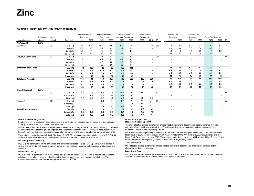#### **Australia (Mount Isa, McArthur River) (continued)**

|                             | Attributable | Minina |              | <b>Measured Mineral</b><br>Resources |                          | <b>Indicated Mineral</b><br>Resources |      | Measured and<br><b>Indicated Resources</b> |      | <b>Inferred Mineral</b><br>Resources |        |           | Proved Ore<br>Reserves   |                          | Probable Ore<br>Reserves |                          | <b>Total Ore Reserves</b> |                          |      |
|-----------------------------|--------------|--------|--------------|--------------------------------------|--------------------------|---------------------------------------|------|--------------------------------------------|------|--------------------------------------|--------|-----------|--------------------------|--------------------------|--------------------------|--------------------------|---------------------------|--------------------------|------|
| Name of operation           | interest     | method | Commodity    | 2021                                 | 2020                     | 2021                                  | 2020 | 2021                                       | 2020 | 2020                                 | 2019   | CP        | 2021                     | 2020                     | 2021                     | 2020                     | 2021                      | 2020                     | CP   |
| <b>McArthur River</b>       | 100%         |        |              |                                      |                          |                                       |      |                                            |      |                                      |        |           |                          |                          |                          |                          |                           |                          |      |
| Open Cut                    |              | OC     | Ore (Mt)     | 103                                  | 106                      | 40.8                                  | 48.6 | 144                                        | 154  |                                      | ٠      | CH        | 71                       | 74                       | 20.0                     | 12.7                     | 91                        | 87                       | DH   |
|                             |              |        | Zinc $(%)$   | 9.7                                  | 9.5                      | 9.7                                   | 9.5  | 9.7                                        | 9.5  |                                      |        |           | 9.1                      | 9.4                      | 7.8                      | 7.8                      | 8.8                       | 9.2                      |      |
|                             |              |        | Lead $(\% )$ | 4.2                                  | 4.1                      | 4.9                                   | 4.7  | 4.4                                        | 4.3  |                                      |        |           | 4.1                      | 4.3                      | 4.0                      | 3.8                      | 4.1                       | 4.2                      |      |
|                             |              |        | Silver (g/t) | 42                                   | 40                       | 52                                    | 51   | 45                                         | 44   |                                      |        |           | 41                       | 43                       | 42                       | 39                       | 41                        | 42                       |      |
| Woyzbun South Zone          |              | UG     | Ore (Mt)     | $\overline{\phantom{a}}$             | $\sim$                   | 8.3                                   | 8.3  | 8.3                                        | 8.3  | $\sim$                               | $\sim$ | CH        | $\overline{\phantom{a}}$ | $\sim$                   | $\sim$                   | $\sim$                   |                           | $\overline{\phantom{a}}$ | n.a. |
|                             |              |        | Zinc $(%)$   |                                      | $\overline{\phantom{a}}$ | 14.2                                  | 14.2 | 14.2                                       | 14.2 |                                      |        |           |                          |                          |                          |                          |                           |                          |      |
|                             |              |        | Lead $(\%)$  |                                      | $\blacksquare$           | 5.6                                   | 5.6  | 5.6                                        | 5.6  | $\overline{a}$                       |        |           |                          |                          |                          | $\overline{\phantom{a}}$ |                           |                          |      |
|                             |              |        | Silver (g/t) |                                      |                          | 58                                    | 58   | 58                                         | 58   |                                      |        |           |                          |                          |                          |                          |                           |                          |      |
| <b>Total McArthur River</b> |              |        | Ore (Mt)     | 103                                  | 106                      | 49                                    | 57   | 152                                        | 162  | $\sim$                               |        |           | 71                       | 74                       | 20.0                     | 12.7                     | 91                        | 87                       |      |
|                             |              |        | Zinc $(\%)$  | 9.7                                  | 9.5                      | 10.5                                  | 10.2 | 9.9                                        | 9.7  |                                      |        |           | 9.1                      | 9.4                      | 7.8                      | 7.8                      | 8.8                       | 9.2                      |      |
|                             |              |        | Lead $(\%)$  | 4.2                                  | 4.1                      | 5.0                                   | 4.8  | 4.5                                        | 4.4  | $\blacksquare$                       |        |           | 4.1                      | 4.3                      | 4.0                      | 3.8                      | 4.1                       | 4.2                      |      |
|                             |              |        | Silver (g/t) | 42                                   | 40                       | 53                                    | 52   | 46                                         | 45   | $\overline{\phantom{a}}$             |        |           | 41                       | 43                       | 42                       | 39                       | 41                        | 42                       |      |
| <b>Total Zinc Australia</b> |              |        | Ore (Mt)     | 186                                  | 191                      | 359                                   | 367  | 545                                        | 558  | 286                                  | 290    |           | 93                       | 100                      | 67                       | 59                       | 159                       | 159                      |      |
|                             |              |        | Zinc $(\%)$  | 9.4                                  | 9.3                      | 6.9                                   | 6.9  | 7.8                                        | 7.7  | 5                                    | 5      |           | 8.8                      | 9.0                      | 7.3                      | 7.1                      | 8.2                       | 8.3                      |      |
|                             |              |        | Lead $(\%)$  | 4.1                                  | 4.1                      | 3.6                                   | 3.6  | 3.8                                        | 3.8  | 2                                    | 3      |           | 4.0                      | 4.2                      | 3.6                      | 3.6                      | 3.9                       | 4.0                      |      |
|                             |              |        | Silver (g/t) | 58                                   | 57                       | 65                                    | 65   | 62                                         | 62   | 48                                   | 48     |           | 47                       | 51                       | 56                       | 59                       | 51                        | 53                       |      |
| <b>Mount Margaret</b>       | 100%         |        |              |                                      |                          |                                       |      |                                            |      |                                      |        |           |                          |                          |                          |                          |                           |                          |      |
| E <sub>1</sub>              |              | OC     | Ore (Mt)     | 4.6                                  | 4.6                      | 5.5                                   | 5.5  | 10.1                                       | 10.1 | 0.4                                  | 0.4    | <b>JS</b> |                          |                          |                          |                          |                           |                          | n.a. |
|                             |              |        | Copper (%)   | 0.7                                  | 0.7                      | 0.8                                   | 0.8  | 0.7                                        | 0.7  | -1                                   | -1     |           |                          |                          |                          |                          |                           |                          |      |
|                             |              |        | Gold (g/t)   | 0.2                                  | 0.2                      | 0.2                                   | 0.2  | 0.2                                        | 0.2  | 0.3                                  | 0.3    |           |                          |                          | $\overline{\phantom{a}}$ | $\sim$                   |                           |                          |      |
| Monakoff                    |              | OC     | Ore (Mt)     | $\overline{\phantom{a}}$             | $\overline{\phantom{a}}$ | 2.4                                   | 2.4  | 2.4                                        | 2.4  | 0.1                                  | 0.1    | <b>JS</b> |                          |                          |                          |                          |                           | $\overline{\phantom{a}}$ | n.a. |
|                             |              |        | Copper (%)   |                                      | $\overline{\phantom{a}}$ | 1.0                                   | 1.0  | 1.0                                        | 1.0  | 0.8                                  | 0.8    |           |                          |                          |                          | $\overline{\phantom{a}}$ |                           |                          |      |
|                             |              |        | Gold (g/t)   | $\overline{\phantom{a}}$             | $\sim$                   | 0.3                                   | 0.3  | 0.3                                        | 0.3  | 0.2                                  | 0.2    |           | $\overline{a}$           | $\overline{\phantom{a}}$ | $\sim$                   | $\sim$                   |                           |                          |      |
| <b>Total Mount Margaret</b> |              |        | Ore (Mt)     | 5                                    | 5                        | 8                                     | 8    | 13                                         | 13   | 0.5                                  | 0.5    |           | $\blacksquare$           |                          | $\blacksquare$           | $\overline{\phantom{a}}$ |                           |                          |      |
|                             |              |        | Copper (%)   | 0.6                                  | 0.6                      | 0.8                                   | 0.8  | 0.7                                        | 0.7  | 0.9                                  | 0.9    |           |                          |                          |                          |                          |                           |                          |      |
|                             |              |        | Gold (g/t)   | 0.2                                  | 0.2                      | 0.2                                   | 0.2  | 0.2                                        | 0.2  | 0.3                                  | 0.3    |           |                          |                          |                          |                          |                           |                          |      |

#### **Mount Isa Open Pit ("MIOP")**

Lead-zinc-silver mineralisation occurs in galena and sphalerite-rich bedding parallel horizons in dolomitic and variably carbonaceous pyritic shales and siltstones.

Approximately 85% of the lead-zinc-silver Mineral Resource is primary sulphide; the remainder being considered as transitional mineralisation (mixed sulphide and secondary oxide/carbonate). The copper resource in MIOP has not been included here; it is reported separately as part of MICO, and is constrained by the same pit shell.

The region's previously reported Black Star Open Cut (BSOC) resources are now included here. MIOP, PBUG and the RG are all located on Mining Lease ML8058 which expires on 30 November 2036.

#### **Pb Underground ("PBUG")**

PBUG is the continuation of the same lead-zinc-silver mineralisation in Black Star Open Cut, which occurs in galena and sphalerite-rich bedding parallel horizons in dolomitic and variably carbonaceous pyritic shales and siltstones.

#### **Rio Grande ("RG")**

RG is a southern continuation of PBUG where lead-zinc-silver mineralisation occurs in galena and sphaleriterich bedding parallel horizons in dolomitic and variably carbonaceous pyritic shales and siltstones. This mineralization occurs close to Cu mine operations around 4800N.

#### **Mount Isa Copper ("MICO") Mount Isa Copper Open Pit**

The mineralisation occurs generally as breccia-hosted massive to disseminated copper minerals in "silicadolomite" altered pyritic dolomitic siltstone. The Mineral Resources consist primarily of chalcopyrite, the remainder being oxidised or partially oxidised.

Ore Reserves were depleted by a combined 3.4 Mt from X41 and Enterprise Mines and 0.4 Mt from the Black Rock Cave in 2021. The underground life of mine estimate for the X41 mine is 2026, with Enterprise and the Black Rock Cave closing in early 2025. The tenements are due to expire on 30 November 2036. The life of mine of MICO is under review pending the outcome of several engineering studies.

#### **X41 & Enterprise**

Mineralisation occurs generally as breccia-hosted massive to disseminated chalcopyrite in "silica-dolomite" altered pyritic dolomitic siltstone.

#### **Black Rock Cave**

Copper mineralisation occurs generally within a Chalcocite Zone that lies above the Leached Primary material. The zone is interpreted to lie outside of the silica-dolomite alteration.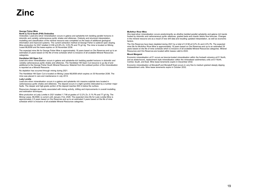#### **George Fisher Mine**

#### **North (L72) & South (P49) Orebodies**

Orebodies: Lead-zinc-silver mineralisation occurs in galena and sphalerite-rich bedding parallel horizons in dolomitic and variably carbonaceous pyritic shales and siltstones. Orebody and structural interpretation, modelling and classification of the mineral resource was completed on the basis of additional geological information and improved systems. The current extraction method at George Fisher is sublevel open stoping. Mine production for 2021 totalled 2.9 Mt at 6.8% Zn, 3.9% Pb and 70 g/t Ag. The mine is located on Mining Lease ML8058 and the lease expires on 30 November 2036.

The expected mine life for George Fisher Mine is approximately 18 years based on Ore Reserves and up to an estimated 23 years based on the life of mine schedule which is inclusive of all available Mineral Resources categories.

#### **Handlebar Hill Open Cut**

Lead-zinc-silver mineralisation occurs in galena and sphalerite-rich bedding parallel horizons in dolomitic and variably carbonaceous pyritic shales and siltstones. The Handlebar Hill Open Cut resource is up dip of and additional to the George Fisher South Mineral Resource. Material from the oxidised portion of the mineralisation is reported as a Mineral Resource.

No depletion has occurred through mining during 2021.

The Handlebar Hill Open Cut is located on Mining Lease ML8058 which expires on 30 November 2036. The mine was placed in care and maintenance in July 2014.

#### **Lady Loretta**

Lead-zinc-silver mineralisation occurs in a galena and sphalerite rich massive sulphide lens located in carbonaceous pyritic shales and siltstones. The deposit occurs in a tight syncline dislocated by a number major faults. The deeper and high-grade portion of the deposit reaches 500 m below the surface.

Resources changes are mainly associated with mining activity, drilling and improvements in overall modelling and estimation techniques.

Mine production at Lady Loretta in 2021 totalled 1.7 Mt at grades of 12.2% Zn, 5.1% Pb and 77 g/t Ag. The Mining Lease, ML5568, is current until January 31st, 2026. The expected mine life for Lady Loretta Mine is approximately 2.5 years based on Ore Reserves and up to an estimated 3 years based on the life of mine schedule which is inclusive of all available Mineral Resources categories.

#### **McArthur River Mine**

 Zinc-lead-silver mineralisation occurs predominantly as ultrafine bedded parallel sphalerite and galena rich bands hosted by dolomitic and carbonaceous pyritic siltstones, graded beds and chaotic debris flow breccias. Changes in the mineral resource are as a result of new drill data and resulting updated interpretation, as well as economic factors.

The Ore Reserves have been depleted during 2021 by a total of 3.9 Mt at 9.2% Zn and 4.0% Pb. The expected mine life for McArthur River Mine is approximately 19 years based on Ore Reserves and up to an estimated 29 years based on the life of mine schedule which is inclusive of all available Mineral Resources categories. Mineral Resources and Ore Reserves are located within leases valid to 2043.

#### **Mount Margaret**

Economic mineralisation at E1 occurs as breccia-hosted mineralisation within the footwall volcanics at E1 North, and as strata-bound, replacement style mineralisation within the mineralised sedimentary units at E1 North, Central, South, and East. Mine lease tenements expire in December 2032.

Economic mineralisation at Monakoff and Monakoff East occurs in very fine to medium grained steeply dipping metasediment units. Mine lease tenements expire in October 2032.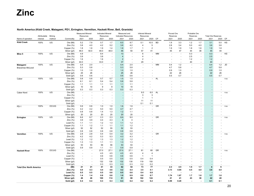#### **North America (Kidd Creek, Matagami, PD1, Errington, Vermilion, Hackett River, Bell, Granisle)**

|                                 |              |        |                           | Measured Mineral |                          | <b>Indicated Mineral</b> |                          | Measured and               |                          | Inferred Mineral         |                      |           | Proved Ore  |                          | Probable Ore |                          |                           |                          |      |
|---------------------------------|--------------|--------|---------------------------|------------------|--------------------------|--------------------------|--------------------------|----------------------------|--------------------------|--------------------------|----------------------|-----------|-------------|--------------------------|--------------|--------------------------|---------------------------|--------------------------|------|
|                                 | Attributable | Mining |                           | Resources        |                          | Resources                |                          | <b>Indicated Resources</b> |                          | Resources                |                      |           | Reserves    |                          | Reserves     |                          | <b>Total Ore Reserves</b> |                          |      |
| Name of operation               | interest     | method | Commodity                 | 2021             | 2020                     | 2021                     | 2020                     | 2021                       | 2020                     | 2021                     | 2020                 | <b>CP</b> | 2021        | 2020                     | 2021         | 2020                     | 2021                      | 2020                     | CP   |
| <b>Kidd Creek</b>               | 100%         | UG     | Ore (Mt)                  | 5.2              | 7.9                      | 0.7                      | 1.7                      | 6.0                        | 9.7                      | 0.1                      | 10.5                 | <b>BD</b> | 1.9         | 3.3                      | 1.2          | 1.7                      | 3.1                       | 5.0                      | KS   |
|                                 |              |        | Zinc $(%)$                | 3.8              | 4.0                      | 4.2                      | 5.2                      | 3.8                        | 4.2                      | $\overline{4}$           | 5                    |           | 2.8         | 3.4                      | 5.0          | 4.0                      | 3.6                       | 3.6                      |      |
|                                 |              |        | Copper (%)                | 1.8              | 1.8                      | 1.9                      | 1.4                      | 1.8                        | 1.7                      | $\overline{1}$           | $\overline{2}$       |           | 1.9         | 1.9                      | 1.8          | 1.6                      | 1.9                       | 1.8                      |      |
|                                 |              |        | Silver (g/t)              | 46.0             | 50.0                     | 49.0                     | 48.0                     | 46                         | 50                       | 57                       | 41                   |           | 45          | 47                       | 44           | 38                       | 45                        | 44                       |      |
| Mine 5                          | 100%         | UG     | Ore (Mt)                  | 4.9              | $\sim$                   | 8.4                      | $\sim$                   | 13                         | $\sim$                   | 6                        | ÷,                   | <b>MM</b> | $\sim$      | ÷,                       | 0.3          | $\mathbf{r}$             | 0.3                       | ÷,                       | KS   |
|                                 |              |        | Zinc $(%)$                | 3.9              | $\sim$                   | 3.8                      |                          | 4                          | $\overline{\phantom{a}}$ | $\overline{4}$           |                      |           | ÷           | ÷,                       | 2.5          | $\blacksquare$           | 2.5                       |                          |      |
|                                 |              |        | Copper (%)                | 1.6              | $\sim$                   | 1.6                      |                          | $\overline{c}$             | $\sim$                   | 2                        |                      |           |             |                          | 1.2          | $\blacksquare$           | 1.2                       |                          |      |
|                                 |              |        | Silver (g/t)              | 44.0             | $\sim$                   | 33.0                     | ÷                        | 37                         | $\sim$                   | 29                       |                      |           |             | $\overline{\phantom{a}}$ | 40           | $\overline{\phantom{a}}$ | 40                        | ÷.                       |      |
| Matagami                        | 100%         | UG     | Ore (Mt)                  | 0.4              | 2.0                      | $\sim$                   | $\overline{\phantom{a}}$ | 0.4                        | 2.0                      | $\overline{\phantom{a}}$ | $\overline{a}$       | <b>MM</b> | 0.4         | 1.2                      |              | $\blacksquare$           | 0.4                       | 1.2                      | JD   |
| Bracemac-McLeod                 |              |        | Zinc $(\%)$               | 5.3              | 5.8                      |                          |                          | 5.3                        | 5.8                      | ä,                       |                      |           | 4.7         | 5.8                      |              | ٠                        | 4.7                       | 5.8                      |      |
|                                 |              |        | Copper (%)                | 1.0              | 1.0                      |                          |                          | 1.0                        | 1.0                      |                          |                      |           | 0.9         | 1.0                      |              | ٠                        | 0.9                       | 1.0                      |      |
|                                 |              |        | Silver (g/t)              | 25               | 26                       |                          |                          | 25                         | 26                       |                          |                      |           | 22          | 26                       |              | $\blacksquare$           | 22                        | 26                       |      |
|                                 |              |        | Gold (g/t)                | 0.6              | 0.6                      | $\sim$                   | $\sim$                   | 0.6                        | 0.6                      | $\overline{\phantom{a}}$ |                      |           | 0.5         | 0.7                      | ٠            | $\mathbf{r}$             | 0.5                       | 0.7                      |      |
| Caber                           | 100%         | UG     | Ore (Mt)                  | 0.8              | 0.8                      | 0.7                      | 0.7                      | 1.5                        | 1.5                      | $\tilde{\phantom{a}}$    | ÷.                   | <b>AL</b> |             |                          |              |                          |                           |                          | n.a. |
|                                 |              |        | Zinc $(\%)$               | 6.1              | 6.1                      | 5.4                      | 5.4                      | 5.8                        | 5.8                      |                          |                      |           |             |                          |              | ä,                       |                           |                          |      |
|                                 |              |        | Copper (%)                | 1.1              | 1.1                      | 1.1                      | 1.1                      | 1.1                        | 1.1                      |                          |                      |           |             |                          |              |                          |                           |                          |      |
|                                 |              |        | Silver (g/t)              | 10               | 10                       | 9                        | 9                        | 10                         | 10                       |                          |                      |           |             |                          |              |                          |                           |                          |      |
|                                 |              |        | Gold (g/t)                | 0.3              | 0.3                      | 0.3                      | 0.3                      | 0.3                        | 0.3                      | $\sim$                   |                      |           |             |                          |              | ٠                        |                           |                          |      |
| Caber Nord                      | 100%         | UG     | Ore (Mt)                  |                  |                          |                          |                          |                            | $\sim$                   | 6.0<br>3                 | 6.0<br>3             | <b>AL</b> |             |                          |              | ä,                       |                           | ٠                        | n.a. |
|                                 |              |        | Zinc $(% )$<br>Copper (%) |                  |                          |                          |                          |                            | $\blacksquare$           | -1                       | $\mathbf{1}$         |           |             |                          |              |                          |                           |                          |      |
|                                 |              |        | Silver (g/t)              |                  |                          |                          |                          |                            | ÷                        | 11                       | 11                   |           |             |                          |              |                          |                           |                          |      |
|                                 |              |        |                           |                  |                          |                          |                          |                            | ÷,                       | 0.1                      | 0.1                  |           |             |                          |              |                          |                           |                          |      |
| PD-1                            | 100%         | OC/UG  | Gold (g/t)<br>Ore (Mt)    | 0.6              | 0.6                      | 1.0                      | 1.0                      | 1.6                        | 1.6                      | $\ddot{\phantom{1}}$     | $\ddot{\phantom{1}}$ | GR        |             |                          |              | ä,                       |                           | ٠                        | n.a. |
|                                 |              |        | Zinc $(%)$                | 4.2              | 4.2                      | 5.0                      | 5.0                      | 4.7                        | 4.7                      | ÷,                       | ÷,                   |           |             |                          |              |                          |                           |                          |      |
|                                 |              |        | Copper (%)                | 0.8              | 0.8                      | 1.4                      | 1.3                      | 1.2                        | 1.1                      | ä,                       |                      |           |             |                          |              |                          |                           |                          |      |
|                                 |              |        | Silver (g/t)              | 20               | 20                       | 20                       | 20                       | 20                         | 20                       |                          |                      |           |             |                          |              |                          |                           |                          |      |
| Errington                       | 100%         | UG     | Ore (Mt)                  | 6.6              | 6.7                      | 2.3                      | 2.3                      | 8.9                        | 9.0                      | $\tilde{\phantom{a}}$    | ä,                   | GR        |             |                          |              | ٠                        |                           | $\overline{\phantom{a}}$ | n.a. |
|                                 |              |        | Zinc $(%)$                | 3.9              | 3.9                      | 4.4                      | 4.3                      | $\overline{4}$             | $\overline{4}$           |                          |                      |           |             |                          |              |                          |                           |                          |      |
|                                 |              |        | Lead $(\%)$               | 1.1              | 1.1                      | 1.2                      | 1.3                      | 1.1                        | 1.2                      |                          |                      |           |             |                          |              |                          |                           |                          |      |
|                                 |              |        | Copper (%)                | 1.1              | 1.2                      | 1.1                      | 1.1                      | 1.1                        | 1.2                      |                          |                      |           |             |                          |              |                          |                           |                          |      |
|                                 |              |        | Silver (g/t)              | 52               | 52                       | 52                       | 55                       | 52                         | 53                       |                          |                      |           |             |                          |              |                          |                           |                          |      |
|                                 |              |        | Gold (g/t)                | 0.8              | 0.8                      | 0.8                      | 0.8                      | 0.8                        | 0.8                      |                          |                      |           |             |                          |              |                          |                           |                          |      |
| Vermilion                       | 100%         | UG     | Ore (Mt)                  | 2.8              | 2.8                      | 0.4                      | 0.4                      | 3.2                        | 3.2                      | $\sim$                   | $\blacksquare$       | GR        |             |                          |              | ä,                       |                           | $\sim$                   | n.a. |
|                                 |              |        | Zinc $(%)$                | 4.2              | 4.2                      | 5.3                      | 5.3                      | 4.3                        | 4.3                      |                          |                      |           |             |                          |              |                          |                           |                          |      |
|                                 |              |        | Lead $(\%)$               | $1.2$            | 1.2                      | 1.3                      | 1.3                      | 1.2                        | 1.2                      |                          |                      |           |             |                          |              |                          |                           |                          |      |
|                                 |              |        | Copper (%)                | 1.3              | 1.3                      | 1.1                      | 1.1                      | 1.3                        | 1.3                      |                          |                      |           |             |                          |              |                          |                           |                          |      |
|                                 |              |        | Silver (g/t)              | 53               | 53                       | 56                       | 56                       | 53                         | 53                       |                          |                      |           |             |                          |              |                          |                           |                          |      |
|                                 |              |        | Gold (g/t)                | 0.9              | 0.9                      | 1.1                      | 1.1                      | 0.9                        | 0.9                      | ä,                       |                      |           |             |                          |              | ä,                       |                           |                          |      |
| <b>Hackett River</b>            | 100%         | OC/UG  | Ore (Mt)                  |                  | $\sim$                   | 27.0                     | 27.1                     | 27.0                       | 27.1                     | 61                       | 60                   | GR        |             |                          |              | ٠                        |                           | $\sim$                   | n.a. |
|                                 |              |        | Zinc(%)                   |                  | $\sim$                   | 4.5                      | 4.5                      | 4.5                        | 4.5                      | 4                        | 4                    |           |             |                          |              |                          |                           |                          |      |
|                                 |              |        | Lead $(\%)$               |                  |                          | 0.6                      | 0.6                      | 0.6                        | 0.6                      | $\overline{1}$           | $\mathbf{1}$         |           |             |                          |              |                          |                           |                          |      |
|                                 |              |        | Copper (%)                |                  |                          | 0.5                      | 0.5                      | 0.5                        | 0.5                      | 0.4                      | 0.4                  |           |             |                          |              |                          |                           |                          |      |
|                                 |              |        | Silver (g/t)              |                  | $\overline{\phantom{a}}$ | 132                      | 130                      | 132                        | 130                      | 119                      | 150                  |           |             |                          |              | $\blacksquare$           |                           |                          |      |
|                                 |              |        | Gold (g/t)                |                  | i.                       | 0.3                      | 0.3                      | 0.3                        | 0.3                      | 0.2                      | 0.2                  |           |             |                          |              | $\sim$                   | $\blacksquare$            |                          |      |
| <b>Total Zinc North America</b> |              |        | (Mt)                      | 21<br>4.0        | 21                       | 41                       | 33<br>4.6                | 62<br>4.2                  | 54                       | 73<br>3.5                | 77                   |           | 2.3<br>3.13 | 4.5<br>4.04              | 1.5          | 1.7                      | 4                         | 6<br>4.0                 |      |
|                                 |              |        | Zinc $(%)$<br>Lead $(\%)$ | 0.5              | 4.3<br>0.5               | 4.4<br>0.5               | 0.6                      | 0.5                        | 4.4<br>0.6               | 0.4                      | 4.1<br>0.8           |           |             |                          | 4.5          | 4.0                      | 3.6                       |                          |      |
|                                 |              |        | Copper (%)                | 1.4              | 1.4                      | 0.8                      | 0.6                      | 1.0                        | 0.9                      | 0.6                      | 0.7                  |           | 1.74        | 1.67                     | 1.7          | 1.6                      | 1.7                       | 1.6                      |      |
|                                 |              |        | Silver (g/t)              | 46               | 46                       | 100                      | 114                      | 81                         | 88                       | 102                      | 124                  |           | 41          | 41                       | 43           | 38                       | 42                        | 40                       |      |
|                                 |              |        | Gold (g/t)                | 0.4              | 0.4                      | 0.3                      | 0.3                      | 0.3                        | 0.4                      | 0.2                      | 0.2                  |           | 0.09        | 0.20                     |              |                          | 0.1                       | 0.1                      |      |
|                                 |              |        |                           |                  |                          |                          |                          |                            |                          |                          |                      |           |             |                          |              |                          |                           |                          |      |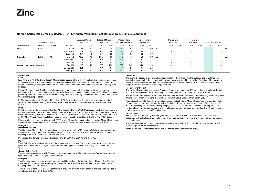#### **North America (Kidd Creek, Matagami, PD1, Errington, Vermilion, Hackett River, Bell, Granisle) (continued)**

|                                   | Attributable | Minina |            | <b>Measured Mineral</b><br>Resources |      | Indicated Mineral<br>Resources |      | Measured and<br>Indicated Resources |      | Inferred Mineral<br>Resources |      |           | Proved Ore<br>Reserves |                          | Probable Ore<br>Reserves |                          | <b>Total Ore Reserves</b> |                          |      |
|-----------------------------------|--------------|--------|------------|--------------------------------------|------|--------------------------------|------|-------------------------------------|------|-------------------------------|------|-----------|------------------------|--------------------------|--------------------------|--------------------------|---------------------------|--------------------------|------|
| Name of operation                 | interest     | method | Commodity  | 2021                                 | 2020 | 2021                           | 2020 | 2021                                | 2019 | 2021                          | 2019 | CP        | 2020                   | 2019                     | 2020                     | 2019                     | 2020                      | 2019                     | CP   |
| Bell                              | 100%         | ОC     | Ore (Mt)   | 57                                   | 57   | 200                            | 200  | 257                                 | 257  | 100                           | 100  | BD        |                        |                          |                          | $\overline{\phantom{a}}$ |                           | $\overline{\phantom{0}}$ | n.a. |
|                                   |              |        | Copper (%) | 0.4                                  | 0.4  | 0.4                            | 0.4  | 0.4                                 | 0.4  | 0.4                           | 0.4  |           |                        |                          |                          | $\overline{\phantom{a}}$ |                           |                          |      |
|                                   |              |        | Gold (g/t) | 0.2                                  | 0.2  | 0.2                            | 0.2  | 0.2                                 | 0.2  | 0.2                           | 0.2  |           |                        |                          |                          | $\overline{\phantom{a}}$ |                           | $\overline{\phantom{0}}$ |      |
| Granisle                          | 100%         | OC.    | Ore (Mt)   | 18.0                                 | 18   | 55.0                           | 55   | 73.0                                | 73   | 20                            | 20   | <b>BD</b> |                        |                          |                          | $\overline{\phantom{a}}$ |                           | $\overline{\phantom{0}}$ | n.a. |
|                                   |              |        | Copper (%) | 0.3                                  | 0.3  | 0.3                            | 0.3  | 0.3                                 | 0.3  | 0.3                           | 0.3  |           |                        |                          |                          | $\overline{\phantom{a}}$ |                           |                          |      |
|                                   |              |        | Gold (g/t) | 0.1                                  | 0.1  | 0.1                            | 0.1  | 0.1                                 | 0.1  | 0.1                           | 0.1  |           |                        |                          |                          | $\overline{\phantom{0}}$ |                           | $\overline{\phantom{a}}$ |      |
| <b>Total Copper North America</b> |              |        | Ore (Mt)   | 75                                   | 75   | 255                            | 255  | 330                                 | 330  | 120                           | 120  |           |                        |                          |                          | $\overline{\phantom{a}}$ |                           |                          |      |
|                                   |              |        | Copper (%) | 0.4                                  | 0.4  | 0.4                            | 0.4  | 0.4                                 | 0.4  | 0.4                           | 0.4  |           |                        | $\overline{\phantom{a}}$ |                          | $\overline{\phantom{a}}$ |                           |                          |      |
|                                   |              |        | Gold (g/t) | 0.2                                  | 0.2  | 0.2                            | 0.2  | 0.2                                 | 0.2  | 0.2                           | 0.2  |           |                        | $\blacksquare$           | $\overline{\phantom{a}}$ | $\overline{\phantom{a}}$ |                           |                          |      |

#### **Kidd Creek**

**Kidd** Kidd Mine is a VMS Cu-Zn-Ag deposit. Mineralisation occurs within a rhyolitic volcanic/volcaniclastic sequence as massive sulphide lenses of dominantly pyrite-pyrrhotite-sphalerite-galena-rich ores that are underlain by copper in chalcopyrite stringer zones. Ore Reserves are based on the approved mining plan to 2,940 m (9,600 ft) depth.

Mineral Resources and Ore Reserves changes are primarily the result of mining drawdown, with some adjustments due to updated mine design, cost reductions, and commodity pricing changes. The Mine 5 resource previously reported under Kidd in 2020 is now being reported separately. The current extraction method at Kidd Mine is sublevel open stoping.

2021 production totalled 1.44 Mt at 3.81% Zn, 1.71% Cu and 45 g/t Ag. The mine life is anticipated to be 2 years. All land tenures covering the existing Mineral Resources and Ore Reserves are patented and never expire.

#### **Mine 5**

 Mine 5 is the down dip extension of the Kidd Mine deposit which is a VMS Cu-Zn-Ag deposit. Ore Reserves are based on the portion of the approved mining plan from 2,940 m to 3,020 m (Level 9800 and Level 9900) that lies within the remaining 2 years of the current Kidd Mine life. Mineral Resources are reported from 2,940 m to 3,430 m (9800 ft to 11,200 ft) depth. Additional mineralisation continuity is identified to 3,840 m (12,600 ft) depth.

Potential mine life is under review at the PFS/FS levels. All land tenures covering the existing Mineral Resources and Ore Reserves are patented and never expire. Mine 5 resources were reported under Kidd in 2020.

#### **Matagami**

#### **Bracemac-McLeod**

 The Bracemac-McLeod deposits comprise a cluster of polymetallic VMS lenses. All shallower deposits are now mined-out and only the McLeod Deep lens remains. The end of mine life is estimated as the end of June 2022, resulting in the sterilisation of 0.78 Mt of Resources.

Mine production for 2021 was 0.9 Mt grading 5.6% Zn, 0.9% Cu, 25g/t Ag and 0.7g/ Au.

#### **PD–1**

 The PD-1 deposit is a polymetallic VMS of the same age and derived from the same ore forming hydrothermal system as the rest of the Matagami camp deposits. The deposit is located on a mining claim owned by Glencore.

#### **Caber / Caber Nord**

 The Caber deposit is polymetallic VMS of the same age and derived from the same ore forming hydrothermal system as the rest of the Matagami camp deposits.

#### **Errington**

The Errington deposit is a polymetallic massive sulphide located in the Sudbury Basin, Ontario. The 5 lenses that make up this deposit are hosted by sedimentary rocks of the Vermilion Formation at the contact of the Onaping and Onwatin formations.

The historical Mineral Resource was confirmed in 2013 with a 50,000 m drill program and has been reported in compliance with the JORC Code 2012.

#### **Vermilion**

 The Vermilion deposit is a polymetallic massive sulphide body located in the Sudbury Basin, Ontario. The 17 lenses that make up the deposit are hosted by sedimentary rocks of the Vermilion Formation at the contact of the Onaping and Onwatin Formations. The Mineral Resource was confirmed in 2013 with a 10,000 m drill program. Mineral Resources were interpolated by ID2.

#### **Hackett River Project**

The Hackett River project is located in Nunavut, Canada, approximately 480 km northeast of Yellowknife and 105 km south-southwest of the community of Bathurst Inlet, which is located on the Arctic Ocean.

The Hackett River deposits are situated within the Slave Structural Province, a predominantly Archaean granite greenstone-sedimentary terrane that lies between Great Slave Lake and Coronation Gulf.

Four principal sulphide deposits were defined as economically viable Mineral Resources, following boundaries of open cut vs underground mining, through a Preliminary Economic Assessment prior to Glencore's acquisition in 2010. Following the exploration drilling campaign of 2013, which added 114 drillholes totalling 39,000 m, reinterpretation was carried out outlining an in situ resource using Zn equivalent grades. The Mineral Resource grades are interpolated using ID2 estimation.

#### **Bell/Granisle**

 Bell and Granisle are porphyry copper-gold deposits located at Babine Lake. The Babine deposits are associated with calc-alkaline magmatic rocks. They were formed in the roots of Eocene volcanoes built upon continental crust.

The latest Mineral Resource estimate does not include the additional 25 holes (12,260 m) drilled in 2012. A resource update will be completed in 2022.

There are no known land tenure issues and the mining leases are renewed yearly.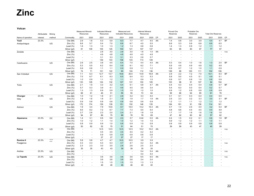**Volcan**

|                            | Attributable      | Mining       |                             | Measured Mineral<br>Resources |                          | <b>Indicated Mineral</b><br>Resources |                | Measured and<br>Indicated Resources |                | <b>Inferred Mineral</b><br>Resources |             |                 | Proved Ore<br>Reserves |                          | Probable Ore<br>Reserves |                          | <b>Total Ore Reserves</b> |                          |                 |
|----------------------------|-------------------|--------------|-----------------------------|-------------------------------|--------------------------|---------------------------------------|----------------|-------------------------------------|----------------|--------------------------------------|-------------|-----------------|------------------------|--------------------------|--------------------------|--------------------------|---------------------------|--------------------------|-----------------|
|                            |                   |              |                             |                               |                          |                                       |                |                                     |                |                                      |             |                 |                        |                          |                          |                          |                           |                          |                 |
| Name of operation<br>Yauli | interest<br>23.3% | method       | Commodity                   | 2021<br>2.9                   | 2020<br>1.8              | 2021<br>5.3                           | 2020<br>5.9    | 2021                                | 2020<br>7.7    | 2021<br>4.7                          | 2020<br>4.5 | <b>CP</b><br>AA | 2021<br>1.4            | 2020<br>0.8              | 2021<br>3.0              | 2020<br>3.9              | 2021                      | 2020<br>4.7              | CP<br><b>BF</b> |
|                            |                   |              | Ore (Mt)<br>Zinc $(%)$      | 8.6                           | 5.7                      | 5.4                                   | 7.0            | 8.3<br>6.6                          | 6.7            | 4.5                                  | 5.5         |                 | 8.9                    | 5.3                      | 5.6                      | 6.8                      | 4.4<br>6.6                | 6.5                      |                 |
| Andaychagua                |                   | UG           | Lead $(\%)$                 | 1.6                           | 1.3                      | 1.0                                   | 1.3            | 1.2                                 | 1.3            | 0.8                                  | 0.8         |                 | 1.4                    | 1.3                      | 0.9                      | 1.2                      | 1.1                       | 1.2                      |                 |
|                            |                   |              | Silver (g/t)                | 91                            | 109                      | 105                                   | 125            | 100                                 | 121            | 107                                  | 137         |                 | 63                     | 95                       | 83                       | 97                       | 77                        | 97                       |                 |
| Zoraida                    |                   |              | Ore (Mt)                    | $\overline{\phantom{a}}$      | $\sim$                   | 2.8                                   | 3.0            | 2.8                                 | 3.0            | 1.6                                  | 1.0         | AA              | $\sim$                 | $\sim$                   | $\overline{\phantom{a}}$ | $\sim$                   |                           | $\overline{\phantom{a}}$ | n.a.            |
|                            |                   |              | Zinc $(%)$                  | $\sim$                        | $\sim$                   | 4.6                                   | 4.8            | 4.6                                 | 4.8            | 4.0                                  | 4.8         |                 |                        | $\overline{\phantom{a}}$ |                          | $\sim$                   |                           |                          |                 |
|                            |                   |              | Lead $(\%)$                 |                               | $\overline{\phantom{a}}$ | 3.1                                   | 3.3            | 3.1                                 | 3.3            | 2.8                                  | 3.7         |                 |                        | $\blacksquare$           |                          | $\overline{\phantom{a}}$ |                           |                          |                 |
|                            |                   |              | Silver (g/t)                | $\overline{a}$                | $\sim$                   | 136                                   | 143            | 136                                 | 143            | 113                                  | 149         |                 | ٠.                     | $\overline{\phantom{a}}$ | $\overline{\phantom{a}}$ | $\sim$                   | $\overline{a}$            | $\overline{a}$           |                 |
| Carahuacra                 |                   | UG           | Ore (Mt)                    | 2.6                           | 2.5                      | 3.8                                   | 4.5            | 6.4                                 | 7.0            | 4.4                                  | 4.5         | AA              | 0.3                    | 0.4                      | 1.0                      | 1.6                      | 1.3                       | 2.0                      | <b>BF</b>       |
|                            |                   |              | Zinc(%)                     | 5.3                           | 5.5                      | 6.2                                   | 6.4            | 5.8                                 | 6.1            | 6.2                                  | 7.1         |                 | 5.9                    | 4.9                      | 4.9                      | 4.8                      | 5.2                       | 4.8                      |                 |
|                            |                   |              | Lead $(\%)$                 | 0.6                           | 0.6                      | 1.1                                   | 1.1            | 0.9                                 | 0.9            | 1.1                                  | 1.2         |                 | 0.9                    | 0.7                      | 1.2                      | 1.0                      | 1.1                       | 0.9                      |                 |
|                            |                   |              | Silver (g/t)                | 74                            | 71                       | 101                                   | 122            | 90                                  | 104            | 112                                  | 136         |                 | 108                    | 88                       | 100                      | 111                      | 102                       | 106                      |                 |
| San Cristobal              |                   | UG           | Ore (Mt)                    | 7.1                           | 6.3                      | 12.7                                  | 13.7           | 19.8                                | 20.0           | 14.8                                 | 16.8        | AA              | 2.9                    | 2.2                      | 7.2                      | 7.0                      | 10.1                      | 9.3                      | <b>BF</b>       |
|                            |                   |              | Zinc $(%)$                  | 7.0                           | 6.7                      | 6.1                                   | 6.3            | 6.5                                 | 6.4            | 5.3                                  | 5.3         |                 | 5.8                    | 5.0                      | 4.5                      | 5.1                      | 4.9                       | 5.1                      |                 |
|                            |                   |              | Lead $(\%)$                 | 1.0                           | 0.9                      | 1.1                                   | 1.2            | 1.1                                 | 1.1            | 0.9                                  | 1.0         |                 | 0.9                    | 0.7                      | 0.8                      | 1.0                      | 0.8                       | 0.9                      |                 |
|                            |                   |              | Silver (g/t)                | 133                           | 128                      | 124                                   | 132            | 127                                 | 131            | 102                                  | 105         |                 | 103                    | 96                       | 91                       | 107                      | 94                        | 104                      |                 |
| Ticlio                     |                   | UG           | Ore (Mt)                    | 2.1                           | 1.9                      | 3.3                                   | 3.2            | 5.4                                 | 5.1            | 5.8                                  | 4.7         | AA              | 0.4                    | 0.3                      | 0.4                      | 0.4                      | 0.8                       | 0.7                      | <b>BF</b>       |
|                            |                   |              | Zinc $(%)$                  | 5.7                           | 5.3                      | 3.9                                   | 4.1            | 4.6                                 | 4.5            | 3.6                                  | 3.4         |                 | 5.4                    | 6.3                      | 5.0                      | 5.4                      | 5.2                       | 5.7                      |                 |
|                            |                   |              | Lead $(\%)$                 | 1.3                           | 1.3                      | 0.9                                   | 0.9            | 1.0                                 | 1.0            | 1.2                                  | 1.0         |                 | 0.9                    | 1.2                      | 0.8                      | 0.8                      | 0.8                       | 0.9                      |                 |
|                            |                   |              | Silver (g/t)                | 68                            | 61                       | 46                                    | 51             | 55                                  | 55             | 72                                   | 64          |                 | 58                     | 66                       | 64                       | 85                       | 61                        | 78                       |                 |
| Chungar                    | 23.3%             |              | Ore (Mt)                    | 1.0                           | 1.2                      | 1.8                                   | 2.1            | 2.8                                 | 3.2            | 3.3                                  | 4.0         |                 | 0.1                    | 0.1                      | 0.3                      | 0.4                      | 0.4                       | 0.5                      |                 |
| Islay                      |                   | UG           | Zinc $(%)$                  | 1.8                           | 1.6                      | 1.8                                   | 2.1            | 1.8                                 | 1.9            | 1.7                                  | 1.8         | AA              | 2.5                    | 2.3                      | 3.2                      | 3.3                      | 3.0                       | 3.1                      | <b>BF</b>       |
|                            |                   |              | Lead $(\%)$                 | 0.9                           | 0.8                      | 0.8                                   | 0.8            | 0.8                                 | 0.8            | 0.8                                  | 0.9         |                 | 1.2                    | 1.1                      | 1.1                      | 1.2                      | 1.1                       | 1.2                      |                 |
|                            |                   |              | Silver (g/t)                | 172                           | 174                      | 139                                   | 139            | 151                                 | 152            | 146                                  | 135         |                 | 164                    | 181                      | 91                       | 156                      | 114                       | 161                      |                 |
| Animon                     |                   | UG           | Ore (Mt)                    | 1.9                           | 3.4                      | 7.9                                   | 10.6           | 9.7                                 | 14.0           | 13.2                                 | 14.4        | AA              | 0.7                    | 1.4                      | 2.5                      | 4.0                      | 3.2                       | 5.4                      | <b>BF</b>       |
|                            |                   |              | Zinc $(%)$                  | 9.5<br>2.7                    | 9.2<br>2.6               | 7.2<br>2.3                            | 6.7<br>2.0     | 7.7<br>2.4                          | 7.3<br>2.1     | 5.5<br>1.8                           | 5.4<br>1.8  |                 | 4.8<br>1.7             | 5.6<br>1.7               | 4.5<br>1.6               | 4.5<br>1.6               | 4.5<br>1.6                | 4.8<br>1.6               |                 |
|                            |                   |              | Lead $(\%)$<br>Silver (g/t) | 94                            | 87                       | 86                                    | 75             | 88                                  | 78             | 78                                   | 69          |                 | 47                     | 62                       | 60                       | 62                       | 57                        | 62                       |                 |
| Alpamarca                  | 23.3%             | OC           | Ore (Mt)                    | 1.4                           | 3.1                      | 0.6                                   | 0.6            | 2.0                                 | 3.7            | 0.44                                 | 0.0         | AA              | 0.4                    | 1.5                      | 0.2                      | 0.1                      | 0.6                       | 1.6                      | <b>BF</b>       |
|                            |                   |              | Zinc $(%)$                  | 1.0                           | 1.2                      | 1.1                                   | 1.4            | 1.0                                 | 1.2            | 1.0                                  | 1.5         |                 | 0.9                    | 1.2                      | 1.2                      | 1.1                      | 1.0                       | 1.1                      |                 |
|                            |                   |              | Lead $(\%)$                 | 0.8                           | 0.9                      | 0.9                                   | 1.0            | 0.8                                 | 0.9            | 1.0                                  | 0.9         |                 | 0.8                    | 0.9                      | 0.9                      | 0.8                      | 0.8                       | 0.9                      |                 |
|                            |                   |              | Silver (g/t)                | 50                            | 62                       | 52                                    | 75             | 51                                  | 64             | 51                                   | 70          |                 | 39                     | 59                       | 43                       | 47                       | 40                        | 59                       |                 |
| Palma                      | 23.3%             | UG           | Ore (Mt)                    |                               | $\overline{\phantom{a}}$ | 12.5                                  | 12.5           | 12.5                                | 12.5           | 10.2                                 | 10.2        | AA              |                        |                          |                          | $\overline{\phantom{a}}$ |                           |                          | n.a.            |
|                            |                   |              | Zinc $(%)$                  | $\sim$                        | $\sim$                   | 4.5                                   | 4.5            | 4.5                                 | 4.5            | 4.2                                  | 4.2         |                 |                        | ÷                        |                          | $\sim$                   |                           |                          |                 |
|                            |                   |              | Lead $(\%)$                 |                               | $\sim$                   | 0.9                                   | 0.9            | 0.9                                 | 0.9            | 0.8                                  | 0.8         |                 |                        |                          |                          | $\overline{\phantom{a}}$ |                           |                          |                 |
|                            |                   |              | Silver (g/t)                | $\sim$                        | $\sim$                   | 27                                    | 27             | 27                                  | 27             | 17                                   | 17          |                 |                        |                          |                          | $\sim$                   |                           |                          |                 |
| Romina II                  | 23.3%             | יט<br>$\sim$ | Ore (Mt)                    | 5.8                           | 5.8                      | 4.7                                   | 4.7            | 10.5                                | 10.5           | 3.9                                  | 3.9         |                 |                        |                          |                          | $\overline{\phantom{a}}$ |                           |                          |                 |
| Puagjanca                  |                   |              | Zinc $(%)$                  | 4.3                           | 4.3                      | 5.3                                   | 5.3            | 4.7                                 | 4.7            | 4.2                                  | 4.2         | AA              |                        |                          |                          | $\sim$                   |                           |                          | n.a.            |
|                            |                   |              | Lead $(\%)$                 | 2.3                           | 2.3                      | 3.0                                   | 3.0            | 2.6                                 | 2.6            | 2.5                                  | 2.5         |                 |                        |                          |                          | $\overline{\phantom{a}}$ |                           |                          |                 |
|                            |                   |              | Silver (g/t)                | 35                            | 35                       | 43                                    | 43             | 39                                  | 39             | 35                                   | 35          |                 |                        |                          |                          | $\overline{\phantom{a}}$ |                           |                          |                 |
| Andrea                     | 23.3%             | UG           | Ore (Mt)                    | $\overline{\phantom{a}}$      | $\sim$                   | $\sim$                                | $\blacksquare$ |                                     | $\blacksquare$ | 5.4                                  | 5.4         | AA              |                        |                          |                          | $\overline{\phantom{a}}$ |                           |                          | n.a.            |
|                            |                   |              | Zinc $(%)$                  | $\sim$                        | $\sim$                   | $\sim$                                | $\sim$         |                                     | $\sim$         | 4.0                                  | 4.0         |                 | $\sim$                 | $\sim$                   |                          | $\sim$                   |                           |                          |                 |
| La Tapada                  | 23.3%             | UG           | Ore (Mt)                    |                               | $\sim$                   | 3.6                                   | 3.6            | 3.6                                 | 3.6            | 6.5                                  | 6.5         | AA              |                        | $\overline{\phantom{a}}$ |                          | $\overline{\phantom{a}}$ |                           |                          | n.a.            |
|                            |                   |              | Zinc $(%)$                  |                               | $\sim$                   | 3.6                                   | 3.6            | 3.6                                 | 3.6            | 3.4                                  | 3.4         |                 |                        |                          |                          | $\overline{\phantom{a}}$ |                           |                          |                 |
|                            |                   |              | Lead $(\%)$                 |                               | $\overline{\phantom{a}}$ | 1.5                                   | 1.5            | 1.5                                 | 1.5            | 1.3                                  | 1.3         |                 |                        |                          |                          | $\overline{\phantom{a}}$ |                           |                          |                 |
|                            |                   |              | Silver (g/t)                |                               |                          | 46                                    | 46             | 46                                  | 46             | 40                                   | 40          |                 |                        |                          |                          |                          |                           |                          |                 |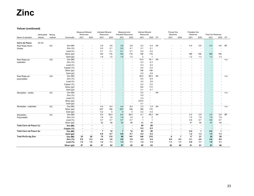#### **Volcan (continued)**

|                            |              |             |                        | <b>Measured Mineral</b>  |                                    | <b>Indicated Mineral</b> |                          | Measured and               |                          | <b>Inferred Mineral</b> |                                 |    | Proved Ore     |                          | Probable Ore   |                          |                           |              |           |
|----------------------------|--------------|-------------|------------------------|--------------------------|------------------------------------|--------------------------|--------------------------|----------------------------|--------------------------|-------------------------|---------------------------------|----|----------------|--------------------------|----------------|--------------------------|---------------------------|--------------|-----------|
|                            | Attributable | Mining      |                        | Resources                |                                    | Resources                |                          | <b>Indicated Resources</b> |                          | Resources               |                                 |    | Reserves       |                          | Reserves       |                          | <b>Total Ore Reserves</b> |              |           |
| Name of operation          | interest     | method      | Commodity              | 2021                     | 2020                               | 2021                     | 2020                     | 2021                       | 2020                     | 2021                    | 2020                            | CP | 2021           | 2020                     | 2021           | 2020                     | 2021                      | 2020         | CP        |
| Cerro de Pasco             | 23.3%        |             |                        |                          |                                    |                          |                          |                            |                          |                         |                                 |    |                |                          |                |                          |                           |              |           |
| Raul Rojas block -         |              | OC          | Ore (Mt)               |                          |                                    | 2.8                      | 3.6                      | 2.8                        | 3.6                      | 0.2                     | 0.4                             | AA |                |                          | 0.4            | 0.6                      | 0.4                       | 0.6          | <b>BF</b> |
| Oxides                     |              |             | Zinc $(%)$             |                          |                                    | 0.0                      | 0.1                      | 0.0                        | 0.1                      | 0.1                     | 0.1                             |    |                |                          |                |                          |                           |              |           |
|                            |              |             | Lead $(\%)$            |                          | $\sim$                             | 0.1                      | 0.1                      | 0.1                        | 0.1                      | 0.2                     | 0.2                             |    |                |                          |                | $\overline{\phantom{a}}$ |                           |              |           |
|                            |              |             | Silver (g/t)           |                          | $\overline{\phantom{a}}$           | 142                      | 118                      | 142                        | 118                      | 158                     | 116                             |    |                |                          | 189            | 195                      | 189                       | 195          |           |
|                            |              |             | Gold (g/t)             |                          | $\sim$                             | 1.9                      | 1.5                      | 1.9                        | 1.5                      | $\overline{2}$          | $\overline{1}$                  |    |                |                          | 1.2            | 1.3                      | 1.2                       | 1.3          |           |
| Raul Rojas pit -           |              | UG          | Ore (Mt)               |                          | $\sim$                             | $\sim$                   | $\sim$                   |                            | ÷.                       | 15.4                    | 18.1                            | AA |                |                          | $\sim$         | $\overline{\phantom{a}}$ |                           |              | n.a.      |
| sulphides                  |              |             | Zinc $(%)$             |                          |                                    |                          |                          |                            | $\overline{\phantom{a}}$ | 0.3                     | 0.3                             |    |                |                          |                |                          |                           |              |           |
|                            |              |             | Lead $(\%)$            |                          |                                    |                          |                          |                            | $\overline{\phantom{a}}$ | 0.3                     | 0.4                             |    |                |                          |                |                          |                           |              |           |
|                            |              |             | Copper (%)             |                          |                                    |                          |                          |                            |                          | 0.4                     | 0.4                             |    |                |                          |                |                          |                           |              |           |
|                            |              |             | Silver (g/t)           |                          |                                    |                          |                          |                            |                          | 106                     | 106                             |    |                |                          |                |                          |                           |              |           |
|                            |              |             | Gold (g/t)             |                          |                                    |                          |                          |                            |                          | 0.5                     | 0.6                             |    |                |                          |                |                          |                           |              |           |
| Raul Rojas pit -           |              | UG          | Ore (Mt)               | $\sim$                   |                                    |                          |                          |                            | $\sim$                   | 45.0                    | 69.5                            | AA |                |                          |                | $\sim$                   |                           | ٠            | n.a.      |
| polymetallic               |              |             | Zinc $(%)$             |                          |                                    |                          |                          |                            |                          | 6.5                     | 6.9                             |    |                |                          |                |                          |                           |              |           |
|                            |              |             | Lead $(\% )$           |                          |                                    |                          |                          |                            |                          | 2.4                     | 2.6                             |    |                |                          |                |                          |                           |              |           |
|                            |              |             | Copper (%)             |                          |                                    |                          |                          |                            |                          | 0.2                     | 0.2                             |    |                |                          |                |                          |                           |              |           |
|                            |              |             | Silver (g/t)           |                          |                                    |                          |                          |                            |                          | 104                     | 113                             |    |                |                          |                |                          |                           |              |           |
|                            |              |             |                        |                          | $\sim$                             | $\overline{a}$           | $\overline{\phantom{a}}$ |                            | $\overline{\phantom{a}}$ | 0.1                     | 0.1                             |    |                |                          |                | $\sim$                   |                           |              |           |
| Stockpiles - oxides        |              | $_{\rm OC}$ | Gold (g/t)<br>Ore (Mt) |                          | $\sim$                             |                          |                          |                            |                          | 0.2                     |                                 | AA |                |                          |                |                          |                           |              |           |
|                            |              |             | Zinc $(%)$             |                          |                                    |                          |                          |                            |                          | 0.5                     |                                 |    |                |                          |                |                          |                           |              | n.a.      |
|                            |              |             | Lead $(\%)$            |                          |                                    |                          |                          |                            |                          | 2.3                     |                                 |    |                |                          |                |                          |                           |              |           |
|                            |              |             | Silver (g/t)           |                          |                                    |                          |                          |                            | $\overline{\phantom{a}}$ | 219.0                   |                                 |    |                |                          |                |                          |                           |              |           |
|                            |              |             |                        |                          |                                    |                          |                          |                            | $\overline{a}$           | 0.1                     |                                 |    |                |                          |                | $\overline{\phantom{a}}$ | ÷                         |              |           |
| Stockpiles - sulphides     |              | $_{\rm OC}$ | Gold (g/t)<br>Ore (Mt) |                          | $\sim$<br>$\sim$                   | 4.4                      | $\sim$<br>8.4            | 4.4                        | 8.4                      | 2.3                     | $\overline{\phantom{a}}$<br>1.9 | AA |                |                          |                |                          |                           |              |           |
|                            |              |             | Silver (g/t)           |                          | $\sim$                             | 207                      | 189                      | 207                        | 189                      | 188                     | 175                             |    |                |                          |                | $\overline{\phantom{a}}$ |                           |              | n.a.      |
|                            |              |             | Gold (g/t)             |                          |                                    | 0.2                      | 0                        | $\mathbf{0}$               | 0                        | 0.2                     | 0.3                             |    |                |                          |                |                          |                           |              |           |
| Stockpiles -               |              | OC          | Ore (Mt)               | $\overline{\phantom{a}}$ | $\overline{\phantom{a}}$<br>$\sim$ | 8.4                      | 38.4                     | 8.4                        | 38.4                     | 9.1                     | 49.2                            | AA |                | $\sim$                   | 2.4            | 2.8                      | 2.4                       | 2.8          | <b>BF</b> |
| Polymetallic               |              |             | Zinc $(%)$             |                          | $\sim$                             | 1.8                      | 1.6                      | 1.8                        | 1.6                      | $\overline{2}$          | $\overline{\mathbf{c}}$         |    |                |                          | 1.5            | 1.8                      | 1.5                       | 1.8          |           |
|                            |              |             | Lead $(\%)$            |                          | $\overline{\phantom{a}}$           | 0.7                      | 0.7                      | 0.7                        | 0.7                      | $\mathbf{1}$            | $\overline{1}$                  |    |                |                          | 0.6            | 0.7                      | 0.6                       | 0.7          |           |
|                            |              |             | Silver (g/t)           |                          | $\sim$                             | 52                       | 48                       | 52                         | 48                       | 43                      | 44                              |    |                |                          | 47             | 40                       | 47                        | 40           |           |
| Total Cerro de Pasco Cu    |              |             | Ore (Mt)               |                          | $\blacksquare$                     | $\blacksquare$           |                          |                            | $\overline{\phantom{a}}$ | 60                      | 88                              |    | $\blacksquare$ |                          | $\blacksquare$ | $\overline{\phantom{a}}$ |                           |              |           |
|                            |              |             | Copper (%)             | $\blacksquare$           | $\overline{\phantom{a}}$           | $\blacksquare$           |                          |                            | $\overline{\phantom{a}}$ | 0.2                     | 0.2                             |    |                |                          |                | $\blacksquare$           |                           |              |           |
| Total Cerro de Pasco Au    |              |             | Ore (Mt)               | $\blacksquare$           | $\blacksquare$                     | $\overline{7}$           | 12                       | $\overline{7}$             | 12                       | 63                      | 90                              |    | $\blacksquare$ | $\overline{\phantom{a}}$ | 0.4            | $\mathbf{1}$             | 0.4                       | $\mathbf{1}$ |           |
|                            |              |             | Gold (g/t)             | $\blacksquare$           | $\blacksquare$                     | 0.8                      | 0.7                      | 0.8                        | 0.7                      | 0.2                     | 0.2                             |    |                |                          | $1.2$          | 1.3                      | $1.2$                     | $1.3$        |           |
| <b>Total Pb-Zn-Ag Zinc</b> |              |             | Ore (Mt)               | 25                       | 26                                 | 75                       | 115                      | 99                         | 141                      | 146                     | 215                             |    | 6              | $\overline{7}$           | 17             | 21                       | 24                        | 28           |           |
|                            |              |             | Zinc $(%)$             | 5.9                      | 5.3                                | 4.4                      | 3.6                      | 4.8                        | 3.9                      | 4.5                     | 4.4                             |    | 6.0            | 4.3                      | 4.1            | 4.6                      | 4.6                       | 4.6          |           |
|                            |              |             | Lead $(\%)$            | 1.5                      | 1.5                                | $1.2$                    | 1.1                      | 1.3                        | 1.1                      | 1.4                     | 1.5                             |    | 1.1            | 1.1                      | 0.9            | 1.1                      | 1.0                       | 1.1          |           |
|                            |              |             | Silver (g/t)           | 87                       | 84                                 | 87                       | 82                       | 87                         | 82                       | 85                      | 83                              |    | 82             | 80                       | 81             | 91                       | 81                        | 88           |           |
|                            |              |             |                        |                          |                                    |                          |                          |                            |                          |                         |                                 |    |                |                          |                |                          |                           |              |           |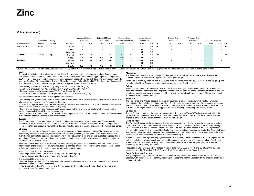#### **Volcan (continued)**

|                   | Attributable | Minina |            | <b>Measured Mineral</b><br>Resources |                          | Indicated Mineral<br>Resources |                          | Measured and<br>Indicated Resources |                          | Inferred Mineral<br>Resources |      |           | Proved Ore<br>Reserves   |                          | Probable Ore<br>Reserves |                          | <b>Total Ore Reserves</b> |                                  |
|-------------------|--------------|--------|------------|--------------------------------------|--------------------------|--------------------------------|--------------------------|-------------------------------------|--------------------------|-------------------------------|------|-----------|--------------------------|--------------------------|--------------------------|--------------------------|---------------------------|----------------------------------|
| Name of operation | interest     | method | Commodity  | 2021                                 | 2020                     | 2021                           | 2020                     | 2021                                | 2020                     | 2021                          | 2020 | CP        | 2021                     | 2020                     | 2021                     | 2020                     | 2021                      | 2020 CP                          |
| Santa Barbara     | 23.3%        | ОC     | Ore (Mt)   | $\overline{\phantom{a}}$             | $\overline{\phantom{a}}$ |                                | $\overline{\phantom{a}}$ |                                     | $\overline{\phantom{a}}$ | 140                           | 140  | <b>GR</b> | $\overline{\phantom{a}}$ | $\sim$                   | $\overline{\phantom{a}}$ | $\overline{\phantom{a}}$ |                           | n.a.<br>$\overline{\phantom{a}}$ |
|                   |              |        | Cu (%)     |                                      |                          |                                | $\overline{\phantom{0}}$ |                                     |                          | 0.4                           | 0.4  |           |                          |                          |                          | -                        |                           |                                  |
|                   |              |        | Gold (g/t) | $\overline{\phantom{a}}$             |                          |                                | $\overline{\phantom{0}}$ |                                     | $\overline{\phantom{a}}$ | 0.2                           | 0.2  |           |                          | $\overline{\phantom{a}}$ |                          | $\overline{\phantom{a}}$ |                           |                                  |
| Rondoni           | 23.3%        | OC     | Ore (Mt)   | 18.4                                 | 18.4                     | 34.3                           | 34.3                     | 53                                  | 53                       | 7.8                           | 7.8  | <b>GR</b> |                          |                          |                          | $\overline{\phantom{a}}$ |                           | n.a.                             |
|                   |              |        | Cu (%)     | 0.5                                  | 0.5                      | 0.5                            | 0.5                      | 0.5                                 | 0.5                      | 0.5                           | 0.5  |           |                          |                          |                          | $\overline{\phantom{a}}$ |                           |                                  |
| <b>Total Cu</b>   |              |        | Ore (Mt)   | 18.4                                 | 18.4                     | 34.3                           | 34.3                     | 53                                  | 53                       | 148                           | 148  |           | $\overline{\phantom{0}}$ | $\sim$                   |                          | $\sim$                   |                           | . .                              |
|                   |              |        | Gold (g/t) | $\sim$                               | $\overline{\phantom{a}}$ |                                | $\sim$                   |                                     | $\overline{\phantom{a}}$ | 0.2                           | 0.2  |           | $\overline{\phantom{a}}$ | $\overline{\phantom{a}}$ |                          | $\overline{\phantom{a}}$ |                           |                                  |
|                   |              |        | Cu (%)     | 0.5                                  | 0.5                      | 0.5                            | 0.5                      | 0.5                                 | 0.5                      | 0.4                           | 0.4  |           | $\overline{\phantom{a}}$ |                          |                          | $\sim$                   |                           | . .                              |

Glencore holds 55.0% of the total class A common shares (63.0% of the class A common shares excluding treasury shares) and has an economic interest in Volcan of 23.3% (including the class B common shares and excluding trea

#### **Yauli**

 The Yauli dome is located 100 km east of Lima, Peru. The southern portion of the dome is where Andaychagua, Carahuacra, San Cristobal and Ticlio are located, and is made up of mantos and vein-type deposits. Changes to the 2021 resources are as a result of mineralisation interpretation updates from new drill data. The main mining methods used are Sub-level Stoping and Over Cut and Fill, while the Under Cut and Fill and SARC methods are also applied in some areas. In 2021, Yauli complex production was split between the four operations:

- Andaychagua production was 890 kt grading 5.8% Zn, 1.3% Pb, and 76 g/t Ag.

- Carahuacra production was 457 kt grading 3.7 % Zn, 0.9% Pb and 119 g/t Ag.

- Ticlio production was 345 kt grading 4.6% Zn, 0.8% Pb and 72 g/t Ag.

- San Cristobal production was 1,195 kt grading 5.4% Zn, 0.7% Pb and 104 g/t Ag.

The expected mine lives of the Yauli complex operations are:

- Andaychagua: 6 years based on Ore Reserves and 6 years based on the life of mine schedule which is inclusive of all available economic Mineral Resources categories;

- Carahuacra: 3 years based on Ore Reserves and 10 years based on the life of mine schedule which is inclusive of all available economic Mineral Resources categories;

- Ticlio: 2 years based on Ore Reserves and 3 years based on the life of mine schedule which is inclusive of all available economic Mineral Resources categories;

- San Cristobal: 7-8 years based on Ore Reserves and 10 years based on the life of mine schedule which is inclusive of all available economic Mineral Resources categories.

#### **Zoraida**

 The Zoraida deposit is located in the Yauli district, 15 km from the Andaychagua concentrator. The deposit is comprised of three stratiform manto bodies, and smaller volumes of vein and replacement bodies. Changes to the resource in 2021 are a result of new drillhole data and resulting update to the interpretation of the mineralized zones.

#### **Chungar**

Located in the Huaron mining district, Chungar encompasses the Islay and Animon mines. The mineralisation at Islay mainly consists of silver-rich, subordinated lead and zinc, breccia-type fissure fill. The Animon deposit, is a hydrothermal polymetallic deposit. The main mining method at Animon is cut and fill; sub-level stoping production is subordinate. The mining method at Islay is sub-level stoping in vein-hosted mineralisation, and room and pillar for sub-horizontal mineralized bodies.

Resource models were revised for Animon and Islay following integration of new drillhole data and update to the interpretation of the mineralisation wireframes. Notable changes are observed in refining the mineralisation extents at Animon, resulting in a decrease in tonnage with an increase in grade.

#### Production during 2021 was as follows:

- Animon production was 1.064 Mt at 4.7% Zn, 1.7% Pb and 59 g/t Ag. - Islay production was 142 kt at 2.4% Zn, 1.0% Pb and 142 g/t Ag.

#### The expected life of mine is:

- Animon: 2-3 years based on Ore Reserves and 6 years based on the life of mine schedule which is inclusive of all economic Mineral Resources categories.

- Islay: 2 years based on Ore Reserves and 4 years based on the life of mine schedule which is inclusive of all economic Mineral Resources categories.

#### **Alpamarca**

The Alpamarca deposit is a structurally-controlled vein-type deposit located in the Pacaros district of the province of Huari. Resources are reported within an optimized pit shell.

Alpamarca is mined by open cut and in 2021, the mine produced 998kt at 1.1% Zn, 0.8% Pb and 56 g/t Ag. The expected mine life of Alpamarca is less than one year based on Ore Reserves.

#### **Palma**

 Palma is a sub-seafloor replacement VMS deposit in the Casma greenstone belt of coastal Peru, which also hosts the Perubar, Cerro Lindo and Colquisiri deposits. Zinc, lead and silver mineralization at Palma is found in a series of semi conformable lenses crosscut by a system of North-South trending dykes. The project is located in the Huarochiri province of Lima.

#### **Romina II**

 The Puagjanca and Andrea deposits make up an advanced exploration project, which hosts polymetallic mineralisation that includes zinc, lead, and silver. The deposits outcrops in the form of replacement bodies and sills rich in lead and zinc. It is located 15 km west of the Alpamarca mine in the Pacaros district of the province of Huaral in the region of Lima. The Puagjanca deposit is currently undergoing a Feasibility Study.

#### **La Tapada**

The La Tapada project is in the early exploration stage. It is close to Volcan's Yauli operating unit within the geological formation known as the Yauli Dome. The hosting formation consists of folded structures that are aligned over an intrusive stock, enriched in zinc, lead and silver.

#### **Cerro de Pasco**

 The Cerro de Pasco mine hosts polymetallic deposits associated with dacitic pyroclastic volcanism, structural deformation and carbonate replacement. Work continued in 2021 to validate historical drill data and mining voids, resulting in a reduction in the Mineral Resource. The insitu material, hosted in the Raul Rojas block, is segregated by mineralisation type and to reflect different metallurgical/processing methods. The Cerro de Pasco stockpile models were drilled, analysed, and reclassified which led to the loss of previously categorised Inferred resources. An oxide stockpile was added to resource inventory in 2021.

Mineral Resources are reported for polymetallic Pb-Zn, sulphides, and in situ oxides of the Raul Rojas block, as well as stockpiles having demonstrated reasonable prospects for eventual economic extraction. Ore Reserves are declared for areas within existing permit boundaries and expiries; these will potentially be extended depending on a regulatory procedure.

Production in 2021 was 2.6 Mt of stockpile material, grading 1.9% Zn, 0.6% Pb and 32 g/t Ag from sulphide stockpiles, and 0.5 Mt grading 245 g/t Ag and 1.0 g/t Au from the Cerro de Pasco Oxides.

#### **Santa Bárbara and Rondoni**

 The geological setting of the Santa Barbara and Rondoni projects are characteristic of Andean Cu-porphyry deposits, with mineralisation dominantly occurring in chalcopyrite-bearing veinlets with intermediate argillic and potassic alteration.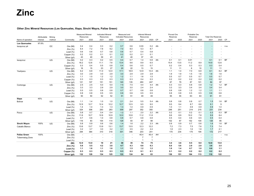#### **Other Zinc Mineral Resources (Los Quenuales, Illapa, Sinchi Wayra, Pallas Green)**

|                        | Attributable | Mining    |                    | <b>Measured Mineral</b><br>Resources                 |                          | <b>Indicated Mineral</b><br>Resources |                                                      | Measured and<br><b>Indicated Resources</b> |                                    | <b>Inferred Mineral</b><br>Resources |                |           | Proved Ore<br>Reserves   |                                                      | Probable Ore<br>Reserves                   |                                    | <b>Total Ore Reserves</b>                            |            |           |
|------------------------|--------------|-----------|--------------------|------------------------------------------------------|--------------------------|---------------------------------------|------------------------------------------------------|--------------------------------------------|------------------------------------|--------------------------------------|----------------|-----------|--------------------------|------------------------------------------------------|--------------------------------------------|------------------------------------|------------------------------------------------------|------------|-----------|
| Name of operation      | interest     | method    | Commodity          | 2021                                                 | 2020                     | 2021                                  | 2020                                                 | 2021                                       | 2020                               | 2021                                 | 2020           | <b>CP</b> | 2021                     | 2020                                                 | 2021                                       | 2020                               | 2021                                                 | 2020       | <b>CP</b> |
| <b>Los Quenuales</b>   | 97.6%        |           |                    |                                                      |                          |                                       |                                                      |                                            |                                    |                                      |                |           |                          |                                                      |                                            |                                    |                                                      |            |           |
| Iscaycruz pit          |              | <b>OC</b> | Ore (Mt)           | 0.4                                                  | 0.4                      | 0.3                                   | 0.2                                                  | 0.7                                        | 0.6                                | 0.03                                 | 0.2            | AA        |                          |                                                      |                                            |                                    |                                                      |            | n.a.      |
|                        |              |           | Zinc $(% )$        | 6.4                                                  | 7.2                      | 7.8                                   | 9.2                                                  | 7.0                                        | 8.0                                | 5.3                                  | 8.7            |           |                          |                                                      |                                            |                                    |                                                      |            |           |
|                        |              |           | Lead $(\%)$        | 0.6                                                  | 0.6                      | 0.7                                   | 0.8                                                  | 0.6                                        | 0.7                                | 0.4                                  | 0.8            |           |                          |                                                      |                                            | ٠                                  |                                                      |            |           |
|                        |              |           | Copper (%)         | 0.2                                                  | 0.2                      | 0.1                                   | 0.1                                                  | 0.2                                        | 0.2                                | 0.1                                  | 0.1            |           |                          |                                                      |                                            | $\blacksquare$                     | $\overline{\phantom{a}}$                             |            |           |
|                        |              |           | Silver (g/t)       | 43                                                   | 40                       | 39                                    | 41                                                   | 41                                         | 40                                 | 37                                   | 43             |           |                          | $\overline{\phantom{a}}$                             | $\overline{\phantom{a}}$                   | $\overline{\phantom{a}}$           | $\overline{\phantom{a}}$                             | ÷          |           |
| Iscaycruz              |              | UG        | Ore (Mt)           | 0.2                                                  | 0.3                      | 0.2                                   | 0.5                                                  | 0.4                                        | 0.7                                | 1.4                                  | 0.8            | AA        | 0.1                      | 0.1                                                  | 0.01                                       | $\sim$                             | 0.1                                                  | 0.1        | <b>BF</b> |
|                        |              |           | Zinc $(%)$         | 16.2                                                 | 12.6                     | 11.1                                  | 7.6                                                  | 13.4                                       | 9.6                                | 8.9                                  | 6.5            |           | 15.4                     | 13.5                                                 | 11.2                                       | 8.9                                | 14.9                                                 | 12.6       |           |
|                        |              |           | Copper (%)         | 0.3                                                  | 0.4                      | 0.5                                   | 0.8                                                  | 0.4                                        | 0.6                                | 0.5                                  | 0.7            |           | 0.2                      | 0.4                                                  | 0.3                                        | 0.3                                | 0.3                                                  | 0.4        |           |
|                        |              |           | Silver (g/t)       | 16                                                   | 15                       | 23                                    | 27                                                   | 20                                         | 22                                 | 13                                   | 15             |           | 11                       | 11                                                   | 8                                          | 10                                 | 11                                                   | 11         |           |
| Yauliyacu              |              | UG        | Ore (Mt)           | 6.2                                                  | 6.8                      | 11.0                                  | 12.0                                                 | 17.1                                       | 18.9                               | 12.9                                 | 13.4           | AA        | 1.1                      | 1.4                                                  | 7.0                                        | 6.8                                | 8.1                                                  | 8.2        | <b>BF</b> |
|                        |              |           | Zinc $(% )$        | 3.0                                                  | 2.9                      | 3.0                                   | 2.9                                                  | 3.0                                        | 2.9                                | 2.9                                  | 2.8            |           | 1.9                      | 1.9                                                  | 1.5                                        | 1.6                                | 1.6                                                  | 1.6        |           |
|                        |              |           | Lead $(\%)$        | 1.1                                                  | 1.0                      | 1.2                                   | 1.2                                                  | 1.2                                        | 1.1                                | 1.6                                  | 1.5            |           | 0.5                      | 0.7                                                  | 0.5                                        | 0.7                                | 0.5                                                  | 0.7        |           |
|                        |              |           | Copper (%)         | 0.3                                                  | 0.3                      | 0.3                                   | 0.3                                                  | 0.3                                        | 0.3                                | 0.4                                  | 0.3            |           | 0.2                      | 0.2                                                  | 0.2                                        | 0.2                                | 0.2                                                  | 0.2        |           |
|                        |              |           | Silver (g/t)       | 121                                                  | 107                      | 151                                   | 151                                                  | 140                                        | 135                                | 260                                  | 247            |           | 67                       | 79                                                   | 87                                         | 101                                | 84                                                   | 97         |           |
| Contonga               |              | UG        | Ore (Mt)           | 2.5                                                  | 2.5                      | 5.0                                   | 5.0                                                  | 7.5                                        | 7.5                                | 4.4                                  | 4.4            | AA        | 0.3                      | 0.3                                                  | 0.8                                        | 0.8                                | 1.2                                                  | 1.2        | <b>BF</b> |
|                        |              |           | Zinc $(%)$         | 3.3                                                  | 3.3                      | 2.9                                   | 2.9                                                  | 3.0                                        | 3.0                                | 2.4                                  | 2.4            |           | 3.3                      | 3.3                                                  | 3.4                                        | 3.4                                | 3.4                                                  | 3.4        |           |
|                        |              |           | Lead $(\%)$        | 0.5                                                  | 0.5                      | 0.8                                   | 0.8                                                  | 0.7                                        | 0.7                                | 0.8                                  | 0.8            |           | 0.8                      | 0.8                                                  | 1.2                                        | 1.2                                | 1.1                                                  | 1.1        |           |
|                        |              |           | Copper (%)         | 0.8                                                  | 0.8                      | 0.5                                   | 0.5                                                  | 0.6                                        | 0.6                                | 0.5                                  | 0.5            |           | 0.8                      | 0.8                                                  | 0.5                                        | 0.5                                | 0.6                                                  | 0.6        |           |
|                        |              |           | Silver (g/t)       | 50                                                   | 50                       | 52                                    | 52                                                   | 51                                         | 51                                 | 49                                   | 49             |           | 55                       | 55                                                   | 63                                         | 63                                 | 61                                                   | 61         |           |
| Illapa                 | 45%          |           |                    |                                                      |                          |                                       |                                                      |                                            |                                    |                                      |                |           |                          |                                                      |                                            |                                    |                                                      |            |           |
| Bolivar                |              | UG        | Ore (Mt)           | 1.1                                                  | 1.4                      | 1.0                                   | 1.0                                                  | 2.1                                        | 2.4                                | 5.5                                  | 5.4            | AA        | 0.8                      | 0.8                                                  | 0.8                                        | 0.7                                | 1.5                                                  | 1.6        | <b>BF</b> |
|                        |              |           | Zinc $(\%)$        | 12.9                                                 | 12.7                     | 12.4                                  | 12.2                                                 | 12.7                                       | 12.5                               | 9.5                                  | 9.0            |           | 9.5                      | 9.4                                                  | 8.7                                        | 8.6                                | 9.1                                                  | 9          |           |
|                        |              |           | Lead $(\%)$        | 1.4                                                  | 1.4                      | 1.3                                   | 1.3                                                  | 1.3                                        | 1.4                                | 0.9                                  | 0.9            |           | 1.0                      | 1.1                                                  | 0.9                                        | 0.9                                | 0.9                                                  | 1.0        |           |
|                        |              |           | Silver (g/t)       | 324                                                  | 308                      | 293                                   | 283                                                  | 309                                        | 297                                | 352                                  | 350            |           | 248                      | 251                                                  | 214                                        | 215                                | 231                                                  | 234        |           |
| Porco                  |              | UG        | Ore (Mt)           | 0.8                                                  | 0.7                      | 0.4                                   | 0.4                                                  | 1.2                                        | 1.1                                | 2.0                                  | 2.2            | AA        | 0.2                      | 0.1                                                  | 0.2                                        | 0.1                                | 0.3                                                  | 0.3        | <b>BF</b> |
|                        |              |           | Zinc $(\%)$        | 11.6                                                 | 10.7                     | 12.6                                  | 10.9                                                 | 12.0                                       | 10.8                               | 11.2                                 | 11.8           |           | 9.6                      | 8.9                                                  | 10.2                                       | 7.8                                | 9.9                                                  | 8.4        |           |
|                        |              |           | Lead $(\%)$        | 0.7                                                  | 0.6                      | 1.0                                   | 0.8                                                  | 0.8                                        | 0.7                                | 0.8                                  | 0.8            |           | 0.5                      | 0.4                                                  | 0.6                                        | 0.5                                | 0.5                                                  | 0.4        |           |
|                        |              |           | Silver (g/t)       | 116                                                  | 83                       | 154                                   | 114                                                  | 129                                        | 93                                 | 97                                   | 98             |           | 102                      | 67                                                   | 152                                        | 104                                | 126                                                  | 85         |           |
| Sinchi Wayra           | 100%         | UG        | Ore (Mt)           | 0.8                                                  | 0.9                      | 0.6                                   | 0.6                                                  | 1.4                                        | 1.6                                | 2.2                                  | 2.3            | AA        | 0.9                      | 0.9                                                  | 0.7                                        | 0.6                                | 1.6                                                  | 1.6        | <b>BF</b> |
| Caballo Blanco         |              |           | Zinc $(\%)$        | 13.6                                                 | 13.7                     | 13.9                                  | 13.1                                                 | 13.7                                       | 13.5                               | 12.3                                 | 12.2           |           | 7.2                      | 7.3                                                  | 7.5                                        | 7.6                                | 7.3                                                  | 7.4        |           |
|                        |              |           | Lead $(\% )$       | 3.2                                                  | 3.7                      | 3.0                                   | 3.2                                                  | 3.1                                        | 3.5<br>346                         | 2.2                                  | 2.4<br>241     |           | 1.8                      | 2.3                                                  | 1.6                                        | 1.8                                | 1.7<br>172                                           | 2.1<br>217 |           |
| <b>Pallas Green</b>    | 100%         |           | Silver (g/t)       | 294<br>$\overline{a}$                                | 364                      | 310                                   | 318                                                  | 301                                        |                                    | 203<br>45.4                          | 45.4           | AH        | 170<br>$\overline{a}$    | 234                                                  | 175                                        | 194                                |                                                      |            |           |
|                        |              |           | Ore (Mt)           |                                                      |                          |                                       |                                                      |                                            | $\overline{\phantom{a}}$           | $\overline{7}$                       | $\overline{7}$ |           |                          |                                                      |                                            |                                    | $\blacksquare$                                       |            | n.a.      |
| <b>Tobermalug Zone</b> |              |           | Zinc $(\%)$        | $\overline{\phantom{a}}$<br>$\overline{\phantom{a}}$ | $\overline{\phantom{a}}$ | $\sim$<br>$\sim$                      | $\overline{\phantom{a}}$<br>$\overline{\phantom{a}}$ | ٠                                          | $\sim$<br>$\overline{\phantom{a}}$ | $\overline{1}$                       | $\mathbf{1}$   |           | $\sim$<br>$\overline{a}$ | $\overline{\phantom{a}}$<br>$\overline{\phantom{a}}$ | $\blacksquare$<br>$\overline{\phantom{a}}$ | $\sim$<br>$\overline{\phantom{a}}$ | $\overline{\phantom{a}}$<br>$\overline{\phantom{a}}$ | ÷          |           |
|                        |              |           | Lead $(\%)$        | 12.0                                                 | 13.0                     | 19                                    | 21                                                   | 30                                         | 35                                 | 74                                   | 75             |           | 3.4                      | 3.6                                                  | 9.5                                        | 9.0                                | 12.8                                                 | 13.0       |           |
|                        |              |           | (Mt)<br>Zinc $(%)$ | 5.6                                                  | 5.5                      | 4.2                                   | 3.8                                                  | 4.7                                        | 4.3                                | 6.6                                  | 6.3            |           | 6.0                      | 5.6                                                  | 2.9                                        | 2.8                                | 3.6                                                  | 3.5        |           |
|                        |              |           | Lead (%)           | 1.1                                                  | 1.6                      | 1.1                                   | 1.6                                                  | 1.1                                        | 1.5                                | 1.2                                  | $1.2$          |           | 1.0                      | 1.4                                                  | 0.7                                        | 1.0                                | 0.8                                                  | 1.1        |           |
|                        |              |           |                    | 0.3                                                  | 0.3                      | 0.3                                   | 0.3                                                  | 0.3                                        | 0.3                                | 0.1                                  | 0.1            |           | 0.1                      | 0.2                                                  | 0.2                                        | 0.2                                | 0.2                                                  | 0.2        |           |
|                        |              |           | Copper (%)         |                                                      |                          |                                       |                                                      |                                            |                                    |                                      |                |           |                          |                                                      |                                            |                                    |                                                      |            |           |
|                        |              |           | Silver (g/t)       | 132                                                  | 129                      | 134                                   | 125                                                  | 133                                        | 124                                | 84                                   | 83             |           | 136                      | 151                                                  | 104                                        | 113                                | 110                                                  | 122        |           |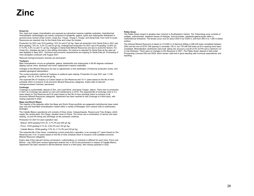#### **Iscaycruz**

Zinc, lead and copper mineralisation are exposed as subvertical massive sulphide orebodies. Hydrothermal mineralisation assemblages are mainly composed of sphalerite, galena, pyrite and chalcopyrite distributed in several zones named Limpe Centro, Limpe Sur, Chupa, Tinyag II, Tinyag I and Santa Este, from north to south. Resources are reported only for the Santa Este and Limpe Sur bodies.

Production for 2021 was 76 kt grading 7.6% Zn and 47 g/t Ag. Open pit production from Santa Este in 2021 was 68 kt grading 7.0% Zn, 0.2% Cu and 52 g/t Ag. Underground production for 2021 was 8 Kt grading 12.64% Zn, 0.1% Pb, 0.3% Cu and 13 g/t Ag. Changes in Santa Este Mineral Resources are due to economic factors. For Limpe Sur, changes are due to new drilling information. No reserve is reported for Santa Este as the open pit was depleted in early 2021. Technical and economic assessments are ongoing for Santa Este pit. Processing of mine stockpiles continued until August 2021.

Relevant mining/concession licenses are permanent.

#### **Yauliyacu**

Main mineralisation occurs as sphalerite, galena, tetrahedrite and chalcopyrite in 60-80 degrees northwest dipping narrow veins, stockwork and minor replacement massive orebodies.

Changes to the Mineral Resource are due to adjustments on the sterilization of historical production zones, and updated geological interpretation.

The current extraction method at Yauliyacu is sublevel open stoping. Production for year 2021 was 1.2 Mt grading 1.9% Zn, 0.9% Pb and 84 g/t Ag.

The expected life of Yauliyacu is 6 years based on Ore Reserves and 10-11 years based on the life of mine schedule which is inclusive of all economic Mineral Resources categories. Expiry date of relevant mining/concession licenses: permanent.

#### **Contonga**

Contonga is a polymetallic deposit of Zinc, and Lead-Silver, and lesser Copper, skarns. There was no production in 2021 as Contonga was placed on care and maintenance in 2019. The expected life of Contonga mine is 3-4 years based on Ore Reserves and 5-6 years based on the life of mine schedule which is inclusive of all economic Mineral Resources categories. Agreement has been reached to sell Contonga to a third party, with closing expected in 2022.

#### **Illapa and Sinchi Wayra**

The majority of the deposits within the Illapa and Sinchi Wayra portfolio are epigenetic-hydrothermal base metal type vein and fault-filled mineralisation hosted within a variety of lithologies from volcanic tuffs to sedimentary packages.

The Caballo Blanco operational unit consists of three mines: Colquechaquita, Reserva and Tres Amigos, which supply the central plant, Don Diego, situated close to Potosi. The mines use a combination of narrow vein open stoping, cut and fill mining and shrinkage as the extraction methods.

Production for 2021 for each operation was:

- Bolivar: 267kt grading 8.4% Zn, 0.7% Pb and 205 g/t Ag;
- Porco: 107kt grading 8.1% Zn, 0.6% Pb and 153 g/t Ag;
- Caballo Blanco: 253kt grading 7.0% Zn, 2.1% Pb and 232 g/t Ag.

The expected life of the mines, considering current production capacities, is an average of 7 years based on Ore Reserves and 13 to 15 years based on the life of mine schedule which is inclusive of all available economic Mineral Resource categories.

Expiry date of the relevant mining concessions / authorisations or contracts is different for each mine. Porco and Bolivar - July 2028 (joint venture agreement entered into in 2013) and permanent in respect of Caballo Blanco. Agreement has been reached to sell the Bolivian mines to a third party, with closing expected in 2022.

#### **Pallas Green**

 The Pallas Green project is situated near Limerick in Southwestern Ireland. The Tobermalug zone consists of multiple, subhorizontal, stratiform lenses of Irishtype, breccia-hosted, sphalerite-galena-pyrite within a Carboniferous limestone. The lenses occur over an area 4,000 m by 4,000 m, and from 300 m to 1,300 m below surface.

The Inferred Mineral Resource is based on 413,600 m of diamond drilling in 806 drill holes completed between 2002 and the end of 2018. Drill spacing is nominally 100 m, but 178 infill drill holes at 50 m spacing have been completed. Mineralisation wireframes were built, taking into account a cut-off of 4% Zn+Pb and a minimum 3.0 m true thickness. There were no changes to the Resource in 2021. The Pallas Green deposit is held under Prospecting Licenses 636 and 2529, which remain valid and in good standing with bi-annual expenditures and reporting.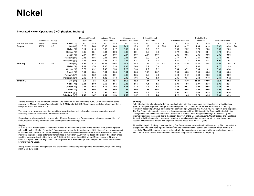# **Nickel**

#### **Integrated Nickel Operations (INO) (Raglan, Sudbury)**

|                   |              |        |                 | <b>Measured Mineral</b> |      | Indicated Mineral |       | Measured and               |      | Inferred Mineral |      |            |                            |      | Probable Ore |       |                           |       |           |
|-------------------|--------------|--------|-----------------|-------------------------|------|-------------------|-------|----------------------------|------|------------------|------|------------|----------------------------|------|--------------|-------|---------------------------|-------|-----------|
|                   | Attributable | Mining |                 | Resources               |      | Resources         |       | <b>Indicated Resources</b> |      | Resources        |      |            | <b>Proved Ore Reserves</b> |      | Reserves     |       | <b>Total Ore Reserves</b> |       |           |
| Name of operation | interest     | method | Commodity       | 2021                    | 2020 | 2021              | 2020  | 2021                       | 2020 | 2021             | 2020 | CP         | 2021                       | 2020 | 2021         | 2020  | 2021                      | 2020  | CP        |
| Raglan            | 100%         | UG     | Ore (Mt)        | 5.22                    | 5.86 | 18.87             | 14.08 | 24.1                       | 19.9 | 10               | 15   | <b>PSA</b> | 4.38                       | 4.17 | 4.94         | 6.13  | 9.32                      | 10.30 | <b>RC</b> |
|                   |              |        | Nickel (%)      | 3.14                    | 3.15 | 3.08              | 3.17  | 3.09                       | 3.16 | 3.3              | 3.2  |            | 2.56                       | 2.52 | 2.76         | 2.80  | 2.66                      | 2.69  |           |
|                   |              |        | Copper (%)      | 0.85                    | 0.81 | 0.91              | 0.96  | 0.90                       | 0.91 | 0.9              | 0.9  |            | 0.72                       | 0.65 | 0.76         | 0.81  | 0.74                      | 0.75  |           |
|                   |              |        | Cobalt (%)      | 0.07                    | 0.07 | 0.07              | 0.07  | 0.07                       | 0.07 | 0.07             | 0.07 |            | 0.06                       | 0.05 | 0.06         | 0.06  | 0.06                      | 0.06  |           |
|                   |              |        | Platinum (g/t)  | 0.93                    | 0.86 | 0.91              | 0.93  | 0.91                       | 0.91 | 0.9              | 0.9  |            | 0.77                       | 0.71 | 0.81         | 0.88  | 0.79                      | 0.81  |           |
|                   |              |        | Palladium (g/t) | 2.25                    | 2.09 | 2.28              | 2.34  | 2.27                       | 2.27 | 2.3              | 2.4  |            | 1.87                       | 1.72 | 1.95         | 2.14  | 1.91                      | 1.97  |           |
| Sudbury           | 100%         | UG     | Ore (Mt)        | 3.94                    | 3.72 | 23.88             | 22.62 | 27.8                       | 26.3 | 37               | 34   | JO.        | 3.22                       | 4.10 | 16.30        | 13.84 | 19.52                     | 17.94 | JO        |
|                   |              |        | Nickel (%)      | 1.49                    | 1.70 | 2.05              | 2.16  | 1.97                       | 2.09 | 0.9              | 0.9  |            | 1.27                       | 1.31 | 1.86         | 2.12  | 1.77                      | 1.93  |           |
|                   |              |        | Copper (%)      | 0.76                    | 0.92 | 2.48              | 2.56  | 2.23                       | 2.33 | 2.2              | 2.2  |            | 0.64                       | 0.71 | 0.94         | 1.01  | 0.89                      | 0.94  |           |
|                   |              |        | Cobalt (%)      | 0.04                    | 0.04 | 0.04              | 0.05  | 0.04                       | 0.05 | 0.02             | 0.02 |            | 0.04                       | 0.03 | 0.04         | 0.05  | 0.04                      | 0.05  |           |
|                   |              |        | Platinum (g/t)  | 0.45                    | 0.52 | 0.95              | 0.91  | 0.88                       | 0.85 | 0.8              | 0.8  |            | 0.40                       | 0.42 | 0.38         | 0.38  | 0.39                      | 0.39  |           |
|                   |              |        | Palladium (g/t) | 0.40                    | 0.48 | 1.08              | 1.13  | 0.99                       | 1.04 | 1.0              | 1.0  |            | 0.35                       | 0.37 | 0.43         | 0.43  | 0.41                      | 0.42  |           |
| <b>Total INO</b>  |              |        | Ore (Mt)        | 9.1                     | 9.6  | 42.8              | 36.7  | 51.9                       | 46.2 | 47               | 49   |            | 7.60                       | 8.30 | 21.20        | 19.90 | 28.8                      | 28.2  |           |
|                   |              |        | Nickel (%)      | 2.43                    | 2.59 | 2.50              | 2.55  | 2.49                       | 2.55 | 1.4              | 1.6  |            | 2.01                       | 1.93 | 2.07         | 2.33  | 2.06                      | 2.21  |           |
|                   |              |        | Copper (%)      | 0.81                    | 0.85 | 1.79              | 1.95  | 1.61                       | 1.72 | 1.9              | 1.8  |            | 0.68                       | 0.67 | 0.90         | 0.95  | 0.84                      | 0.87  |           |
|                   |              |        | Cobalt (%)      | 0.05                    | 0.06 | 0.05              | 0.06  | 0.05                       | 0.06 | 0.03             | 0.03 |            | 0.05                       | 0.04 | 0.04         | 0.06  | 0.05                      | 0.05  |           |
|                   |              |        | Platinum (g/t)  | 0.73                    | 0.73 | 0.93              | 0.92  | 0.89                       | 0.88 | 0.8              | 0.8  |            | 0.62                       | 0.57 | 0.48         | 0.53  | 0.52                      | 0.54  |           |
|                   |              |        | Palladium (g/t) | 1.46                    | 1.47 | 1.61              | 1.59  | 1.58                       | 1.57 | 1.3              | 1.4  |            | 1.22                       | 1.05 | 0.78         | 0.95  | 0.90                      | 0.99  |           |

For the purposes of this statement, the term 'Ore Reserves' as defined by the JORC Code 2012 has the same meaning as 'Mineral Reserves' as defined in the CIM Standards 2014. The resource totals have been restated in compliance with the JORC Code.

There are no known environmental, permitting, legal, taxation, political or other relevant issues that would materially affect the estimates of the Mineral Reserves.

Depending on when production is scheduled, Mineral Reserves and Resources are calculated using a blend of short, medium, or long term metal price assumptions and exchange rates.

#### **Raglan**

Ni-Cu-Co-PGE mineralisation is located at or near the base of subvolcanic mafic-ultramafic intrusive complexes referred to as the "Raglan Formation". Resources are generally determined at a 1.5% Ni cut-off and are composed of disseminated, net-textured, and massive pyrrhotite-pentlandite-chalcopyrite rich sulphides contained within 110 individual sulphide lenses, extending from surface to more than 900m vertical depth. The size of these high-grade sulphide lenses varies significantly from 0.01Mt to 6.1Mt, averaging 0.2Mt. Mineral Reserves are sufficient to support a 6 year mine life. Significant undeveloped Mineral Resources provide an opportunity to extend mine life by more than 12 years.

Expiry date of relevant mining leases and exploration licenses: depending on the mine/project, range from 2 May 2024 to 25 June 2038.

#### **Sudbury**

Sulphide deposits sit on broadly defined trends of mineralisation along basal brecciated rocks of the Sudbury Igneous Complex as pentlandite-pyrrhotite-chalcopyrite rich concentrations as well as within the underlying footwall in fractured pathways as chalcopyrite dominated polymetallic (Cu, Ni, Au, Ag, Pt, Pd) vein-style sulphides. The Ore Reserve tonnage increased and the grade decreased from 2020 due to the Onaping Depth definition drilling results and associated updates to the resource models, mine design and change to the cut-off grade. Inferred Resources increased due to the recent discovery of the Moose Lake Zone. Cut-off grades are calculated for each individual mine site or resource based on a metal equivalent or net smelter return value taking into account all recoverable metals. The expected reserve-based mine life is 17 years.

All land holdings in Sudbury covering existing Ore Reserves are patented and 100% owned by Glencore, with the exception of one site where a portion of reserves are covered by two licences of occupation which are held in perpetuity. Mineral Resources are also patented with the exception of areas covered by several mining leases which expire in 2033 and 2036 and one License of Occupation which is held in perpetuity.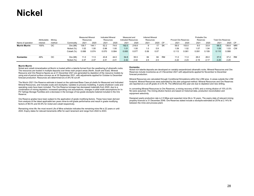# **Nickel**

|                      | Attributable | Mining |            | <b>Measured Mineral</b><br>Resources |       | <b>Indicated Mineral</b><br>Resources |       | Measured and<br><b>Indicated Resources</b> |       | <b>Inferred Mineral</b><br>Resources |      |           | <b>Proved Ore Reserves</b> |       | Probable Ore<br>Reserves |       | <b>Total Ore Reserves</b> |         |           |
|----------------------|--------------|--------|------------|--------------------------------------|-------|---------------------------------------|-------|--------------------------------------------|-------|--------------------------------------|------|-----------|----------------------------|-------|--------------------------|-------|---------------------------|---------|-----------|
| Name of operation    | interest     | method | Commodity  | 2021                                 | 2020  | 2021                                  | 2020  | 2021                                       | 2020  | 2021                                 | 2020 | CP        | 2021                       | 2020  | 2021                     | 2020  | 2021                      | 2020 CP |           |
| <b>Murrin Murrin</b> | 100%         | OС     | Ore (Mt)   | 139.7                                | 144.  | 52.2                                  | 74.6  | 192.0                                      | 218.8 | 9                                    |      | SK        | 59.5                       | 103.0 | 9.0                      | 33.9  | 68.5                      | 136.8   | MR/       |
|                      |              |        | Nickel (%) | 1.02                                 | 1.00  | 0.98                                  | 1.00  | 1.01                                       | 1.00  | .0                                   | 0.9  |           | 1.09                       | 1.02  | 1.07                     | 1.04  | 1.09                      | 1.03    | <b>CW</b> |
|                      |              |        | Cobalt (%) | 0.088                                | 0.074 | 0.070                                 | 0.084 | 0.083                                      | 0.077 | 0.06                                 | 0.07 |           | 0.113                      | 0.081 | 0.091                    | 0.109 | 0.110                     | 0.088   |           |
| Koniambo             | 49%          | OС     | Ore (Mt)   | 11.0                                 | 11.5  | 43.8                                  | 44.0  | 54.8                                       | 55.5  | 84                                   | 84   | <b>RM</b> | 11.0                       |       | 26.0                     | 26.0  | 37.0                      | 37.2    | RM        |
|                      |              |        | Nickel (%) | 2.47                                 | 2.47  | 2.41                                  | 2.41  | 2.42                                       | 2.42  | 2.5                                  | 2.5  |           | 2.22                       | 2.23  | 2.19                     | 2.17  | 2.20                      | 2.20    |           |

#### **Murrin Murrin**

 Nickel and cobalt mineralisation at Murrin is hosted within a laterite formed from the weathering of ultramafic rocks. The resources are hosted in multiple deposits over three main project areas (North, South and East). Mineral Resource and Ore Reserve figures as at 31 December 2021 are generated by depletion of the resource models by using end-of-period surface surveys as at 30 September 2021, with adjustments applied for October to December forecast production. Resources are determined at a 0.8% Ni cut-off.

The Murrin 2021 Ore Reserve estimate is based on the optimised Base Case pit shells for Measured and Indicated Mineral Resources, and includes scats and stockpiles. Updates to process modelling, 4-yearly shutdown costs and operating costs have been included. The Ore Reserve tonnage has decreased materially from 2020, due to a combination of mining depletion, increased operating cost assumptions, changes in pillar width assumptions for In-Pit Tailings Storage Facilities and a decrease in the tonnage of low-grade stockpile material included in the Ore Reserve.

Ore Reserve grades have been subject to the application of grade modifying factors. These have been derived from analysis of the latest applicable two years mine-to-mill grade performance and result in grade modifying factors of 96.5% and 93.9% for nickel and cobalt respectively.

Remaining mine life: the most recent Life of Mine schedule indicates the remaining mine life is 22 years or until 2043. Expiry dates for relevant tenements differ for each tenement and range from 2022 to 2043.

#### **Koniambo**

 Nickel rich laterite deposits are developed on variably serpentinized ultramafic rocks. Mineral Resources and Ore Reserves include inventories as of 3 November 2021 with adjustments applied for November to December forecast production.

Mineral Resources are calculated through Conditional Simulations within the LOM area. In areas outside the LOM footprint, Mineral Resources were estimated by the plan polygonal method. Mineral Resources and Ore Reserves are reported at a cut-off grade of 2.0% Ni. The differences this year are due to depletion and new drilling.

In converting Mineral Resources to Ore Reserves, a mining recovery of 90% and a mining dilution of 15% (0.5% Ni) were assumed. The mining dilution factors are based on historical data, production reconciliation and equipment selectivity. The minimal data data, production reconciliation reconciliation reconciliation reconcili

.<br>Designed yearly production rate is 2.5 Mtpa and expected mine life is 16 years. The expiry date of relevant mining property licences is 31 December 2048. Ore Reserves stated include a stockpile estimated at 257kt at 2.14% Ni between the mine and process plant.  $\overline{\phantom{a}}$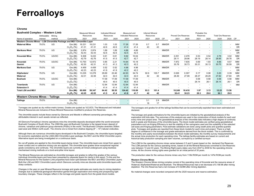**Chrome**

| <b>Bushveld Complex - Western Limb</b><br>Attributable<br>Minina       |          |        | <b>Measured Mineral</b>   |                          | <b>Indicated Mineral</b>                             |               | Measured and  |                            | <b>Inferred Mineral</b>  |                                    |                     |           |                            | Probable Ore    |               |                                    |                           |                          |                  |
|------------------------------------------------------------------------|----------|--------|---------------------------|--------------------------|------------------------------------------------------|---------------|---------------|----------------------------|--------------------------|------------------------------------|---------------------|-----------|----------------------------|-----------------|---------------|------------------------------------|---------------------------|--------------------------|------------------|
|                                                                        |          |        |                           | Resources                |                                                      | Resources     |               | <b>Indicated Resources</b> |                          | Resources                          |                     |           | <b>Proved Ore Reserves</b> |                 | Reserves      |                                    | <b>Total Ore Reserves</b> |                          |                  |
| Name of operation                                                      | interest | method | Commodity                 | 2021                     | 2020                                                 | 2021          | 2020          | 2021                       | 2020                     | 2021                               | 2020                | <b>CP</b> | 2021                       | 2020            | 2021          | 2020                               | 2020                      | 2020                     | CP               |
| Western Chrome Mines - LG6 Chromitite Package and MG1 Chromitite Layer |          |        |                           |                          |                                                      |               |               |                            |                          |                                    |                     |           |                            |                 |               |                                    |                           |                          |                  |
| <b>Waterval Mine</b>                                                   | 79.5%    | UG     | Ore (Mt)<br>$Cr_2O_3$ (%) | 16.231<br>41.31          | 16.231<br>41.31                                      | 1.03<br>42.6  | 1.03<br>42.6  | 17.26<br>41.4              | 17.26<br>41.4            | 0.7<br>43                          | 0.7<br>43           | MM/DR     |                            |                 |               | $\sim$                             |                           | $\overline{\phantom{a}}$ | MM/<br>DR        |
| <b>Marikana West</b>                                                   | 79.5%    | UG     | Ore (Mt)<br>$Cr_2O_3$ (%) | 2.974<br>42.43           | 2.974<br>42.43                                       | 1.69<br>42.6  | 1.69<br>42.6  | 4.66<br>42.5               | 4.66<br>42.5             | $\sim$<br>$\overline{\phantom{a}}$ |                     | MM/DR     |                            |                 |               | $\sim$<br>$\sim$                   |                           | $\overline{\phantom{a}}$ | MM/<br><b>DR</b> |
| <b>Kroondal Mine</b>                                                   | 79.5%    | UG/OC  | Ore (Mt)<br>$Cr_2O_3$ (%) | 9.308<br>42.79           | 9.433<br>42.76                                       | 0.61<br>41.5  | 0.61<br>41.5  | 9.92<br>42.7               | 10.04<br>42.7            | $\sim$<br>$\overline{\phantom{a}}$ | ٠                   | MM/DR     | 2.251<br>29.11             | 2.476<br>28.96  | 0.53<br>28.19 | 0.54<br>28.14                      | 2.78<br>28.95             | 3.02<br>28.78            | MM/<br><b>DR</b> |
| Kroondal<br>Gemini                                                     | 79.5%    | UG/OC  | Ore (Mt)<br>$Cr_2O_3$ (%) | 13.793<br>42.30          | 12.972<br>42.31                                      | 0.85<br>41.3  | 2.21<br>41.3  | 14.64<br>42.3              | 15.18<br>42.2            | Ξ.<br>$\overline{\phantom{a}}$     |                     | MM/DR     | 7.972<br>30.78             | 7.635<br>30.73  | 0.69<br>30.31 | 1.93<br>30.13                      | 8.66<br>30.75             | 9.57<br>30.59            | MM/<br><b>DR</b> |
| <b>Marikana East</b>                                                   | 79.5%    | UG     | Ore (Mt)<br>$Cr_2O_3$ (%) | 4.459<br>42.23           | 4.459<br>42.23                                       | 0.52<br>41.9  | 0.52<br>41.9  | 4.98<br>42.2               | 4.98<br>42.2             | Ξ.<br>$\overline{\phantom{a}}$     |                     | MM/DR     |                            |                 |               | $\sim$<br>$\overline{\phantom{a}}$ |                           | $\overline{\phantom{a}}$ | MM/<br><b>DR</b> |
| Klipfontein/<br>Waterval                                               | 79.5%    | UG     | Ore (Mt)<br>$Cr_2O_3$ (%) | 13.235<br>42.01          | 12.278<br>42.06                                      | 29.69<br>42.0 | 22.46<br>42.0 | 42.93<br>42.0              | 34.74<br>42.0            | 92.6<br>42                         | 100.7<br>42         | MM/DR     | 0.026<br>28.49             | 0.307<br>27.99  | 0.17<br>28.37 | 0.08<br>28.29                      | 0.20<br>27.82             | 0.39<br>27.84            | MM/<br><b>DR</b> |
| <b>Boshoek</b>                                                         | 79.5%    | UG/OC  | Ore (Mt)<br>$Cr_2O_3$ (%) | $\overline{\phantom{a}}$ | $\overline{\phantom{a}}$<br>$\overline{\phantom{a}}$ | 17.09<br>40.5 | 17.09<br>40.5 | 17.09<br>40.5              | 17.09<br>40.5            | $\sim$<br>$\sim$                   |                     | MM/DR     |                            |                 | 0.58<br>26.14 | 0.58<br>26.1                       | 0.58<br>26.14             | 0.58<br>26.1             | MM/<br><b>DR</b> |
| <b>Townlands</b><br><b>Extension 9</b>                                 | 79.5%    | UG     | Ore (Mt)<br>$Cr_2O_3$ (%) | $\sim$                   | $\sim$<br>$\overline{\phantom{a}}$                   | 12.94<br>41.4 | 12.94<br>41.4 | 12.94<br>41.4              | 12.94<br>41.4            | $\sim$<br>$\overline{\phantom{a}}$ | ٠<br>$\blacksquare$ | MM/DR     | $\overline{\phantom{a}}$   |                 |               | $\overline{\phantom{a}}$<br>$\sim$ |                           | $\overline{\phantom{a}}$ | <b>MM</b>        |
| <b>Total LG6 and MG1</b>                                               |          |        | Ore (Mt)<br>$Cr_2O_3$ (%) | 60.000<br>42.05          | 58.347<br>42.05                                      | 64.42<br>41.5 | 58.55<br>41.4 | 124.42<br>41.8             | 116.89<br>41.7           | 93.3<br>42                         | 101.4<br>42         |           | 10.249<br>30.41            | 10.418<br>30.23 | 1.97<br>28.3  | 3.13<br>29.0                       | 12.22<br>30.1             | 13.56<br>29.9            |                  |
| Western Chrome Mines - Tailings                                        |          |        |                           |                          |                                                      |               |               |                            |                          |                                    |                     |           |                            |                 |               |                                    |                           |                          |                  |
| <b>Tailings</b>                                                        | 79.5%    |        | Ore (Mt)<br>$Cr_2O_3$ (%) |                          |                                                      |               |               |                            | $\overline{\phantom{a}}$ | 3.1<br>18                          | 2.9<br>17           | MM/DR     |                            |                 |               |                                    |                           |                          |                  |

Tonnages are quoted as dry million metric tonnes. Grades are quoted as %Cr2O3. The Measured and Indicated Mineral Resources are inclusive of those Mineral Resources modified to produce Ore Reserves.

The chromitite assets include those owned by Glencore and Merafe in different ownership percentages, the attributable interest in such assets remain as reflected.

All Glencore Ferroalloys' chrome operations mine the chromitite deposits developed within the world renowned Bushveld Complex of South Africa. The 2060 Ma year-old Bushveld Complex is the largest known deposit of chrome, vanadium and platinum group elements (PGEs) in the world. The Bushveld Complex stretches 350km east-west and 450km north-south. The chrome ore is mined from shallow dipping  $(8^\circ - 14^\circ)$  tabular orebodies.

Although there are numerous chromitite layers developed in the Bushveld Complex, the chromitite layers targeted for economic exploitation are the LG6/LG6A Chromitite Layer package, the MG1 and the MG2 Chromitite Layers. Alternative layers are being investigated on a continuous basis.

No cut-off grades are applied to the chromitite layers being mined. The chromitite layers are mined from upper to lower contact and no selective mining cuts are applied. The chromitite layer grades show exceptional regional grade consistency and continuity. The chromitite layers are currently all mined underground using trackless mechanised mining methods on a bord-and-pillar mine layout.

The Mineral Resources are estimated as chromitite tonnages and grades to reflect the grades of the various individual chromitite layers and have been presented by separate layers for clarity in this report. To this end the Mineral Resources for the Eastern Limb properties have been split between the MG1 and MG2 Chromitite Layers. Both the LG6 and MG1 Chromitite Layers which Glencore currently mine are discrete solid chromitite layers with sharp contacts.

Changes in the year on year Mineral Resource tonnage and grade estimates are mainly due to mining depletion, changes due to additional geological information gained through exploration and mining and prospecting right boundary changes. These changes reflect in the tonnage and grade reports from the grade block models.

The tonnages and grades for all the tailings facilities that can be economically exploited have been estimated and declared.

The tonnage and grade estimations for the chromitite layers are initiated by the geostatistical analysis of the exploration drill hole data. The outcomes of this analysis are used in the construction of block models for each and every mine and project area. The geostatistical analysis of the chromitite data indicates a high degree of continuity both in grade and thickness of the chromitite layers. The block model estimates are verified using geostatistical parameters such as Kriging Efficiency to test the stability of the variograms used and the suitability of the selected cell sizes and Kriging parameters. Post-estimate validations are done using swath plots and quantile-quantile plots. Tonnages and grades are reported from these block models for each mine and project. There is a high degree of confidence in the tonnage and grade estimations derived from the block models. This is confirmed by the monthly and yearly reconciliations between the block model estimates, the monthly survey measurements and the actual mine production for each operating mine. The tailings facility estimates are based on current and historical daily production sampling and dam volumes, surveyed by a certified surveyor.

The LOM for the operating chrome mines varies between 2.5 and 5 years based on the declared Ore Reserves. The LOM periods for the various operating mines, based on all the Mineral Resources converted to Ore Reserves vary between 13 and 43 years. The Mining Right expiry dates vary from 2037 to 2039 for the operating chrome mines. All the chrome mining rights were granted for an initial period of 30 years.

The production rates for the various chrome mines vary from 110kt ROM per month to 147kt ROM per month.

#### **Western Chrome Mines**

 The Western Chrome Mines mining complex consist of the operating mine of Kroondal and the resource areas of Waterval, Klipfontein/Waterval and Boshoek. The Mineral Resources had a net decrease of 0.156 Mt after mining depletion. The Ore Reserves had a net increase of 0.023Mt after mining depletion.

No material changes were recorded compared with the 2020 resource and reserve estimation.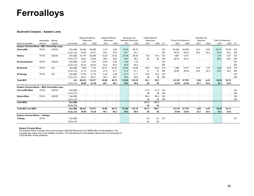#### **Bushveld Complex – Eastern Limb**

|                                             | Attributable | Mining |               | <b>Measured Mineral</b><br>Resources |        | <b>Indicated Mineral</b><br>Resources |                | Measured and<br><b>Indicated Resources</b> |                          | <b>Inferred Mineral</b><br>Resources |         |           | <b>Proved Ore Reserves</b> |                          | Probable Ore<br>Reserves |                          | <b>Total Ore Reserves</b> |                          |           |
|---------------------------------------------|--------------|--------|---------------|--------------------------------------|--------|---------------------------------------|----------------|--------------------------------------------|--------------------------|--------------------------------------|---------|-----------|----------------------------|--------------------------|--------------------------|--------------------------|---------------------------|--------------------------|-----------|
| Name of operation                           | interest     | method | Commodity     | 2021                                 | 2020   | 2021                                  | 2020           | 2021                                       | 2020                     | 2021                                 | 2020 CP |           | 2021                       | 2020                     | 2021                     | 2020                     | 2021                      | 2020 CP                  |           |
| Eastern Chrome Mines -MG1 Chromitite Layer  |              |        |               |                                      |        |                                       |                |                                            |                          |                                      |         |           |                            |                          |                          |                          |                           |                          |           |
| <b>Thorncliffe</b>                          | 79.5%        | UG/OC  | Ore (Mt)      | 44.028                               | 45.095 | 3.47                                  | 3.60           | 47.50                                      | 48.70                    | $\overline{\phantom{a}}$             |         | SV/       | 20.224                     | 22.959                   | 2.51                     | 2.62                     | 22.73                     | 25.58                    | SV/       |
|                                             |              |        | $Cr_2O_3$ (%) | 40.03                                | 42.21  | 40.8                                  | 40.9           | 40.1                                       | 42.1                     | $\overline{\phantom{a}}$             |         | <b>DR</b> | 34.78                      | 34.31                    | 32.9                     | 33.0                     | 34.6                      | 34.2                     | <b>DR</b> |
| Helena                                      | 79.5%        | UG/OC  | Ore (Mt)      | 21.473                               | 23.396 | 13.29                                 | 13.02          | 34.76                                      | 36.42                    | 9.6                                  | 10.4    | SV/       | 1.667                      | 4.271                    | $\sim$                   | $\sim$                   | 1.67                      | 4.27                     | SV/       |
|                                             |              |        | $Cr_2O_3$ (%) | 39.81                                | 39.80  | 38.5                                  | 38.5           | 39.3                                       | 39.3                     | 38                                   | 38      | <b>DR</b> | 29.43                      | 29.15                    |                          | $\sim$                   | 29.4                      | 29.2                     | <b>DR</b> |
| De Grooteboom                               | 79.5%        | UG/OC  | Ore (Mt)      | 1.037                                | 1.037  | 0.50                                  | 0.50           | 1.54                                       | 1.54                     | $\sim$                               |         | SV/       |                            |                          | $\overline{\phantom{a}}$ | $\sim$                   |                           |                          | SV/       |
|                                             |              |        | $Cr_2O_3$ (%) | 40.22                                | 40.22  | 40.3                                  | 40.3           | 40.2                                       | 40.2                     | $\sim$                               |         | <b>DR</b> | $\overline{\phantom{a}}$   | $\overline{\phantom{a}}$ | $\overline{\phantom{a}}$ | $\sim$                   | $\sim$                    |                          | <b>DR</b> |
| Richmond                                    | 79.5%        | UG     | Ore (Mt)      | 1.559                                | 1.774  | 22.27                                 | 23.22          | 23.83                                      | 24.99                    | 25.9                                 | 24.6    | SV/       | 1.256                      | 0.471                    | 2.57                     | 1.81                     | 3.82                      | 2.28                     | SV/       |
|                                             |              |        | $Cr_2O_3$ (%) | 41.10                                | 41.23  | 41.0                                  | 41.1           | 41.0                                       | 41.1                     | 41                                   | 41      | <b>DR</b> | 34.69                      | 36.36                    | 32.6                     | 34.9                     | 33.3                      | 35.2                     | <b>DR</b> |
| <b>St George</b>                            | 79.5%        | UG     | Ore (Mt)      | 0.716                                | 0.715  | 4.45                                  | 4.39           | 5.17                                       | 5.11                     | 18.6                                 | 18.5    | SV/       |                            |                          |                          | $\overline{\phantom{a}}$ |                           |                          | SV/       |
|                                             |              |        | $Cr_2O_3$ (%) | 40.41                                | 40.41  | 39.4                                  | 39.7           | 39.5                                       | 39.8                     | 39                                   | 40      | <b>DR</b> |                            |                          |                          | $\overline{\phantom{a}}$ |                           |                          | <b>DR</b> |
| <b>Total MG1</b>                            |              |        | (Mt)          | 68.813                               | 72.017 | 43.98                                 | 44.73          | 112.80                                     | 116.76                   | 54.1                                 | 53.5    |           | 23.147                     | 27.701                   | 5.08                     | 4.43                     | 28.22                     | 32.13                    |           |
|                                             |              |        | $Cr_2O_3$ (%) | 39.99                                | 41.36  | 40.1                                  | 40.2           | 40.0                                       | 40.9                     | 40                                   | 40      |           | 34.39                      | 33.55                    | 32.7                     | 33.8                     | 34.1                      | 33.6                     |           |
| Eastern Chrome Mines - MG2 Chromitite Layer |              |        |               |                                      |        |                                       |                |                                            |                          |                                      |         |           |                            |                          |                          |                          |                           |                          |           |
| <b>Thorncliffe Mine</b>                     | 79.5%        | UG/OC  | Ore (Mt)      |                                      |        |                                       |                |                                            | $\overline{\phantom{a}}$ | 41.8                                 | 41.8    | SV/       |                            |                          |                          |                          |                           |                          | SV/       |
|                                             |              |        | $Cr_2O_3$ (%) |                                      |        |                                       |                |                                            | $\overline{\phantom{a}}$ | 38                                   | 38      | <b>DR</b> |                            |                          |                          | $\overline{\phantom{a}}$ |                           |                          | DR        |
| <b>Helena Mine</b>                          | 79.5%        | UG/OC  | Ore (Mt)      |                                      |        |                                       | $\blacksquare$ |                                            | $\overline{\phantom{a}}$ | 85.4                                 | 85.4    | SV/       |                            |                          |                          | $\sim$                   |                           |                          | SV/       |
|                                             |              |        | $Cr_2O_3$ (%) |                                      | $\sim$ | $\sim$                                | $\overline{a}$ |                                            | $\overline{\phantom{a}}$ | 38                                   | 38      | <b>DR</b> | $\overline{\phantom{a}}$   |                          |                          | $\overline{\phantom{a}}$ |                           |                          | <b>DR</b> |
| <b>Total MG2</b>                            |              |        | Ore (Mt)      | $\blacksquare$                       |        | ٠                                     |                |                                            | $\overline{\phantom{a}}$ | 127.2                                | 127.2   |           |                            |                          |                          | $\overline{\phantom{a}}$ |                           | $\overline{\phantom{a}}$ |           |
|                                             |              |        | $Cr_2O_3$ (%) |                                      |        |                                       |                |                                            |                          | 38                                   | 38      |           |                            |                          |                          |                          |                           |                          |           |
| <b>Total MG1 and MG2</b>                    |              |        | Ore (Mt)      | 68.813                               | 72.017 | 43.98                                 | 44.73          | 112.80                                     | 116.76                   | 181.3                                | 180.7   |           | 23.147                     | 27.701                   | 5.08                     | 4.43                     | 28.22                     | 32.13                    |           |
|                                             |              |        | $Cr_2O_3$ (%) | 39.99                                | 41.36  | 40.1                                  | 40.2           | 40.0                                       | 40.9                     | 39                                   | 39      |           | 34.39                      | 33.55                    | 32.7                     | 33.8                     | 34.1                      | 33.6                     |           |
| <b>Eastern Chrome Mines - Tailings</b>      |              |        |               |                                      |        |                                       |                |                                            |                          |                                      |         |           |                            |                          |                          |                          |                           |                          |           |
| <b>Tailings</b>                             | 79.5%        |        | Ore (Mt)      |                                      |        |                                       |                |                                            |                          | 4.9                                  | 4.9     | <b>SV</b> |                            |                          |                          |                          |                           |                          | - SV      |
|                                             |              |        | $Cr_2O_3$ (%) |                                      |        |                                       |                |                                            | $\overline{\phantom{a}}$ | 20                                   | 20      |           |                            |                          |                          |                          |                           |                          |           |

#### **Eastern Chrome Mines**

 The Eastern Mines Complex had a net increase in Mineral Resources of 2.363Mt after mining depletion. The increase was mainly due to the addition of pillars. The Ore Reserves of the Eastern Mines had a net decrease of 0.225 Mt after mining depletion.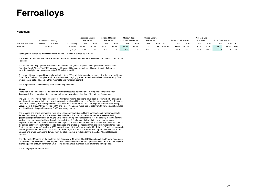#### **Vanadium**

|                   | Attributable | Mining   |             | <b>Measured Mineral</b><br>Resources |        | <b>Indicated Mineral</b><br>Resources |       | Measured and<br><b>Indicated Resources</b> |       | <b>Inferred Mineral</b><br>Resources |      |       | <b>Proved Ore Reserves</b> |        | Probable Ore<br>Reserves |      | <b>Total Ore Reserves</b> |       |           |
|-------------------|--------------|----------|-------------|--------------------------------------|--------|---------------------------------------|-------|--------------------------------------------|-------|--------------------------------------|------|-------|----------------------------|--------|--------------------------|------|---------------------------|-------|-----------|
| Name of operation | interest     | method   | Commoditv   | 2021                                 | 2020   | 2021                                  | 2020  | 202 <sup>2</sup>                           | 2020  | 2021                                 | 2020 | CP    | 2021                       | 2020   | 2021                     | 2020 | 2021                      | 2020  | CP        |
| <b>Rhovan</b>     |              | 74.0% OC | Ore (Mt)    | 51.662                               | 49.754 | 33.49                                 | 35.56 | 85.15                                      | 85.31 |                                      | 93   | SM/DR | 19.993                     | 22.223 | 8.18                     | 9.45 | 28.17                     | 31.67 | SM/       |
|                   |              |          | $V_2O_5(%)$ | 0.47                                 | 0.47   | 0.5                                   | 0.5   | U.5                                        | 0.5   |                                      | 0.5  |       | 0.46                       | 0.47   | 0.43                     | 0.43 | 0.5                       | 0.5   | <b>DR</b> |

Tonnages are quoted as dry million metric tonnes. Grades are quoted as %V2O5.

The Measured and Indicated Mineral Resources are inclusive of those Mineral Resources modified to produce Ore Reserves.

The vanadium mining operations mine the vanadiferous magnetite deposits developed within the Bushveld Complex, South Africa. The 2060 Ma year-old Bushveld Complex is the largest known deposit of chrome, vanadium and platinum group elements (PGE's) in the world.

The magnetite ore is mined from shallow dipping ( $6^\circ - 25^\circ$ ) stratified magnetite orebodies developed in the Upper Zone of the Bushveld Complex. Various ore zones with varying grades can be identified within the orebody. The ore zones are defined based on their magnetite and vanadium content.

The magnetite ore is mined using open cast mining methods.

#### **Rhovan**

 There was a net increase of 0.426 Mt in the Mineral Resource estimate after mining depletions have been discounted. The change is mainly due to re-interpretation and re-estimation of the Mineral Resources.

The Ore Reserves had a net decrease of 1.101 Mt after mining depletions have been discounted. The change is mainly due to re-interpretation and re-estimation of the Mineral Resources before the conversion to Ore Reserves. Obsidian Consulting Services updated the estimate of the Mineral Resources for all production areas including, Leeupen, Pit 1, Pit 2, Pit 3 as well as Pit6W and Pit7. This update made use of data from 53 new exploration holes and 1,360 blastholes providing some 8,825 new assay results.

The tonnage and grade estimations were done using ordinary kriging utilising spherical semi-variogrms models derived from the exploration drill hole and blast hole data. The block model estimates were assessed using geostatistical parameters such as Kriging Efficiency and Slope of Regression to test the stability of the variogram models used and the suitability of the selected cell sizes. A final geospatial validation was done by visual inspections and the compilation of swath and QQ plots. Other validations included a comparison of distributions of the source data versus estimated results. Tonnages and grades are reported from the block models for each pit. For the estimation, cut-off grades of 15% Magnetics and 1.8% V<sub>2</sub>O<sub>5</sub> were applied for Pits 1, 2, 3 and Leeupen while 15% Magnetics and 1.85 % V $_2$ O<sub>5</sub> was used for the Pit 4, 6, 6 West and 7 areas. The degree of confidence in the tonnage and grade estimations derived from the block models is reflected in the classified Mineral Resource classes.

The Rhovan LOM based on the declared Ore Reserves is 10 years. The LOM based on all the Mineral Resources converted to Ore Reserves is over 30 years. Rhovan is mining from various open cast pits at an actual mining rate averaging 233kt of ROM per month (2021). The stripping ratio averaged 1.54 (t:t) for the same period.

The Mining Right expires in 2027.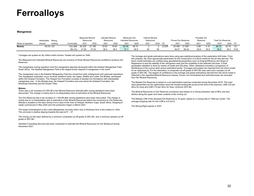#### **Manganese**

|                   | Attributable | Minina   |           | <b>Measured Mineral</b><br>Resources |        | <b>Indicated Mineral</b><br>Resources |       | Measured and<br>Indicated Resources |       | <b>Inferred Mineral</b><br>Resources |      |       | <b>Proved Ore Reserves</b> |        | Probable Ore<br>Reserves |      | <b>Total Ore Reserves</b> |       |            |
|-------------------|--------------|----------|-----------|--------------------------------------|--------|---------------------------------------|-------|-------------------------------------|-------|--------------------------------------|------|-------|----------------------------|--------|--------------------------|------|---------------------------|-------|------------|
| Name of operation | interest     | method   | Commoditv | 2021                                 | 2020   | 2021                                  | 2020  | $202^{\circ}$                       | 2020  | 2021                                 | 2020 | CP    | 2021                       | 2020   | $202 -$                  | 2020 | 2021                      | 2020  |            |
| Mokala            |              | 49.0% OC | Ore (Mt)  | 26.229                               | 27.186 | 19.55                                 | 19.55 | 45.78                               | 46.74 |                                      |      | JC/DR | 20.490                     | 21.650 | 5.66                     | 4.10 | 26.15                     | 25.75 | JC/        |
|                   |              |          | Mn (%     | 37.56                                | 37.24  | 36.4                                  | 36.5  | 37.1                                | 36.9  |                                      |      |       | 36.27                      | 36.34  | 35.9                     | 35.9 | 36.2                      | 36.3  | <b>PJG</b> |

Tonnages are quoted as dry million metric tonnes. Grades are quoted as %Mn.

The Measured and Indicated Mineral Resources are inclusive of those Mineral Resources modified to produce Ore Reserves.

The manganese mining operation mine the manganese deposits developed within the Kalahari Manganese Field, South Africa. The Kalahari Manganese Field is the largest known deposit of manganese in the world.

The manganese ores in the Kalahari Manganese Field are mined from both underground and opencast operations. The manganese orebodies, occur as three stratiform beds, the Upper, Middle and Lower Ore Bodies, developed within the Hotazel Formation. The Hotazel Iron Formation consists of banded iron formations with interbedded manganese ores. In the Mokala area, the Hotazel Formation sub-crop below the Kalahari Formation, the Mooidraai Dolomites and the Dwyka Tillite.

#### **Mokala**

 There was a net increase of 0.055 Mt in the Mineral Resource estimate after mining depletions have been discounted. The change is mainly due to re-interpretation and re-estimation of the Mineral Resources.

The Ore Reserves had a net increase of 1.454 Mt after mining depletions have been discounted. The change is mainly due to re-interpretation and re-estimation of the Mineral Resources before the conversion to Ore Reserves. Mokala is situated on the farm Gloria 4 km's west of the town of Hotazel, Northern Cape, South Africa. Stripping of waste commenced in May 2020 and Ore production began in March 2021.

The target mineralization is the Lower Manganese ore-body which vary in thickness from a few meters to >20m. The ore-body is shallow dipping towards the west at  $5^\circ - 12^\circ$ .

The mining cut has been defined by a minimum composite cut-off grade of 36% Mn, and a minimum sample cut-off grade of 28% Mn.

Obsidian Consulting Services has been contracted to estimate the Mineral Resources for the Mokala pit during November 2021.

The tonnage and grade estimations were done using geo-statistical analysis of the exploration drill holes. From this analysis, the most appropriate parameters for the construction of a block model for the pit was derived. The block model estimates are verified using geostatistical parameters such as Kriging Efficiency and Slope of Regression to test the stability of the variograms used and the suitability of the selected cell sizes. A final geospatial validation is done by means of swath and QQ plots. Other validations included a comparison of distributions of the source data versus estimated results. Tonnages and grades are reported from the block model for an optimised pit. For the estimation, a composite cut-off grade of 36% Mn was used and a sample cut-off grade of 28% Mn. The degree of confidence in the tonnage and grade estimations derived from the block model is reflected in the classified Mineral Resource classes. Known non-mineralised and restricted areas are excluded from the Mineral Resources.

The Mokala Ore Reserves is based on a pit optimisation exercise conducted during November 2019. The main input parameters for the optimisation were the forward looking Mn prices at the time of the exercise, US\$ 4.20 per dtmu for lump and US\$ 3.70 per dtmu for fines, minimum 36% Mn.

The Mineral Resources to Ore Reserves conversion was based on a mining extraction rate of 98% and skin dilution along the upper and lower contacts of the mining cut.

The Mokala LOM of the declared Ore Reserves is 16 years, based on a mining rate of 130kt per month. The average stripping ratio for the LOM is 4.9 (m3:t).

The Mining Right expires in 2037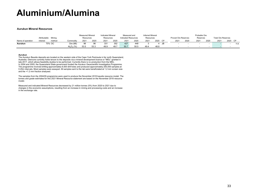# **Aluminium/Alumina**

#### **Aurukun Mineral Resources**

|                   |              |        |               | <b>Measured Mineral</b> |      | <b>Indicated Mineral</b> |      | Measured and        |      | <b>Inferred Mineral</b> |      |    |                            |      | Probable Ore |                          |                           |      |      |
|-------------------|--------------|--------|---------------|-------------------------|------|--------------------------|------|---------------------|------|-------------------------|------|----|----------------------------|------|--------------|--------------------------|---------------------------|------|------|
|                   | Attributable | Mining |               | Resources               |      | Resources                |      | Indicated Resources |      | Resources               |      |    | <b>Proved Ore Reserves</b> |      | Reserves     |                          | <b>Total Ore Reserves</b> |      |      |
| Name of operation | interest     | method | Commodity     | 2021                    | 2020 | 2021                     | 2020 | 2021                | 2020 | 2021                    | 2020 |    | 2021                       | 2020 | 2021         | 2020                     | 2021                      | 2020 | CP   |
| Aurukun           |              | 70% OC | Ore (Mt)      | 96                      | 96   | 331                      | 352  | 427                 | 448  |                         |      | JB |                            |      |              | $\overline{\phantom{a}}$ |                           |      | n.a. |
|                   |              |        | $Al_2O_3$ (%) | 53.5                    | 53.3 | 49.9                     | 49.7 | 50.7                | 50.5 | 49.4                    | 48.8 |    |                            |      |              | $\overline{\phantom{a}}$ |                           |      |      |

#### **Aurukun**

 The Aurukun Bauxite deposits are located on the western side of the Cape York Peninsula in far north Queensland, Australia. Glencore currently holds tenure to the deposits via a mineral development licence or "MDL" granted in late 2017, which allows feasibility studies to be performed. Currently there is no production from the MDL. In 2004 and 2005, the Queensland State government funded the Aurukun Geoscientific Investigation Programme. The programme involved drilling approximately 8,500 drill holes and produced approximately 200,000 samples at 0.25m intervals. Most samples were assayed. All samples sent to the lab were beneficiated at 1.2 mm screen size and the +1.2 mm fraction analysed.

The samples from the 2004/05 programme were used to produce the November 2018 bauxite resource model. The tonnes and grade estimates for this 2021 Mineral Resource statement are based on the November 2018 resource model.

Measured and indicated Mineral Resources decreased by 21 million tonnes (5%) from 2020 to 2021 due to changes in the economic assumptions, resulting from an increase in mining and processing costs and an increase in the exchange rate.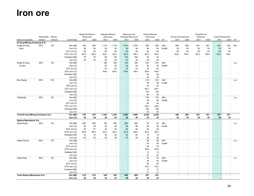### **Iron ore**

|                                   |              |        |               | <b>Measured Mineral</b> |                | <b>Indicated Mineral</b> |       | Measured and               |                          | <b>Inferred Mineral</b> |       |      |                            |                | Probable Ore   |                          |                           |                          |           |
|-----------------------------------|--------------|--------|---------------|-------------------------|----------------|--------------------------|-------|----------------------------|--------------------------|-------------------------|-------|------|----------------------------|----------------|----------------|--------------------------|---------------------------|--------------------------|-----------|
|                                   | Attributable | Mining |               | Resources               |                | Resources                |       | <b>Indicated Resources</b> |                          | Resources               |       |      | <b>Proved Ore Reserves</b> |                | Reserves       |                          | <b>Total Ore Reserves</b> |                          |           |
| Name of operation                 | interest     | method | Commodity     | 2021                    | 2020           | 2021                     | 2020  | 2021                       | 2020                     | 2021                    | 2020  | CP   | 2021                       | 2020           | 2021           | 2020                     | 2021                      | 2020                     | CP        |
| El Aouj Mining Company S.A.       |              |        |               |                         |                |                          |       |                            |                          |                         |       |      |                            |                |                |                          |                           |                          |           |
| Guelb el Aouj                     | 50%          | ОC     | Ore (Mt)      | 400                     | 400            | 1,170                    | 1,170 | 1,570                      | 1,570                    | 300                     | 300   | AM/  | 380                        | 380            | 551            | 551                      | 931                       | 931                      | <b>NS</b> |
| East                              |              |        | Iron $(\%)$   | 36                      | 36             | 36                       | 36    | 36                         | 36                       | 36                      | 36    | SvdM | 35                         | 35             | 35             | 35                       | 35                        | 35                       |           |
|                                   |              |        | DTC wt (%)    | 45                      | 45             | 45                       | 45    | 45                         | 45                       | 45                      | 45    |      | 44                         | 44             | 43             | 43                       | 44                        | 44                       |           |
|                                   |              |        | DTC iron (%)  | 69.8                    | 69.8           | 69.2                     | 69.2  | 69.3                       | 69.3                     | 69.5                    | 69.5  |      | 69.6                       | 69.6           | 69.0           | 69.0                     | 69.2                      | 69.2                     |           |
|                                   |              |        | Oxidised (Mt) | 70                      | 70             | 80                       | 80    | 150                        | 150                      | 30                      | 30    |      |                            |                |                | ٠                        |                           |                          |           |
|                                   |              |        | Iron $(\%)$   | 34                      | 34             | 35                       | 35    | 35                         | 35                       | 35                      | 35    |      |                            |                |                | $\blacksquare$           |                           |                          |           |
| Guelb el Aouj                     | 50%          | OC     | Ore (Mt)      | $\sim$                  | $\blacksquare$ | 185                      | 185   | 185                        | 185                      | 615                     | 615   | AM/  |                            |                |                | $\overline{\phantom{a}}$ |                           | $\overline{\phantom{a}}$ | n.a.      |
| Centre                            |              |        | Iron $(\%)$   |                         | $\blacksquare$ | 34                       | 34    | 34                         | 34                       | 35                      | 35    | SvdM |                            |                |                |                          |                           |                          |           |
|                                   |              |        | DTC wt $(% )$ |                         |                | 43                       | 43    | 43                         | 43                       | 44                      | 44    |      |                            |                |                |                          |                           |                          |           |
|                                   |              |        | DTC iron (%)  |                         |                | 69.6                     | 69.6  | 69.6                       | 69.6                     | 69.8                    | 69.8  |      |                            |                |                |                          |                           |                          |           |
|                                   |              |        | Oxidised (Mt) |                         |                |                          |       |                            |                          | 45                      | 45    |      |                            |                |                |                          |                           |                          |           |
|                                   |              |        | Iron $(\%)$   |                         |                |                          |       |                            |                          | 33                      | 33    |      |                            |                |                |                          |                           |                          |           |
| Bou Derga                         | 50%          | OC     | Ore (Mt)      |                         |                |                          |       |                            |                          | 510                     | 510   | AM/  |                            |                |                |                          |                           | $\overline{\phantom{a}}$ | n.a.      |
|                                   |              |        | Iron $(\%)$   |                         |                |                          |       |                            |                          | 36                      | 36    | SvdM |                            |                |                |                          |                           |                          |           |
|                                   |              |        | DTC wt (%)    |                         |                |                          |       |                            |                          | 43                      | 43    |      |                            |                |                |                          |                           |                          |           |
|                                   |              |        | DTC iron (%)  |                         |                |                          |       |                            |                          | 69.7                    | 69.7  |      |                            |                |                |                          |                           |                          |           |
|                                   |              |        | Oxidised (Mt) |                         |                |                          |       |                            |                          | 130                     | 130   |      |                            |                |                |                          |                           |                          |           |
|                                   |              |        | Iron $(\%)$   |                         |                |                          |       |                            | $\overline{\phantom{a}}$ | 35                      | 35    |      |                            |                |                | ۰                        |                           |                          |           |
| Tintekrate                        | 50%          | OC     | Ore (Mt)      |                         |                |                          |       |                            | $\sim$                   | 710                     | 710   | AM/  |                            |                |                |                          |                           | ٠                        | n.a.      |
|                                   |              |        | Iron $(\%)$   |                         |                |                          |       |                            |                          | 36                      | 36    | SvdM |                            |                |                |                          |                           |                          |           |
|                                   |              |        | DTC wt (%)    |                         |                |                          |       |                            |                          | 44                      | 44    |      |                            |                |                |                          |                           |                          |           |
|                                   |              |        | DTC iron (%)  |                         |                |                          |       |                            |                          | 69.4                    | 69.4  |      |                            |                |                |                          |                           |                          |           |
|                                   |              |        | Oxidised (Mt) |                         |                |                          |       |                            |                          | 180                     | 180   |      |                            |                |                | $\blacksquare$           |                           |                          |           |
|                                   |              |        | Iron $(\%)$   |                         |                |                          |       |                            |                          | 34                      | 34    |      |                            |                |                |                          |                           |                          |           |
| Total El Aouj Mining Company S.A. |              |        | Ore (Mt)      | 470                     | 470            | 1,435                    | 1,435 | 1,905                      | 1,905                    | 2,520                   | 2,520 |      | 380                        | 380            | 551            | 551                      | 931                       | 931                      |           |
|                                   |              |        | Iron $(\%)$   | 36                      | 36             | 36                       | 36    | 36                         | 36                       | 35                      | 35    |      | 35                         | 35             | 35             | 35                       | 35                        | 35                       |           |
| Sphere Mauritania S.A.            |              |        |               |                         |                |                          |       |                            |                          |                         |       |      |                            |                |                |                          |                           |                          |           |
| Askaf North                       | 90%          | OC     | Ore (Mt)      | 200                     | 200            | 160                      | 160   | 360                        | 360                      | 45                      | 45    | AM/  |                            |                |                |                          |                           |                          | n.a.      |
|                                   |              |        | Iron $(\%)$   | 36                      | 36             | 35                       | 35    | 36                         | 36                       | 36                      | 36    | SvdM |                            |                |                |                          |                           |                          |           |
|                                   |              |        | DTC wt (%)    | 47                      | 47             | 45                       | 45    | 46                         | 46                       | 45                      | 45    |      |                            |                |                |                          |                           |                          |           |
|                                   |              |        | DTC iron (%)  | 69.8                    | 69.8           | 69.4                     | 69.4  | 69.6                       | 69.6                     | 69.2                    | 69.2  |      |                            |                |                |                          |                           |                          |           |
|                                   |              |        | Oxidised (Mt) | 15                      | 15             | 30                       | 30    | 45                         | 45                       | 15                      | 15    |      |                            |                |                |                          |                           |                          |           |
|                                   |              |        | Iron $(\%)$   | 35                      | 35             | 35                       | 35    | 35                         | 35                       | 35                      | 35    |      |                            |                |                | $\overline{\phantom{a}}$ |                           |                          |           |
| Askaf Centre                      | 90%          | OC     | Ore (Mt)      |                         |                | $\sim$                   |       |                            | $\overline{\phantom{a}}$ | 95                      | 95    | AM/  |                            |                |                |                          |                           | ٠                        | n.a.      |
|                                   |              |        | Iron $(\%)$   |                         |                |                          |       |                            |                          | 36                      | 36    | SvdM |                            |                |                |                          |                           |                          |           |
|                                   |              |        | DTC wt (%)    |                         |                |                          |       |                            |                          | 42                      | 42    |      |                            |                |                |                          |                           |                          |           |
|                                   |              |        | DTC iron (%)  |                         |                |                          |       |                            |                          | 69.9                    | 69.9  |      |                            |                |                |                          |                           |                          |           |
|                                   |              |        | Oxidised (Mt) |                         |                |                          |       |                            |                          | 13                      | 13    |      |                            |                |                |                          |                           |                          |           |
|                                   |              |        | Iron $(\%)$   |                         |                |                          |       |                            |                          | 37                      | 37    |      |                            |                |                |                          |                           |                          |           |
| Askaf East                        | 90%          | OC     | Ore (Mt)      |                         |                |                          |       |                            |                          | 70                      | 70    | AM/  |                            |                |                |                          |                           | ٠                        | n.a.      |
|                                   |              |        | Iron $(\%)$   |                         |                |                          |       |                            |                          | 35                      | 35    | SvdM |                            |                |                |                          |                           |                          |           |
|                                   |              |        | DTC wt (%)    |                         |                |                          |       |                            |                          | 42                      | 42    |      |                            |                |                |                          |                           |                          |           |
|                                   |              |        | DTC iron (%)  |                         |                |                          |       |                            |                          | 70.3                    | 70.3  |      |                            |                |                |                          |                           |                          |           |
|                                   |              |        | Oxidised (Mt) |                         |                |                          |       |                            |                          | 13                      | 13    |      |                            |                |                |                          |                           |                          |           |
|                                   |              |        | Iron $(\%)$   |                         |                |                          |       |                            |                          | 31                      | 31    |      |                            |                |                |                          |                           |                          |           |
| Total Sphere Mauritania S.A.      |              |        | Ore (Mt)      | 215                     | 215            | 190                      | 190   | 405                        | 405                      | 251                     | 251   |      |                            | ٠              |                |                          | $\blacksquare$            |                          |           |
|                                   |              |        | Iron $(\%)$   | 36                      | 36             | 35                       | 35    | 36                         | 36                       | 35                      | 35    |      | $\overline{a}$             | $\overline{a}$ | $\blacksquare$ | $\blacksquare$           | $\overline{a}$            | $\overline{a}$           |           |
|                                   |              |        |               |                         |                |                          |       |                            |                          |                         |       |      |                            |                |                |                          |                           |                          |           |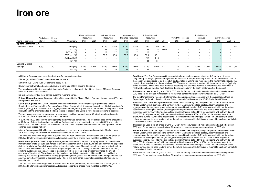### **Iron ore**

|                        | Attributable | Mining |               | Measured Mineral<br>Resources |                          | Indicated Mineral<br>Resources |                          | Measured and<br><b>Indicated Resources</b> |                          | <b>Inferred Mineral</b><br>Resources |       |           | <b>Proved Ore Reserves</b> |                          | Probable Ore<br>Reserves |                          | <b>Total Ore Reserves</b> |         |      |
|------------------------|--------------|--------|---------------|-------------------------------|--------------------------|--------------------------------|--------------------------|--------------------------------------------|--------------------------|--------------------------------------|-------|-----------|----------------------------|--------------------------|--------------------------|--------------------------|---------------------------|---------|------|
| Name of operation      | interest     | method | Commodity     | 2021                          | 2020                     | 2021                           | 2020                     | 2021                                       | 2020                     | 2021                                 | 2020  | <b>CP</b> | 2021                       | 2020                     | 2021                     | 2020                     | 2021                      | 2020 CP |      |
| Sphere Lebtheinia S.A. |              |        |               |                               |                          |                                |                          |                                            |                          |                                      |       |           |                            |                          |                          |                          |                           |         |      |
| Lebtheinia Centre      | 100%         |        | Ore (Mt)      | $\overline{\phantom{0}}$      | $\overline{\phantom{a}}$ | 2.180                          | 2.180                    | 2,180                                      | 2.180                    | 350                                  | 350   | AM/       | -                          |                          |                          |                          |                           |         | n.a. |
|                        |              |        | Iron $(\% )$  | $\overline{\phantom{0}}$      | $\overline{\phantom{a}}$ | 32                             | 32                       | 32                                         | 32                       | 32                                   | 32    | SvdM      | $\overline{\phantom{a}}$   | $\overline{\phantom{a}}$ | $\overline{\phantom{a}}$ |                          |                           |         |      |
|                        |              |        | DTC wt $(\%)$ | $\overline{\phantom{a}}$      | $\overline{\phantom{a}}$ | 27                             | 27                       | 27                                         | 27                       | 27                                   | 27    |           |                            | <b>.</b>                 | $\overline{\phantom{a}}$ |                          |                           |         |      |
|                        |              |        | DTC iron (%)  | $\overline{\phantom{0}}$      | $\overline{\phantom{0}}$ | 68.6                           | 68.6                     | 68.6                                       | 68.6                     | 68.1                                 | 68.1  |           |                            |                          |                          |                          |                           |         |      |
|                        |              |        | Oxidised (Mt) | $\overline{\phantom{a}}$      | $\overline{\phantom{a}}$ | $\overline{\phantom{0}}$       | $\overline{\phantom{0}}$ |                                            | $\overline{\phantom{a}}$ | 210                                  | 210   |           | -                          | $\overline{\phantom{a}}$ | -                        |                          |                           |         |      |
|                        |              |        | Iron $(\%)$   | $\overline{\phantom{0}}$      |                          | $\overline{\phantom{0}}$       | $\overline{\phantom{0}}$ |                                            | $\overline{\phantom{a}}$ | 31                                   | 31    |           | -                          |                          | -                        | $\overline{\phantom{a}}$ |                           |         |      |
| <b>Junelle Limited</b> |              |        |               |                               |                          |                                |                          |                                            |                          |                                      |       |           |                            |                          |                          |                          |                           |         |      |
| Zanaga                 | 50%          | ОC     | Ore (Mt)      | 2,300                         | 2,300                    | 2,500                          | 2,500                    | 4,800                                      | 4.800                    | 2.100                                | 2.100 | MT        | 770                        | 770                      | 1.290                    | 1,290                    | 2,070                     | 2,070   | GB   |
|                        |              |        | Iron $(\%)$   | 34                            | 34                       | 30                             | 30                       | 32                                         | 32                       | 31                                   | 31    |           | 37                         | 37                       | 32                       | 32                       | 34                        | 34      |      |

All Mineral Resources are considered suitable for open cut extraction.

DTC wt (%) – Davis Tube Concentrate mass recovery.

DTC Iron (%) – Davis Tube Concentrate assay %Fe.

Davis Tube test work has been conducted at a grind size of 95% passing 80 micron.

The rounding used for the values in this report reflects the confidence in the different levels of Mineral Resource and Ore Reserve classifications.

No exploration activities were carried out in the reporting period.

**El Aouj Mining Company:** Glencore holds a 50% interest in the El Aouj Mining Company through a Joint Venture arrangement with SNIM.

**Guelb el Aouj East:** The "Guelb" deposits are hosted in Banded Iron Formations (BIF) within the Dorsale Reguibat, an uplifted part of the Archaean West African Craton, which dominates the northern third of Mauritania's surface geology. Recrystallisation and aggregation of the magnetite grains in BIF has resulted in the partial to total destruction of the original banded (bedding) texture to produce the Guelb el Aouj magnetite-quartzite deposits.

The geological sequence is overprinted by a reasonably uniform, approximately 80m thick weathered zone in which much of the magnetite has oxidised to hematite.

In 2018, the FEED phase of the development programme was completed. The project is based on the production of 11.3Mtpa of sinter feed product derived from fresh magnetite ore, beneficiated to product 66.5% iron content concentrate. The FEED phase has provided a firm and costed project implementation plan, and options to further enhance the project's viability.

Mineral Resources and Ore Reserves are unchanged compared to previous reporting periods. The long term IODEX65 pricing for Ore Reserves modelling is \$90/dmt CFR North China.

This resource uses a cut-off grade of 20% DTC wt% for fresh (unoxidised) mineralisation and a cut-off grade of 20% head Fe for oxidised mineralisation. All reported concentrate grades were weighted by DTC wt%.

**Guelb el Aouj Centre:** The El Aouj Centre magnetite-quartzite (MQ) deposit is a highly metamorphosed banded iron formation (meta-BIF) unit that ranges in true thickness from 50m to over 200m. The geometry of the deposit is defined by a tight synformal structure with a sub-vertical axial plane. The synform outcrops over a strike length of about 2.4km. The thickest accumulation of magnetite-quartzite is found along the western limb of the synform, pinching out towards the east. A series of stacked recumbent isoclinal folds probably controlled the overall geometry of the deposit. The original bedding has been partially to completely obliterated by recrystallisation, resulting in a coarse-grained texture with aggregated magnetite grains. The weathered zone, though variable, has an average vertical thickness of approximately 40m. In this zone partial to complete oxidation of magnetite to hematite has occurred.

This resource uses a cut-off grade of 20% DTC wt% for fresh (unoxidised) mineralisation and a cut-off grade of 20% head Fe for oxidised mineralisation. All reported concentrate grades were weighted by DTC wt%.

**Bou Derga:** The Bou Derga deposit forms part of a larger scale synformal structure defined by an Archean magnetite-quartzite (MQ) unit that ranges in true thickness from approximately 20m to 200m. The thicker parts of the deposit are considered to be a result of isoclinal folding. Drilling was restricted to the western fold closure. The deposit dips towards the northeast at about 60°. The deposit contains a number of internal waste bands (typically 5m to 50m thick) which have been modelled separately and excluded from the Mineral Resource estimation. A northwest-southeast trending fault displaces the mineralisation in the south-eastern part of the deposit.

This resource uses a cut-off grade of 20% DTC wt% for fresh (unoxidised) mineralisation and a cut-off grade of 20% head Fe for oxidised mineralisation. All reported concentrate grades were weighted by DTC wt%.

The Bou Derga Mineral Resource Statement has been prepared in accordance with the Australasian Code for Reporting of Exploration Results, Mineral Resources and Ore Reserves (the JORC Code, 2004 Edition).

Tintekrate: The Tintekrate deposit is hosted within the Dorsale Reguibat, an uplifted part of the Archaean West African Craton, which dominates the northern third of Mauritania's surface geology. Recrystallisation and aggregation of the magnetite grains in the meta-banded iron formation (BIF) units has resulted in partial to total destruction of the original banded (bedding) texture to produce the Tintekrate and other similar magnetitequartzite deposits. The Tintekrate deposit is a circular structure defined by a steep dipping MQ unit with dips of 50° to 80° (locally overturned) with true mineralised thicknesses of 100m to 150m on the western side of the structure to 50m to 100m on the eastern side. The weathered zone averages 70m to 75m vertical depth below natural surface and its base tends to mirror the natural surface profile. In this zone, magnetite has been partially to completely oxidised to hematite.

This resource uses a cut-off grade of 20% DTC wt% for fresh (unoxidised) mineralisation and a cut-off grade of 20% head Fe for oxidised mineralisation. All reported concentrate grades were weighted by DTC wt%.

**Tintekrate:** The Tintekrate deposit is hosted within the Dorsale Reguibat, an uplifted part of the Archaean West African Craton, which dominates the northern third of Mauritania's surface geology. Recrystallisation and aggregation of the magnetite grains in the meta-banded iron formation (BIF) units has resulted in partial to total destruction of the original banded (bedding) texture to produce the Tintekrate and other similar magnetitequartzite deposits. The Tintekrate deposit is a circular structure defined by a steep dipping MQ unit with dips of 50° to 80° (locally overturned) with true mineralised thicknesses of 100m to 150m on the western side of the structure to 50m to 100m on the eastern side. The weathered zone averages 70m to 75m vertical depth below natural surface and its base tends to mirror the natural surface profile. In this zone, magnetite has been partially to completely oxidised to hematite.

This resource uses a cut-off grade of 20% DTC wt% for fresh (unoxidised) mineralisation and a cut-off grade of 20% head Fe for oxidised mineralisation. All reported concentrate grades were weighted by DTC wt%.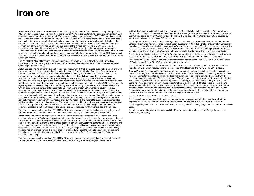### **Iron ore**

**Askaf North:** Askaf North Deposit is an east-west striking synformal structure defined by a magnetite-quartzite (MQ) unit that ranges in true thickness from approximately 140m in the western hinge zone to approximately 30m along the eastern part of the southern limb. The synformal axis plunges at between 20° to 30° towards the east in the western part of the synform, and at about 35° to 45° towards the west at the eastern fold closure, producing a double plunging synform. A dolerite dyke has been emplaced along an east-west fault zone that displaces the northern part of the deposit in a dextral shear sense. The disruption and emplacement of the dolerite along the northern limb of the synform has not affected the quality of the mineralisation. The MQ unit represents a metamorphosed banded iron-formation (BIF). The precursor BIF was subjected to high-grade metamorphic conditions during the Archaean, which resulted in complete recrystallisation of the original fine-grained BIF. In most cases the primary textures have been destroyed by the recrystallisation. Coarse-grained (>1mm) MQ is produced as a result, with good Davis Tube liberation characteristics and concentrate grades at a liberation grind size of 95% passing 80 micron.

The Askaf North Mineral Resource Statement uses a cut-off grade of 20% DTC wt% for fresh (unoxidised) mineralisation and a cut-off grade of 20% head Fe for oxidised mineralisation. All reported concentrate grades were weighted by DTC wt%.

**Askaf Centre:** The Askaf Centre deposit comprises a northern body that is exposed over a strike length of 3.5km and a southern body that is exposed over a strike length of 1.7km. Both bodies form part of a regional scale antiformal structure and each body is also duplicated within itself by outcrop-scale tight isoclinal folding. The northern and southern bodies are separated and displaced in a dextral shear sense by a regional scale fault/fracture system. The northern body is generally sub-vertical striking roughly northwest-southeast. The magnetite-quartzite unit ranges in thickness from approximately 50m in the west to approximately 70m in the east, with the magnetite-quartzite mineralisation being thinnest in the steep dipping middle portion (±10 m). The multiple layers reported is the result of tight isoclinal folding. The southern body comprises an open synformal structure with an undulating sub-horizontal fold axis that plunges at approximately 25° towards the southwest at the southern part of the deposit. At this locality the mineralisation is still open-ended at depth. The two limbs of the synform are exposed over a strike length of approximately 1km. The northern part of the synform is tighter than is the case in the south, with the eastern limb almost being overturned in some places. Magnetite-quartzite ranges in thickness from approximately 30m to 35m in the limbs to approximately 45m to 55m in the synformal keel as a result of structural thickening with thicknesses of up to 90m reported. The magnetite-quartzite unit is embedded within an Archaen granitic/gneiss sequence. The weathered zone which, though variable, has an average vertical thickness of approximately 40m and in this zone partial to complete oxidation of magnetite to hematite has occurred. Oxidation significantly reduces the Davis Tube mass recovery (wt%) in mineralised drill samples.

This resource uses a cut-off grade of 20% DTC wt% for fresh (unoxidised) mineralisation and a cut-off grade of 20% head Fe for oxidised mineralisation. All reported concentrate grades were weighted by DTC wt%.

**Askaf East:** The Askaf East deposit occupies the southern limb of an apparent east-west striking synformal structure defined by an Archaean magnetite-quartzite unit that ranges in true thickness from approximately 20m at the western end of the limb to approximately 140m in the central part of the limb. The hinge zone is at the eastern end of the deposit. The synformal axis plunges about 40° towards the west in the eastern part of the synform. The thickening of the sequence in the eastern part of the deposit is probably as a result of isoclinal folding within the sequence. The MQ unit is embedded within an Archaen granitic/gneiss sequence. The weathered zone, though variable, has an average vertical thickness of approximately 40m. Partial to complete oxidation of magnetite to hematite has occurred in this zone and this significantly reduces the Davis Tube mass recovery (wt%) in mineralised drill samples.

This resource uses a cut-off grade of 20% DTC wt% for fresh (unoxidised) mineralisation and a cut-off grade of 20% head Fe for oxidised mineralisation. All reported concentrate grades were weighted by DTC wt%.

**Lebtheinia:** The magnetite-rich Banded Iron Formations (BIF) at Lebtheinia form part of the Archaean Lebzena Group. The BIF units in EL264 are exposed over a total strike length of approximately 24km, of which Lebtheinia Centre has a strike length of 11.5km. Parts of the main BIF units at Lebtheinia Centre deposit are covered by laterite and colluvium consisting of BIF fragments.

The magnetite-BIF at Lebtheinia Centre averages about 240m thick. The BIF is characterised by a well-defined banding pattern, with individual bands ("mesobands") averaging 5-10mm thick. Drilling shows that mineralisation extends to at least 400m vertically below natural surface and is open at depth. The deposit is intruded by a series of sub-vertical dolerite dykes, striking NE-SW to NNE-SSW. Lebtheinia Centre has a hanging wall of (variously) quartzite, amphibolite, rhyolite, clay/saprolite (altered amphibolite) and a footwall of quartzite or amphibolite.

The depth of weathering (oxidation) of the BIF averages around 50m. In the lower two thirds of the oxidised zone (the Lower Oxidised Zone, "LOZ") the degree of oxidation is less than in the more oxidised upper third.

The Lebtheinia Centre Mineral Resource Statement for fresh mineralisation uses 20% DTC wt% cut-off. For the LOZ unit the cut-off is 14 SI x 10-3 units of magnetic susceptibility.

The Lebtheinia Mineral Resource Statement has been prepared in accordance with the Australasian Code for Reporting of Exploration Results, Mineral Resources and Ore Reserves (the JORC Code, 2004 Edition).

**Zanaga Project:** The Zanaga ELs are located within a north-south oriented greenstone belt which extends for over 47km in length, and vary between 0.5km and 3km in width. The mineralisation is hosted by metamorphosed volcano-sedimentary itabirites, and is interbedded with amphibolites and mafic schists. The contact with the crystalline basement is typically faulted and sheared. The principal ore lithologies consist of itabirites, interbedded with basic lavas, which are later altered to amphibolites. Typically, the itabirites consist of layers of iron-rich and quartz rich meta-sediments, on a millimetre to centimetre scale. The orebody lithologies are crosscut by late intrusions and dolerite dykes, oriented northeast-southwest. The deposit comprises a sequence of weathering domains, which overlay an un-weathered protore comprising itabirite. The weathered sequence observed at Zanaga is typical of iron ore deposits, where the surficial material demonstrates enrichment in iron above the protore due to a mass reduction and associated leaching of the silicate layers.

The Mineral Resource is reported at a 0% Fe cut-off.

The Zanaga Mineral Resource Statement has been prepared in accordance with the Australasian Code for Reporting of Exploration Results, Mineral Resources and Ore Reserves (the JORC Code, 2012 Edition).

The Zanaga Project Ore Reserve Statement was prepared by SRK Consulting (UK) Limited as part of a Feasibility **Study** 

The full release of this Mineral Resource and Ore Reserve update is available on the Zanaga Iron website (www.zanagairon.com).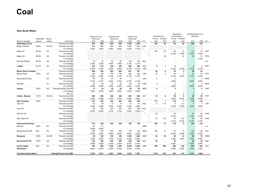#### **New South Wales**

|                              | Attributable | Mining |                                 | <b>Measured Coal</b><br>Resources |       | <b>Indicated Coal</b><br>Resources |                          | <b>Inferred Coal</b><br>Resources |                |            | <b>Coal Reserves</b> | Proved Probable | Marketable<br><b>Coal Reserves</b> | Proved Probable          | Total Marketable Coal<br>Reserves |                |            |
|------------------------------|--------------|--------|---------------------------------|-----------------------------------|-------|------------------------------------|--------------------------|-----------------------------------|----------------|------------|----------------------|-----------------|------------------------------------|--------------------------|-----------------------------------|----------------|------------|
| Name of operation            | interest     | method | Commodity                       | 2021                              | 2020  | 2021                               | 2020                     | 2021                              | 2020           | CP         | 2021                 | 2021            | 2021                               | 2021                     | 2021                              | 2020           | CP         |
| <b>Oakbridge Group</b>       |              |        | Thermal Coal (Mt)               | 979                               | 999   | 640                                | 620                      | 1,450                             | 1,450          |            | 140                  | 60              | 95                                 | 42                       | 140                               | 140            |            |
| <b>Bulga Complex</b>         | 85.9%        | OC/UG  | Thermal Coal (Mt)               | 960                               | 980   | 580                                | 560                      | 1,300                             | 1,300          | <b>HXJ</b> |                      |                 |                                    |                          |                                   |                |            |
|                              |              |        | CV (kcal/kg)                    | 6,000                             | 5,900 | 5,850                              | 5,600                    | 5,900                             | 5,700          |            |                      |                 |                                    |                          |                                   |                |            |
| Bulga OC                     | 85.9%        | OС     | Thermal Coal (Mt)               |                                   |       |                                    |                          |                                   |                |            | 140                  | 20              | 95                                 | 12                       | 110                               | 70             | <b>JGR</b> |
|                              |              |        | CV (kcal/kg)                    |                                   |       |                                    |                          |                                   |                |            |                      |                 | 6,250                              | 6,300                    | 6,250                             | 6,300          |            |
| <b>Bulga UG</b>              | 85.9%        | UG     | Thermal Coal (Mt)               |                                   |       |                                    |                          |                                   |                |            |                      | 40              |                                    | 30                       | 30                                | 70             | POG        |
|                              |              |        | CV (kcal/kg)                    |                                   |       |                                    |                          |                                   |                |            |                      |                 |                                    | $\overline{\phantom{a}}$ |                                   | 6,150          |            |
| <b>Running Stream</b>        | 85.9%        | OC     | Thermal Coal (Mt)               | 19                                | 19    | 60                                 | 60                       | 150                               | 150            | MJL        |                      |                 |                                    | $\overline{a}$           |                                   |                | n.a.       |
|                              |              |        | CV (kcal/kg)                    | 5,050                             | 5,050 | 5,050                              | 5,050                    | 5,150                             | 5,150          |            |                      |                 |                                    |                          |                                   |                |            |
| Liddell                      | 67.5%        | OС     | Thermal Coal (Mt)               | 210                               | 210   | 240                                | 240                      | 400                               | 400            | JET/       | 6                    | $\mathbf{1}$    | $\overline{a}$                     | $\blacksquare$           | $\overline{4}$                    | $\overline{7}$ | <b>APC</b> |
|                              |              |        | CV (kcal/kg)                    | 6.250                             | 6.250 | 6.200                              | 6,200                    | 6,150                             | 6,150          | LRG        |                      |                 | 6,700                              | 6,700                    | 6,700                             | 6,750          |            |
| <b>Mount Owen Complex</b>    |              |        | Thermal Coal (Mt)               | 290                               | 305   | 265                                | 266                      | 441                               | 441            |            | 83                   | 9               | 45                                 | 5                        | 50                                | 52             |            |
| Mount Owen                   | 100%         | OС     | Thermal Coal (Mt)               | 180                               | 190   | 190                                | 190                      | 350                               | 350            | LRG        | 75                   | 9               | 40                                 | 5                        | 45                                | 45             | <b>STH</b> |
|                              |              |        | CV (kcal/kg)                    | 6,050                             | 6,050 | 6,100                              | 6,150                    | 6,100                             | 6,100          |            |                      |                 | 6,100                              | 6,200                    | 6,100                             | 6,250          |            |
| <b>Ravensworth East</b>      |              | OC     | Thermal Coal (Mt)               | 60                                | 60    | 25                                 | 26                       | $\overline{1}$                    | $\overline{1}$ | LRG        | 5                    |                 | 3                                  | L,                       | 3                                 | 3              | <b>BOB</b> |
|                              |              |        | CV (kcal/kg)                    | 5,700                             | 5,700 | 5,650                              | 5,700                    | 5,750                             | 5,750          |            |                      |                 | 5,900                              | $\overline{\phantom{a}}$ | 5,900                             | 5,950          |            |
| Glendell                     |              | OC     | Thermal Coal (Mt)               | 50                                | 55    | 50                                 | 50                       | 90                                | 90             | <b>LRG</b> | 3                    | L,              | $\overline{2}$                     |                          | $\overline{2}$                    | $\overline{4}$ | <b>BOB</b> |
|                              |              |        | CV (kcal/kg)                    | 5.900                             | 5,900 | 5,850                              | 5,850                    | 5.800                             | 5.800          |            |                      |                 | 6,600                              | $\overline{\phantom{a}}$ | 6.600                             | 6,650          |            |
| Integra                      | 100%         | UG     | Thermal/Coking Coal (Mt)        | 17                                | 18    | 55                                 | 55                       | 30                                | 30             | <b>MAS</b> | $\overline{a}$       |                 | 3                                  | $\blacksquare$           | 3                                 | 5              | AWF        |
|                              |              |        | CV (kcal/kg)                    | 5,950                             | 6,000 | 5,900                              | 5,900                    | 5,800                             | 5,800          |            |                      |                 |                                    | $\overline{a}$           |                                   |                |            |
|                              |              |        | Ash (%)                         | $\overline{\phantom{a}}$          |       | $\overline{\phantom{a}}$           |                          | $\overline{\phantom{a}}$          |                |            |                      |                 | 8                                  | 8                        | 8                                 | 8              |            |
| United - Wambo               | 47.5%        | OC/UG  | Thermal Coal (Mt)               | 290                               | 300   | 340                                | 340                      | 500                               | 500            | <b>JET</b> | 70                   | 6               | 50                                 | $\overline{4}$           | 55                                | 60             | PTP        |
|                              |              |        | CV (kcal/kg)                    | 5.950                             | 5.950 | 5,700                              | 5,700                    | 5,600                             | 5.600          |            |                      |                 | 6.550                              | 6,500                    | 6,550                             | 6.550          |            |
| <b>Ulan Complex</b>          | 100%         |        | Thermal Coal (Mt)               | 215                               | 225   | 253                                | 263                      | 420                               | 520            |            | 131                  | $\mathbf{1}$    | 119                                | $\mathbf{1}$             | 119                               | 134            |            |
| Ulan OC                      |              |        | Thermal Coal (Mt)               | 45                                | 45    | 13                                 | 13                       | 20                                | 20             | MJL        | 6                    | 0.4             | $\overline{4}$                     | 0.2                      | $\overline{4}$                    | 4              | <b>LRO</b> |
|                              |              |        | CV (kcal/kg)                    | 4,950                             | 4,950 | 5,200                              | 5,200                    | 4,900                             | 4,900          |            |                      |                 | 5,000                              | 5,000                    | 5,000                             | 5,000          |            |
| Ulan UG                      |              |        | Thermal Coal (Mt)               | 170                               | 180   | 240                                | 250                      | 400                               | 500            | MJL        |                      |                 |                                    |                          |                                   |                |            |
|                              |              |        | CV (kcal/kg)                    | 6,350                             | 6,400 | 4,750                              | 4,750                    | 5,000                             | 5,000          |            |                      |                 |                                    |                          |                                   |                |            |
| Ulan #3 UG                   |              |        | Thermal Coal (Mt)               |                                   |       |                                    |                          |                                   |                |            | 50                   |                 | 45                                 | $\overline{\phantom{a}}$ | 45                                | 50             | EAM        |
|                              |              |        | CV (kcal/kg)                    |                                   |       |                                    |                          |                                   |                |            |                      |                 | 6.150                              | $\overline{\phantom{a}}$ | 6,150                             | 6,150          |            |
| Ulan West UG                 |              |        | Thermal Coal (Mt)               |                                   |       |                                    |                          |                                   |                |            | 75                   | 0.6             | 70                                 | 0.6                      | 70                                | 80             | <b>RDA</b> |
|                              |              |        | CV (kcal/kg)                    |                                   |       |                                    |                          |                                   |                |            |                      |                 | 6,100                              | 6,100                    | 6,100                             | 6,100          |            |
| <b>Ravensworth Group</b>     |              |        | Thermal Coal (Mt)               | 374                               | 394   | 240                                | 240                      | 100                               | 100            |            | 160                  | 12              | 110                                | 8                        | 120                               | 130            |            |
| Narama                       | 100%         | OC     | Thermal Coal (Mt)               | 24                                | 24    | $\overline{\phantom{a}}$           | ٠                        | $\overline{\phantom{a}}$          |                | <b>MAS</b> | ٠                    |                 |                                    |                          |                                   |                | n.a.       |
|                              |              |        | CV (kcal/kg)                    | 5,600                             | 5,600 | $\overline{a}$                     | $\overline{\phantom{a}}$ | $\overline{\phantom{a}}$          |                |            |                      |                 |                                    | $\overline{a}$           |                                   |                |            |
| <b>Ravensworth North</b>     | 90%          | OС     | Thermal Coal (Mt)               | 350                               | 370   | 240                                | 240                      | 100                               | 100            | <b>MAS</b> | 160                  | 12              | 110                                | 8                        | 120                               | 130            | <b>DJC</b> |
|                              |              |        | CV (kcal/kg)                    | 6,000                             | 6,050 | 6.050                              | 6,050                    | 5.650                             | 5,650          |            |                      |                 | 6,300                              | 6,400                    | 6.300                             | 6,250          |            |
| Mangoola                     | 100%         | OC/UG  | Thermal Coal (Mt)               | 95                                | 100   | 100                                | 100                      | 1,500                             | 1,500          | MAS        | 45                   | 30              | 40                                 | 24                       | 65                                | 70             | <b>MRW</b> |
|                              |              |        | CV (kcal/kg)                    | 5,250                             | 5,250 | 4,750                              | 4,750                    | 4,250                             | 4,250          |            |                      |                 | 5,450                              | 5,400                    | 5,450                             | 5,400          |            |
| <b>Ravensworth UG</b>        | 100%         | UG     | Thermal Coal (Mt)               | 320                               | 320   | 220                                | 220                      | 250                               | 250            | MJL        | 40                   | $\blacksquare$  | 28                                 | $\overline{\phantom{a}}$ | 28                                | 28             | <b>KJB</b> |
|                              |              |        | CV (kcal/kg)                    | 5,800                             | 5,800 | 5,400                              | 5,400                    | 5,350                             | 5,350          |            |                      |                 | 6,950                              | ä,                       | 6,950                             | 6,950          |            |
| <b>Hunter Valley</b>         | 49%          | OC     | Thermal Coal (Mt)               | 780                               | 800   | 1,300                              | 1,300                    | 2,400                             | 2,400          | <b>LMP</b> | 400                  | 460             | 290                                | 330                      | 630                               | 640            | <b>PJO</b> |
| <b>Operations</b>            |              |        | CV (kcal/kg)                    | 6,500                             | 6,500 | 6,450                              | 6,450                    | 6,200                             | 6,200          |            |                      |                 | 6,350                              | 6,350                    | 6,350                             | 6.350          |            |
|                              |              |        |                                 |                                   |       |                                    |                          |                                   |                |            |                      |                 |                                    |                          |                                   |                |            |
| <b>Total New South Wales</b> |              |        | <b>Coking/Thermal Coal (Mt)</b> | 3,570                             | 3,671 | 3,653                              | 3,644                    | 7,491                             | 7,591          |            | 1,079                | 579             | 784                                | 414                      | 1,214                             | 1,266          |            |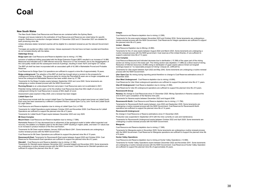#### **New South Wales**

The New South Wales Coal Resources and Reserves are contained within the Sydney Basin.

Changes and issues material to the estimation of Coal Resources and Reserves are noted below for specific projects. Reference to production changes between 31 December 2020 and 31 December 2021 are detailed for each producing mine site.

Unless otherwise stated, tenement expiries will be eligible for a standard renewal as per the relevant Government policy.

Tonnages are quoted as million metric tonnes. Values expressed in the text have not been rounded and therefore do not correlate directly with the tables.

#### **Oakbridge Group**

**Bulga open cut:** Coal Resource and Reserve depletion due to mining (-10.7Mt).

Inclusion of additional drilling associated with the Bulga Extension Project (BEP) resulted in an increase of 14.8Mt Measured and Indicated and 21.8Mt Inferred resources. Resource CV has increased, due to the disaggregation of the coal quality model and the subsequent removal of partings, resulting in lower Ash% and higher CV values.

The BEP pit shell has been incorporated with an associated uplift of 42.3Mt in Marketable Proved and Probable Reserves

Coal Reserves for Bulga Open Cut operations are sufficient to support a mine life of approximately 18 years.

**Bulga underground:** The adoption of the BEP pit shell has brought about a revision to the prospects for underground mining at Bulga. The previous plans for mining the Piercefield B seam are no longer compatible and hence the underground Marketable Reserve has been written down by 37.7Mt

Tenements for the Bulga Complex expire between September 2022 and June 2040. Some tenements are undergoing a routine renewal process with the NSW Government.

**Running Stream** is an undeveloped thermal coal project. Coal Resources were not re-estimated in 2021.

Potential mining methods are open cut for the shallow Coal Resources (less than 60m depth of cover) and underground mining for Coal Resources in excess of 60m depth of cover.

Assessment Lease expired in May 2020, and a renewal has been lodged.

#### **Liddell Open Cut**

Coal Resources include both the current Liddell Open Cut Operations and the project area known as Liddell South. Each area has been assessed by a different Competent Person; Liddell Open Cut by John Terrill and Liddell South by Leigh Gibson.

Coal Resource and Reserve depletion due to mining at Liddell Open Cut (-4.7Mt).

Tenements for Liddell Operations expire between October 2023 and November 2028. Coal Reserves for Liddell Operations are sufficient to support the planned mine life of 2 years.

Tenements for Liddell South Project expire between December 2023 and July 2025.

#### **Mt Owen Complex**

**Mount Owen:** Coal Resource and Reserve depletion due to mining (-7.5Mt).

Marketable Reserve CV has decreased due to refinement of the geological model to better reflect expected coal recovery, the addition of a flotation plant to the Mt Owen CHPP resulting in higher yields, and lower CV values due to an increase in product moisture of the fine coal fraction.

Tenements for Mt Owen expire between January 2026 and March 2041. Some tenements are undergoing a routine renewal process with the NSW Government.

Coal Reserves for Mt Owen Operations are sufficient to support the planned mine life of 15 years.

**Ravensworth East:** Tenements for Ravensworth East expire between August 2022 and October 2034. Coal Reserves for Ravensworth East operations are sufficient to support the planned mine life of 2 years.

#### **Glendell:** : Coal Resource and Reserve depletion due to mining (-3.1Mt).

Tenements for Glendell expire between November 2021 (renewal lodged) and November 2033. Some tenements are undergoing a routine renewal process with the NSW Government. Coal Reserves for Glendell operations are sufficient to support the planned mine life of 1 year.

#### **Integra**

Coal Resource and Reserve depletion due to mining (-2.2Mt).

Tenements for the area expire between November 2023 and October 2034. Some tenements are undergoing a routine renewal process with the NSW Government. Coal Reserves for Integra operations are sufficient to support the planned mine life of 2 years.

#### **United - Wambo**

#### Coal Resource Depletion due to Mining (-8.0Mt).

Tenements for the JV area expire between August 2022 and March 2023. Some tenements are undergoing a routine renewal process with the NSW government. Coal reserves of the United-Wambo JV are sufficient to support a planned mine life of 13 years.

#### **Ulan Complex**

Coal Resource Measured and Indicated decrease due to sterilisation (-15.3Mt) of the upper part of the mining section as mining occurs in the lower part. The mining section was depleted (-11.8Mt) as a direct result of mining. Reduction of Inferred resources (-8.0Mt) owing to sterilisation of upper seams (above mined out longwall workings) based on "no reasonable prospect of mining" (Clause 20, JORC2012).

Tenements for Ulan expire between April 2022 and May 2042. Some tenements are undergoing a routine renewal process with the NSW Government.

**Ulan Open Cut:** No mining during reporting period therefore no change to Coal Reserves estimations since 31 December 2020.

**Ulan West Underground:** Coal Reserve depletion due to mining (-6.6Mt).

Coal Reserves for Ulan West underground operations are sufficient to support the planned mine life of 11 years. **Ulan #3 Underground:** Coal Reserve depletion due to mining (-5.3Mt).

Coal Reserves for Ulan #3 underground operations are sufficient to support the planned mine life of 9 years.

#### **Ravensworth Group**

**Narama:** No change to Coal Resources since 31 December 2020. Mining Operations in Narama ceased at the end of 2014 upon completion of the Narama mine plan.

Tenements for Narama expire between December 2023 and August 2036.

**Ravensworth North:** Coal Resource and Reserve depletion due to mining (-11.7Mt).

Tenements for Ravensworth North expire between June 2022 and September 2035. Some tenements are undergoing a routine renewal process with the NSW Government. Coal Reserves for Ravensworth North operations are sufficient to support the planned mine life of 14 years.

#### **Ravensworth Underground**

No change in Coal Resource or Reserve estimations since 31 December 2020.

Production was suspended in September 2014 with the mine currently on care and maintenance.

Tenements for Ravensworth Underground expire between October 2022 and April 2029. Some tenements are undergoing a routine renewal process with the NSW Government.

#### **Mangoola**

Coal Resource and Reserve depletion due to mining (-7.3Mt).

Tenements for Mangoola expire in November 2029. Some tenements are undergoing a routine renewal process with the NSW Government. Coal Reserves for Mangoola operations are sufficient to support the planned mine life of 9 years.

#### **Hunter Valley Operations**

Coal Resource and Reserve depletion due to mining at Hunter Valley Operations (-13.5Mt).

Tenements for Hunter Valley Operations expire between December 2022 and November 2041. Some tenements are undergoing a routine renewal process with the NSW Government. Coal Reserves at Hunter Valley Operation are sufficient to support the planned mine life of approximately 30 years.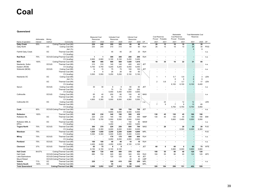#### **Queensland**

|                            | Attributable | Mining |                                   | Measured Coal<br>Resources |                          | <b>Indicated Coal</b><br>Resources |                          | <b>Inferred Coal</b><br>Resources |                |            | Coal Reserves<br>Proved  | Probable       | Marketable<br>Coal Reserves | Proved Probable          | <b>Total Marketable Coal</b><br>Reserves |                          |            |
|----------------------------|--------------|--------|-----------------------------------|----------------------------|--------------------------|------------------------------------|--------------------------|-----------------------------------|----------------|------------|--------------------------|----------------|-----------------------------|--------------------------|------------------------------------------|--------------------------|------------|
| Name of operation          | interest     | method | Commodity                         | 2021                       | 2020                     | 2021                               | 2020                     | 2021                              | 2020           | CP         | 2021                     | 2021           | 2021                        | 2021                     | 2021                                     | 2020                     | CP         |
| <b>Oaky Creek</b>          | 55%          |        | Coking/Thermal Coal (Mt)          | 230                        | 240                      | 355                                | 355                      | 80                                | 80             |            | 26                       | 15             | 18                          | 10                       | 28                                       | 30                       |            |
| Oaky North                 |              | UG     | Coking Coal (Mt)<br>Ash (%)       | 230                        | 240                      | 310                                | 310                      | 60                                | 60             | <b>RJH</b> | 26                       | 15             | 18                          | 10                       | 28<br>9                                  | 30<br>9                  | POG        |
| <b>Fairhill Oaky Creek</b> |              | ОC     | Thermal Coal (Mt)<br>CV (kcal/kg) |                            |                          | 45                                 | 45                       | 20                                | 20             | <b>RJH</b> |                          |                |                             |                          |                                          | $\blacksquare$           | n.a.       |
| <b>Red Rock</b>            | 75%          |        | OC/UG Coking/Thermal Coal (Mt)    | $\mathbf{1}$               | $\mathbf{1}$             | 300                                | 300                      | 200                               | 200            | <b>RJH</b> | $\blacksquare$           | ÷              |                             | $\blacksquare$           |                                          | $\overline{\phantom{a}}$ | n.a.       |
|                            |              |        | CV (kcal/kg)                      | 6,900                      | 6,900                    | 5,100                              | 5,100                    | 5,450                             | 5,450          |            |                          | $\overline{a}$ |                             | $\overline{\phantom{a}}$ |                                          |                          |            |
| <b>NCA</b>                 | 100%         |        | Coking/Thermal Coal (Mt)          | 460                        | 466                      | 569                                | 569                      | 1,020                             | 1,010          |            | 10                       | 35             | 10                          | 22                       | 31                                       | 85                       |            |
| Newlands, Suttor           |              | OC/UG  | Thermal Coal (Mt)                 | 310                        | 310                      | 140                                | 140                      | 400                               | 400            | <b>JET</b> |                          |                |                             |                          |                                          |                          | n.a.       |
| Eastern (RCM)              |              |        | CV (kcal/kg)                      | 5,750                      | 5,750                    | 5,200                              | 5,200                    | 5,050                             | 5,050          |            |                          |                |                             |                          |                                          |                          |            |
| Wollombi (MCM)             |              | OC/UG  | Coking Coal (Mt)                  | 14                         | 15                       | 75                                 | 75                       | 100                               | 100            | <b>JET</b> |                          |                |                             |                          |                                          | $\overline{\phantom{a}}$ | n.a        |
|                            |              |        | Thermal Coal (Mt)                 | 6                          | 6                        | 26                                 | 26                       | 60                                | 60             |            |                          |                |                             | $\overline{a}$           |                                          |                          |            |
|                            |              |        | CV (kcal/kg)                      | 5,500                      | 5,550                    | 5,250                              | 5,250                    | 5,150                             | 5,150          |            |                          |                |                             |                          |                                          |                          |            |
| Newlands OC                |              | ОC     | Coking Coal (Mt)                  |                            |                          |                                    |                          |                                   |                |            | $\mathbf{1}$             |                | 0.7                         | 0.8                      | $\overline{2}$                           | 3                        | LEN        |
|                            |              |        | Ash (%)                           |                            |                          |                                    |                          |                                   |                |            |                          |                | 8                           | 8                        | 8                                        | 9                        |            |
|                            |              | ОC     | Thermal Coal (Mt)                 |                            |                          |                                    |                          |                                   |                |            | $\overline{2}$           | 0.8            | $\overline{2}$              | 0.7                      | $\overline{2}$                           | 17                       | LEN        |
|                            |              |        |                                   |                            |                          |                                    |                          |                                   |                |            |                          |                |                             |                          |                                          | 6,400                    |            |
|                            |              |        | CV (kcal/kg)                      |                            |                          |                                    |                          |                                   |                |            |                          |                | 6,100                       | 6,100                    | 6,100                                    |                          |            |
| Sarum                      |              | OC/UG  | Coking Coal (Mt)                  | 30                         | 30                       | 8                                  | 8                        | 60                                | 60             | <b>JET</b> |                          |                |                             |                          |                                          |                          | n.a        |
|                            |              |        | Thermal Coal (Mt)                 |                            |                          | 70                                 | 70                       | 250                               | 250            |            |                          |                |                             |                          |                                          |                          |            |
|                            |              |        | CV (kcal/kg)                      |                            | $\overline{\phantom{a}}$ | 5,450                              | 5,450                    | 4,650                             | 4,650          |            |                          |                |                             |                          |                                          |                          |            |
| Collinsville               |              | OC/UG  | Coking Coal (Mt)                  | 65                         | 40                       | 200                                | 80                       | 100                               | 40             | <b>MAS</b> |                          |                |                             |                          |                                          |                          | n.a        |
|                            |              |        | Thermal Coal (Mt)                 | 35                         | 65                       | 50                                 | 170                      | 50                                | 100            |            |                          |                |                             |                          |                                          |                          |            |
|                            |              |        | CV (kcal/kg)                      | 4,800                      | 5,350                    | 5,000                              | 6,000                    | 4,900                             | 5,550          |            |                          |                |                             |                          |                                          |                          |            |
| Collinsville OC            |              | OC     | Coking Coal (Mt)                  |                            |                          |                                    |                          |                                   |                | n.a.       | $\overline{\phantom{a}}$ | 24             |                             | 12                       | 12                                       | ٠                        | LEN        |
|                            |              |        | Thermal Coal (Mt)                 |                            |                          |                                    |                          |                                   |                |            | $\overline{7}$           | 9              | $\overline{7}$              | 8                        | 15                                       | 65                       |            |
|                            |              |        | CV (kcal/kg)                      |                            |                          |                                    |                          |                                   |                |            |                          |                | 5,750                       | 5,750                    | 5,750                                    | 5,950                    |            |
| Cook                       | 95%          |        | OC/UG Coking/Thermal Coal (Mt)    |                            |                          | 180                                | 180                      | 700                               | 700            | <b>JET</b> |                          |                |                             | $\blacksquare$           |                                          | $\overline{\phantom{a}}$ | n.a.       |
|                            |              |        | CV (kcal/kg)                      | $\overline{\phantom{a}}$   | $\overline{\phantom{a}}$ | 6,650                              | 6,650                    | 6,500                             | 6,500          |            |                          |                |                             |                          |                                          |                          |            |
| <b>Rolleston</b>           | 100%         |        | Thermal Coal (Mt)                 | 220                        | 230                      | 340                                | 190                      | 500                               | 430            |            | 130                      | 45             | 130                         | 45                       | 180                                      | 190                      |            |
| Rolleston ML               |              | OC     | Thermal Coal (Mt)                 | 220                        | 230                      | 190                                | 190                      | 350                               | 350            | <b>NMP</b> | 130                      | 45             | 130                         | 45                       | 180                                      | 190                      | <b>EMI</b> |
|                            |              |        | CV (kcal/kg)                      | 5,700                      | 5,700                    | 5,550                              | 5,550                    | 5,500                             | 5,500          |            |                          |                | 5,600                       | 5,450                    | 5,550                                    | 5,550                    |            |
| Rolleston MDL &            |              | ОC     | Thermal Coal (Mt)                 |                            |                          | 150                                | $\overline{\phantom{a}}$ | 150                               | 80             | <b>MAW</b> | $\overline{\phantom{a}}$ |                |                             |                          |                                          | $\blacksquare$           | n.a.       |
| <b>EPCs</b>                |              |        | CV (kcal/kg)                      | $\overline{\phantom{a}}$   | $\overline{\phantom{a}}$ | 5,450                              | $\overline{\phantom{a}}$ | 5,550                             | 5,650          |            |                          |                |                             |                          |                                          |                          |            |
| <b>Togara North</b>        | 70%          | OC/UG  | Thermal Coal (Mt)                 | 360                        | 370                      | 220                                | 250                      | 800                               | 700            | <b>MAS</b> | $\blacksquare$           | 28             | $\blacksquare$              | 28                       | 28                                       | 28                       | <b>PJO</b> |
|                            |              |        | CV (kcal/kg)                      | 6,200                      | 6,350                    | 6,000                              | 6,000                    | 5,900                             | 6,000          |            |                          |                |                             | 6,300                    | 6,300                                    | 6,300                    |            |
| Wandoan                    | 75%          |        | Thermal Coal (Mt)                 | 1,650                      | 1,650                    | 2,250                              | 2,250                    | 4,600                             | 4,600          | <b>MPL</b> | ٠                        | ÷              |                             | $\blacksquare$           |                                          | $\blacksquare$           | <b>PJO</b> |
|                            |              |        | CV (kcal/kg)                      | 5,300                      | 5,300                    | 5,400                              | 5,400                    | 5,400                             | 5,400          |            |                          |                |                             | $\overline{\phantom{a}}$ |                                          |                          |            |
| <b>Milray</b>              | 75%          | OC/UG  | Thermal Coal (Mt)                 |                            |                          | 170                                | 170                      | 600                               | 600            | <b>RJH</b> | $\blacksquare$           |                |                             | $\blacksquare$           |                                          | ٠                        | n.a.       |
|                            |              |        | CV (kcal/kg)                      |                            |                          | 6,050                              | 6,050                    | 4,950                             | 4,950          |            |                          |                |                             |                          |                                          |                          |            |
| Pentland                   | 75%          | OC/UG  | Thermal Coal (Mt)                 | 100                        | 100                      | 40                                 | 40                       | 10                                | 10             | <b>RJH</b> |                          |                |                             | $\blacksquare$           |                                          | $\overline{\phantom{a}}$ | n.a.       |
|                            |              |        | CV (kcal/kg)                      | 4,400                      | 4,400                    | 4,050                              | 4,050                    | 4,100                             | 4,100          |            |                          |                |                             |                          |                                          |                          |            |
| Clermont                   | 37%          | OC/UG  | Thermal Coal (Mt)                 | 65                         | 75                       | 8                                  | 9                        | $\overline{\phantom{a}}$          | $\blacksquare$ | <b>JET</b> | 60                       | 6              | 60                          | 6                        | 65                                       | 75                       | <b>WTE</b> |
|                            |              |        | CV (kcal/kg)                      | 6,150                      | 6,150                    | 6,100                              | 6,100                    | $\overline{\phantom{a}}$          | $\overline{a}$ |            |                          |                | 5,900                       | 6,000                    | 5,900                                    | 5,900                    |            |
| <b>Hail Creek</b>          | 84.67%       |        | Coking/Thermal Coal (Mt)          | 680                        | 720                      | 440                                | 480                      | 370                               | 420            |            | 100                      | 55             | 80                          | 40                       | 120                                      | 120                      |            |
| <b>Hail Creek</b>          |              |        | OC/UG Coking/Thermal Coal (Mt)    | 680                        | 720                      | 320                                | 360                      | 300                               | 350            | <b>RJH</b> | 100                      | 55             | 80                          | 40                       | 120                                      | 120                      | <b>APC</b> |
| Lake Elphinstone           |              |        | OC/UG Coking/Thermal Coal (Mt)    | $\overline{\phantom{a}}$   |                          | 120                                | 120                      | 40                                | 40             | <b>JET</b> | $\overline{\phantom{a}}$ |                |                             | $\overline{\phantom{a}}$ |                                          |                          |            |
| Mount Robert               |              |        | OC/UG Coking/Thermal Coal (Mt)    | $\overline{\phantom{a}}$   |                          |                                    |                          | 30                                | 30             | LMP        | $\overline{\phantom{a}}$ |                |                             | $\overline{\phantom{a}}$ |                                          |                          |            |
| Valeria                    | 71%          | ОC     | Thermal Coal (Mt)                 | 220                        | $\overline{\phantom{a}}$ | 320                                | 410                      | 250                               | 250            | <b>MPL</b> |                          | $\blacksquare$ |                             | $\blacksquare$           |                                          | $\overline{\phantom{a}}$ | n.a.       |
| Valeria South              | 100%         | ОC     | Thermal Coal (Mt)                 |                            | $\overline{\phantom{a}}$ | 55                                 | $\overline{\phantom{a}}$ | 90                                |                | <b>MPL</b> |                          | $\blacksquare$ | $\overline{\phantom{a}}$    | $\overline{\phantom{a}}$ |                                          | ÷                        |            |
| <b>Total Queensland</b>    |              |        | <b>Coking/Thermal Coal (Mt)</b>   | 3,986                      | 3,852                    | 5,247                              | 5,203                    | 9.220                             | 9,000          |            | 326                      | 184            | 298                         | 151                      | 452                                      | 528                      |            |
|                            |              |        |                                   |                            |                          |                                    |                          |                                   |                |            |                          |                |                             |                          |                                          |                          |            |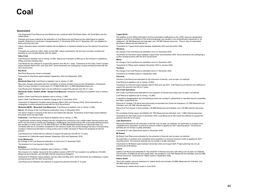#### **Queensland**

The Queensland Coal Resources and Reserves are contained within the Bowen Basin, the Surat Basin and the Galilee Basin.

Changes and issues material to the estimation of Coal Resources and Reserves are noted below for specific projects. Reference to production changes between 31 December 2020 and 31 December 2021 are detailed for each producing mine site.

Unless otherwise stated, tenement expiries will be eligible for a standard renewal as per the relevant Government policy.

Tonnages are quoted as million metric tonnes (Mt). Values expressed in the text have not been rounded and therefore do not correlate directly with the tables.

#### **Oaky Creek**

Coal Resource depletion due to mining (-6.5Mt). Resources increased (2.4Mt) due to the inclusion of operations drilling and strip sampling data.

Coal Reserves are sufficient to support the planned mine life for 7 years. Tenements for the Oaky Creek Complex expire between March 2021 and June 2041. Some tenements are undergoing a routine renewal process with the QLD Government.

#### **Red Rock**

Red Rock Resources remain unchanged.

Tenements for Red Rock expire between September 2023 and September 2025.

#### **NCA**

**Newlands Open Cut**: Coal Reserve depletion due to mining (-5.1Mt).

Mine plan changes associated with the completion of mining activities (closure) and rehabilitation of Newlands Open Cut have resulted in a write down of (-19.0Mt) ROM and (-12.4Mt) Marketable Reserves.

Coal Reserves for Newlands Open Cut are sufficient to support the planned mine life of 1 year.

**Newlands, Suttor, Eastern (RCM – Rangal Coal Measure):** Newlands Coal Resource depletion due to mining (- 0.8Mt).

Eastern Creek Coal Resource depletion due to mining (-1.4Mt).

Suttor Creek Coal Resource no material change since 31 December 2019.

Tenements for Newlands Complex expire between March 2022 and February 2042. Some tenements are undergoing a routine renewal process with the QLD Government.

**Wollombi (MCM – Moranbah Coal Measures):** Coal Resource depletion due to mining (-3.2Mt).

**Sarum:** No change in the Coal Resource estimation since 31 December 2012.

The Sarum Project is inclusive of the Sarum and Gattonvale deposits. Tenements at the Project expire between November 2025 and April 2026.

**Collinsvill**e: Coal Resource and Reserve depletion due to mining (-2.1Mt).

A significantly revised mining strategy that has changed from producing a low volatile matter thermal product and which now focusses on mining and marketing a metallurgical coal product along with a secondary thermal product has resulted in a write down of (-36.3Mt) ROM and (-34.5Mt) Marketable Reserves at Collinsville Open Cut. Combined with the re-correlation completed on the resource model, the revised strategy has had a corresponding increase in Resources allocated to coking product and a similar decrease in Resources assigned as thermal product.

Coal Reserves for Collinsville are sufficient to support the planned mine life for 14 years.

Tenements for Collinsville expire between September 2024 and September 2035.

#### **Cook (Blackrock)**

No Change in the Coal Resource estimation at Cook since 31 December 2020.

The tenement for Cook expires in April 2042.

#### **Rolleston**

Coal Resource and Reserve depletion due to mining (-13.5Mt).

The inclusion of a maiden resource for the southern section of EPC737 has resulted in an additional (145.4Mt) Measured and Indicated, and (58.0Mt) Inferred resources at Rolleston.

Tenements for Rolleston expire between January 2022 and May 2043. Some tenements are undergoing a routine renewal process with the QLD Government.

Coal Reserves for Rolleston are sufficient to support the planned mine life of 19 years.

#### **Togara North**

The addition of new drilling information and the associated modifications to the JORC resource classification polygons and the re-correlation of the structural geology has resulted in the reclassification adjustment in all categories; -38.4Mt Measured and Indicated, and +59.0Mt Inferred resources. There is also an associated decrease in Measured and Inferred CV.

Tenements for Togara North expire between September 2023 and December 2046.

#### **Wandoan**

No change in the Coal Resource estimation since 31 December 2020.

Tenements for Wandoan expire between August 2022 and December 2043. Some tenements are undergoing a routine renewal process with the QLD Government.

#### **Milray**

No change in the Coal Resource estimation since 31 December 2020.

Tenements for Milray expire between November 2024 to January 2026.

#### **Pentland**

No change in the Coal Resource estimation since 31 December 2020.

Tenements for Pentland expire in September 2026.

#### **Clermont**

Clermont Coal Resources estimated for the extraction of thermal coal via open cut methods.

Coal Resource depletion due to mining (-9.4Mt).

Tenements for Clermont expire between March 2025 and July 2031. Coal Reserves at Clermont are sufficient to support the planned mine life for 6 years.

#### **Hail Creek Operations**

Hail Creek Coal Resources estimated for the extraction of thermal and coking coal via open cut methods

Coal Resource depletion due to mining (-10.2Mt).

A significant disaggregation and remodelling process has resulted in adjustments to reported resource quantities, the major components are:

Removal of Yarabee Tuff stone band previously incorporated into Hynds full sequence (-47.3Mt) Measured and Indicated, and (-45.7Mt) Inferred resources.

Removal of Fort Cooper 4 stone partings (-46.6Mt) Measured and Indicated, and (-28.5Mt) Inferred resources; and.

Re-correlation (Hynds Upper and Middle) (22.1Mt) Measured and Indicated, and (-1.0Mt) Inferred resources. Tenements for Hail Creek expire in December 2040. Coal Reserves at Hail Creek are sufficient to support the planned mine life for 20 years.

#### **Lake Elphinstone**

Resources estimated for the extraction of thermal coal via open cut methods. No exploration or analysis work completed since acquisition so previous resource model re-applied for 2021 reporting period. The previous estimate did not include a quality estimation.

Tenements for Lake Elphinstone expire in December 2040.

#### **Mt Robert**

Mt Robert Coal Resources estimated for the extraction of thermal coal via open cut methods.

No exploration or analysis work completed since acquisition so previous resource model re-applied for 2021 reporting period. The previous estimate did not include a quality estimation.

Tenements for Mt Robert expire between November 2022 and August 2025. Project planning has not yet commenced at Mt Robert.

#### **Valeria**

Valeria Coal Resources estimated for the extraction of thermal and semi soft coking coal via open cut methods. The inclusion of additional drill and quality data, has resulted in (134.7Mt) Measured and Indicated, and (22.4Mt) Inferred resources. Tenements for Valeria expire in September 2026.

#### **Valeria South**

This is the maiden resource statement for Valeria South and includes (53.8Mt) Measured and Indicated, and (86.3Mt) Inferred resources.

Tenements for Valeria South expire in June 2024.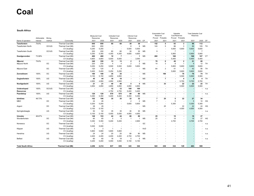**South Africa**

|                           |              |           |                          |                         |                          |                          |                          |                          |                |           | <b>Extractable Coal</b>  |                          | Saleable                 |                          | <b>Total Saleable Coal</b> |                          |           |
|---------------------------|--------------|-----------|--------------------------|-------------------------|--------------------------|--------------------------|--------------------------|--------------------------|----------------|-----------|--------------------------|--------------------------|--------------------------|--------------------------|----------------------------|--------------------------|-----------|
|                           |              |           |                          | <b>Measured Coal</b>    |                          | <b>Indicated Coal</b>    |                          | <b>Inferred Coal</b>     |                |           | Reserves                 | Proved Probable          | <b>Coal Reserves</b>     | Probable                 | Reserves                   |                          |           |
|                           | Attributable | Mining    |                          | Resources               |                          | Resources                |                          | Resources                |                |           |                          |                          | Proved                   |                          |                            |                          |           |
| Name of operation         | interest     | method    | Commodity                | 2021                    | 2020                     | 2021                     | 2020                     | 2021                     | 2020           | CP        | 2021                     | 2021                     | 2021                     | 2021                     | 2021                       | 2020                     | <b>CP</b> |
| Tweefontein               | 79.8%        |           | Thermal Coal (Mt)        | 840                     | 850                      | 60                       | 60                       | 38                       | 38             |           | 152                      | 5                        | 93                       | 3                        | 96                         | 112                      |           |
| <b>Tweefontein North</b>  |              | OC/UG     | Thermal Coal (Mt)        | 640                     | 650                      |                          |                          | 8                        | 8              | MS        | 143                      | 5                        | 86                       | 3                        | 89                         | 105                      | TH        |
|                           |              |           | CV (kcal/kg)             | 5,250                   | 5,250                    | $\overline{\phantom{a}}$ | $\overline{\phantom{a}}$ | 5,500                    | 5,500          |           |                          |                          | 5,600                    | 5,600                    | 5,600                      | 5,600                    |           |
| <b>Tweefontein South</b>  |              | OC/UG     | Thermal Coal (Mt)        | 200                     | 200                      | 60                       | 60                       | 30                       | 30             | <b>MS</b> | 9                        |                          | $\overline{7}$           |                          | $\overline{7}$             | $\overline{7}$           |           |
|                           |              |           | CV (kcal/kg)             | 5,350                   | 5,350                    | 4,350                    | 4,350                    | 4,600                    | 4,600          |           |                          |                          | 5,900                    | $\overline{\phantom{a}}$ | 5,900                      | 5,900                    |           |
| Goedgevonden              | 73.99%       |           | Thermal Coal (Mt)        | 460                     | 480                      | 10                       | $\overline{7}$           | $\overline{\phantom{a}}$ | 1              | МS        | 260                      | $\overline{\phantom{a}}$ | 168                      | $\overline{\phantom{a}}$ | 168                        | 167                      | СT        |
|                           |              |           | CV (kcal/kg)             | 4,800                   | 4,800                    | 5,000                    | 5,000                    |                          | 3,540          |           | $\overline{\phantom{a}}$ |                          | 5,400                    | $\overline{\phantom{a}}$ | 5,400                      | 5,400                    |           |
| iMpunzi                   | 79.8%        |           | Thermal Coal (Mt)        | 340                     | 350                      | 13                       | 13                       | $\overline{2}$           | $\overline{2}$ |           | 78                       | 6                        | 49                       | 2                        | 51                         | 68                       |           |
| iMpunzi North             |              | ОC        | Thermal Coal (Mt)        | 220                     | 230                      | 4                        | $\overline{4}$           | $\overline{2}$           | 2              | <b>MS</b> | 14                       | 3                        | 8                        | $\mathbf{1}$             | 9                          | 12                       | TH        |
|                           |              |           | CV (kcal/kg)             | 5,250                   | 5,250                    | 5,500                    | 5,500                    | 5,600                    | 5,600          |           |                          |                          | 5,600                    | 5,600                    | 5,600                      | 5.600                    |           |
| iMpunzi East              |              | OC        | Thermal Coal (Mt)        | 120                     | 120                      | 9                        | 9                        | $\overline{\phantom{a}}$ |                | <b>MS</b> | 64                       | 3                        | 41                       | $\overline{1}$           | 42                         | 56                       | TH        |
|                           |              |           | CV (kcal/kg)             | 5,400                   | 5,400                    | 5,250                    | 5,250                    |                          |                |           | $\overline{\phantom{a}}$ | $\overline{\phantom{a}}$ | 5,600                    | 5,600                    | 5,600                      | 5,600                    |           |
| Zonnebloem                | 100%         | OC        | Thermal Coal (Mt)        | 180                     | 190                      | 35                       | 35                       | $\overline{\phantom{a}}$ |                | <b>MS</b> | $\overline{\phantom{a}}$ | 160                      |                          | 76                       | 76                         | 74                       | <b>TH</b> |
|                           |              |           | CV (kcal/kg)             | 5,150                   | 5,150                    | 4,850                    | 4,850                    | $\overline{\phantom{a}}$ |                |           |                          |                          |                          | 5,500                    | 5,500                      | 5,500                    |           |
| Oogiesfontein             | 100%         | <b>UG</b> | Thermal Coal (Mt)        | 45                      | 44                       | 18                       | 18                       | $\overline{\phantom{a}}$ | $\blacksquare$ | <b>MS</b> | $\overline{\phantom{a}}$ | $\overline{7}$           | $\overline{\phantom{a}}$ | 4                        | $\boldsymbol{A}$           | 4                        | <b>TH</b> |
|                           |              |           | CV (kcal/kg)             | 4,950                   | 4,950                    | 4,950                    | 4,950                    | $\overline{\phantom{a}}$ |                |           | $\overline{\phantom{a}}$ | $\overline{\phantom{a}}$ | $\overline{\phantom{a}}$ | 5,700                    | 5,700                      | 5,700                    |           |
| Nooitgedacht              | 100%         | UG        | Thermal Coal (Mt)        | 21                      | 21                       | 40                       | 40                       | 5                        | 5              | MS        |                          | 33                       | $\overline{\phantom{a}}$ | 22                       | 22                         | 22                       | TH        |
|                           |              |           | CV (kcal/kg)             | 4,850                   | 4,850                    | 4,850                    | 4,850                    | 4,850                    | 4.850          |           |                          |                          |                          | 5,500                    | 5.500                      | 5,500                    |           |
| Undeveloped               | 100%         | OC/UG     | Thermal Coal (Mt)        |                         |                          | 12                       | 12                       | 100                      | 100            |           |                          |                          |                          |                          |                            |                          | n.a.      |
| <b>Resources</b>          |              |           | CV (kcal/kg)             |                         | $\overline{\phantom{a}}$ | 4,750                    | 4,750                    | 5,400                    | 5,400          |           |                          |                          |                          |                          |                            |                          |           |
| Paardekop                 | 100%         | UG        | Thermal Coal (Mt)        | 120                     | 120                      | 570                      | 575                      | 80                       | 80             | <b>MS</b> |                          |                          |                          | $\overline{\phantom{a}}$ |                            | $\overline{\phantom{a}}$ | n.a.      |
|                           |              |           | CV (kcal/kg)             | 5,350                   | 5,350                    | 5,400                    | 5,400                    | 5,350                    | 5,350          |           |                          |                          |                          |                          |                            |                          |           |
| Izimbiwa                  | 48.73%       |           | Thermal Coal (Mt)        | 102                     | 106                      | 35                       | 35                       | 32                       | 32             |           | $\overline{7}$           | 25                       | 5                        | 22                       | 27                         | 34                       |           |
| <b>MBO</b>                |              | ОC        | Thermal Coal (Mt)        | 24                      | 26                       |                          |                          | $\overline{2}$           | $\overline{2}$ | <b>MS</b> | $\overline{7}$           |                          | 5                        | $\overline{\phantom{a}}$ | 5                          | 10                       | HG        |
|                           |              |           | CV (kcal/kg)             | 5,200                   | 5,200                    |                          |                          | 5,600                    | 5,600          |           |                          |                          | 5,300                    | $\overline{\phantom{a}}$ | 5,300                      | 5,300                    |           |
| Argent                    |              | OC        | Thermal Coal (Mt)        | 28                      | 28                       |                          |                          |                          |                | MS        |                          | 25                       |                          | 22                       | 22                         | 24                       | HG        |
|                           |              |           | CV (kcal/kg)             | 5,100                   | 5,100                    |                          | $\overline{a}$           |                          |                |           |                          |                          |                          | 4,500                    | 4,500                      | 4,500                    |           |
| Springboklaagte           |              | UG        | Thermal Coal (Mt)        | 50                      | 52                       | 35                       | 35                       | 30                       | 30             | <b>MS</b> |                          |                          |                          |                          |                            |                          | n.a.      |
|                           |              |           | CV (kcal/kg)             | 5,100                   | 5,100                    | 5,050                    | 5,050                    | 4,950                    | 4,950          |           |                          |                          |                          |                          |                            |                          |           |
| Umcebo                    | 48.67%       |           | Thermal Coal (Mt)        | 148                     | 153                      | 44                       | 44                       | 86                       | 86             |           | 25                       |                          | 19                       | $\blacksquare$           | 19                         | 27                       |           |
| Wonderfontein             |              | OC        | Thermal Coal (Mt)        | 60                      | 65                       | 5                        | 5                        | -1                       | 1              | <b>MS</b> | 25                       |                          | 19                       |                          | 19                         | 27                       | HG        |
|                           |              |           | CV (kcal/kg)             | 5,350                   | 5,350                    | 5,200                    | 5,200                    |                          | 4,900          |           |                          |                          | 4,700                    |                          | 4,700                      | 4,700                    |           |
| Norwesco                  |              | ОC        | Thermal Coal (Mt)        | $\overline{\mathbf{1}}$ | $\overline{1}$           |                          |                          |                          |                | GC        |                          |                          |                          |                          |                            |                          | n.a.      |
|                           |              |           | CV (kcal/kg)             | 5,000                   | 5.000                    |                          |                          |                          |                |           |                          |                          |                          |                          |                            |                          |           |
| Klippan                   |              | UG        | Thermal Coal (Mt)        | 3                       | 3                        | $\mathbf{1}$             | $\overline{1}$           |                          |                | KvD       |                          |                          |                          |                          |                            |                          | n.a.      |
|                           |              |           | CV (kcal/kg)             | 5,800                   | 5,800                    | 5,800                    | 5,800                    |                          |                |           |                          |                          |                          |                          |                            |                          |           |
| Hendrina                  |              | UG        | Thermal Coal (Mt)        | 24                      | 24                       | 20                       | 20                       | 80                       | 80             | MS        |                          |                          |                          |                          |                            |                          | n.a.      |
|                           |              |           | CV (kcal/kg)             | 4,400                   | 4,400                    | 4,400                    | 4,400                    | 4,700                    | 4,700          |           |                          |                          |                          |                          |                            |                          |           |
| <b>Belfast</b>            |              | UG        | Thermal Coal (Mt)        | 60                      | 60                       | 18                       | 18                       | 5                        | 5              | <b>MS</b> |                          |                          |                          |                          |                            |                          | n.a.      |
|                           |              |           | CV (kcal/kg)             | 5,200                   | 5,200                    | 5,050                    | 5,050                    | 5,150                    | 5,150          |           |                          |                          |                          |                          |                            |                          |           |
|                           |              |           |                          |                         |                          |                          |                          |                          |                |           |                          |                          |                          |                          |                            |                          |           |
| <b>Total South Africa</b> |              |           | <b>Thermal Coal (Mt)</b> | 2,256                   | 2,314                    | 837                      | 839                      | 343                      | 344            |           | 522                      | 236                      | 334                      | 129                      | 463                        | 508                      |           |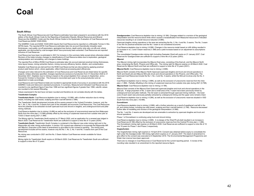#### **South Africa**

The South African Coal Resources and Coal Reserve estimates have been prepared in accordance with the 2016 edition of the South African Code for the Reporting of Exploration Results, Mineral Resources and Mineral Reserves (the SAMREC Code) and the South African Guide to the Systematic Evaluation of Coal Resources and Coal Reserves (SANS 10320:2004).

The SAMREC Code and SANS 10320:2004 require that Coal Resources be reported on a Mineable Tonnes In Situ (MTIS) basis. The reported MTIS Coal Resource estimates take into account theoretically mineable seam thicknesses, coal quality cut-off parameters, geological loss factors, depth and/or strip ratio cut-offs and, where applicable, are discounted by coal tonnages which have previously been extracted. Coal Resources are reported inclusive of Coal Reserves.

Coal Resources have been re-estimated in 2021 for inclusion in this summary table except where otherwise stated. Revision of the totals includes changes to classifications of Coal Resource status due to exploration, geological reinterpretation and remodelling, and changes to lease holdings.

The reported Run-of-Mine (ROM) Coal Reserve estimates take into account planned practical mining thicknesses, mine layout losses, mining extraction factors, mining recovery efficiency factors, dilution, and contamination.

Saleable Coal Reserves are derived from the ROM Coal Reserves that are discounted by applying practical product yield factors which, where applicable, reflect historical processing plant efficiencies.

Changes and notes relevant to the estimation of Coal Resources and Coal Reserves are listed below for specific projects. Unless otherwise specified, changes reported are exclusive of production from 31 December 2020 to 31 December 2021. Depletion due to mining is based on the actual depletion from January to September, and a forecast for October to December. This forecast is reconciled each year to the actual production and an adjustment is made accordingly.

Coal Resource and Coal Reserve totals are rounded to appropriate levels of accuracy in accordance with the 2016 SAMREC Code and Glencore's standard procedures. In summary, Measured and Indicated Coal Resources are rounded to one significant figure if less than 10Mt and two significant figures if greater than 10Mt; calorific values are rounded to the nearest 50kcal/kg.

Values expressed in the text have not been rounded and therefore do not correlate directly with the tables.

#### **Tweefontein Complex**

**Tweefontein North:** Coal Resource depletion due to mining (-10.0Mt), with a further reduction due to mining losses, including low wall losses, scalping and floor coal left behind (1.0Mt).

The Tweefontein North development includes all five seams present in the Vryheid Formation, however, only the No.1, No. 2, No. 4 and No. 5 seams form part of the mineable and economic Coal Resources. The Coal Resources have the potential to be extracted via both opencast truck and shovel or dragline, and underground bord and pillar mining methods.

Coal Reserve depletion due to mining (-9.4Mt) as well as the exclusion of uneconomical reserves from Makoupan North from the mine plan (-13.5Mt) partially offset by the mining of unplanned reserves from outside mine plan at TUGO 2 Seam during 2021 (1.0Mt)

The Mining right for Tweefontein North expired on 27 March 2020, and an application for a renewal was lodged in March 2020. Coal Reserves for Tweefontein North are sufficient to support a mine life of 13 years (2034).

**Tweefontein South:** Tweefontein South Complex is contained in the iMpunzi new order mining right and in the Klippoortjie old order mining authorisation. A section 102 consent was obtained to incorporate the Klippoortjie MR into iMpunzi. Execution of the deed of amendment to give effect to the consent is pending. The mining area development includes all five seams, however only the No.1, No. 2, No. 4 and No. 5 seams form part of the Coal Resources.

No mining was conducted in 2021 and the No. 5 Seam Addcar Coal Reserves remain available for future extraction.

Mining rights for Tweefontein South expire on 28 March 2029. Coal Reserves for Tweefontein South are sufficient to support a mine life of 10 years.

**Goedgevonden:** Coal Resource depletion due to mining (-9.1Mt). Changes related to a revision of the geological interpretation and the resource block limits which caused a reclassification from Measured resources to Indicated resources resulting in an overall resource reduction (4.8Mt).

Opencast dragline mining operations in the area are extracting the No. 2, No. 4 and No. 5 seams. The No. 3 seam is too thin for practical extraction and the No.1 seam is not considered economic.

Coal Reserve depletion due to mining (-9.2Mt). Changes in the resource model based on infill drilling resulted in an increase in no. 2 and 5 Seam reserves (1.3Mt) and a yield increase based on an adjustment to assumptions (6.1Mt).

The consolidated Goedgevonden mining right (including Zaaiwater West) will expire on 21 January 2037. Coal Reserves for Goedgevonden are sufficient to support a mine life of 22 years (2043).

#### **iMpunzi**

The iMpunzi mining right incorporates the iMpunzi East area, consisting of the East pit, and the iMpunzi North area, comprising the North, Phoenix and Office pits. The mining right for iMpunzi expires on 28 March 2040. Coal Reserves for iMpunzi North and East are sufficient to support a mine life of 10 years (2031).

#### **iMpunzi North:** Coal Resource depletion due to mining (-3.6Mt).

iMpunzi North consists of the iMpunzi North Opencast (opencast dragline and truck and shovel operations in North and South pit) and iMpunzi Mini-pits (truck and shovel operations in the Phoenix, and Office pits). The Opencast Coal Resources include the No.1, No. 2 and No. 4 seams, whilst the Mini-pit involves only the No. 4 seam.

Coal Reserve depletion due to mining (-3.8Mt), as well as the exclusion of uneconomic reserves from the mine plan (-1.9Mt). Partially offsetting is the mining of unplanned reserves from outside mine plan during 2021 (0.7Mt). **iMpunzi East:** Coal Resource depletion due to mining (-4.1Mt).

iMpunzi East consists of the iMpunzi East Opencast (opencast dragline and truck and shovel operations in the East pit). A large proportion of No. 2 seam and a small area of No. 4 seam have been previously mined by underground bord and pillar methods. The full seam is extracted through opencast mining methods – the lower zone of each seam was previously partially extracted by underground mining and the upper zone remains intact.

Coal Reserve depletion due to mining (-4.2Mt), as well as the exclusion of uneconomic reserves situated in VDD South from the mine plan (-18.4Mt).

#### **Zonnebloem**

Coal Resource depletion due to mining (-0.9Mt), with a further reduction as a result of weathered coal left in the pit, and mining losses, including low wall losses, scalping and floor coal left behind (-2.7Mt). Resource decreased further after re-modelling and revision of the geological interpretation (-0.5Mt).

The No. 1 and No. 2 seams are developed and are amenable to extraction by opencast dragline and truck and shovel operations.

Phase 1 of Zonnebloem is continuing using truck and shovel mining.

Coal Reserve depletion due to mining (-0.6Mt). A re-design of the West Pit pit-shell resulted in an increase in Coal Reserves (8.1Mt) offset by the exclusion of uneconomic reserves from the Central Pit mine plan (-1.4Mt). The Zonnebloem mining right expires on 28 March 2039. Coal Reserves are sufficient to support a mine life of 10 and 19 years for Phase 1 and Phase 2 respectively.

#### **Oogiesfontein**

The Oogiesfontein mining right expired on 19 April 2018. Consent was obtained before expiry to consolidate the right under the Goedgevonden 169 mining right which expires on 21 January 2037. The deed of amendment to give effect to the consent was executed on 6 September 2018. The Environmental Management Programme and Water Use Licence have been approved.

There are no changes in Coal Resources or Coal Reserves for the current reporting period. A review of the rounding rules resulted in an amendment to the reported resource figure.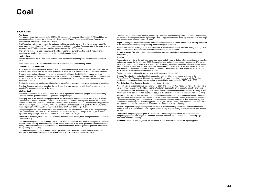#### **South Africa**

#### **Paardekop**

A new order mining right was granted in 2017 for 30 years and will expire on 19 August 2047. This right has not been executed due to an on-going dispute with Department of Mineral Resources and Energy. Approval of environmental licensing and permitting is awaited.

The Paardekop project area contains the Main seam which represents nearly 95% of the extractable coal. The seam has a mean thickness of 2.5m and is amenable to underground mining. The upper zone of the seam exhibits a relatively low CV whilst the lower zone has an average raw CV >5,300kcal/kg.

There are no changes in Coal Resources or Coal Reserves for the current reporting period. A review of the rounding rules resulted in an amendment to the reported resource figure.

#### **Nooitgedacht**

The No. 2 Seam and No. 4 Seam reserves represent a potential future underground extension to Tweefontein South.

There are no changes in Coal Resources or Coal Reserves for the current reporting period.

#### **Undeveloped Coal Resources**

Applications for mining rights have been submitted for all the undeveloped Coal Resources. The mining right for Amersfoort was granted and will expire on 30 May 2037, while the Boschmanspoort mining right is still pending.

The Amersfoort project is located in the southern sector of the Ermelo Coalfield in Mpumalanga province, southwest of Breyten. The Coal Resource estimate is based on the C seam which averages 2.5m in thickness and occurs at a depth of approximately 200m. The coal quality of the Amersfoort resource was re-evaluated and adjusted accordingly.

The Boschmanspoort project is located in the Witbank Coalfield in Mpumalanga province, southeast of Middelburg.

The Coal Resource estimate is based on the No. 2 seam that dips towards the east, therefore allowing some potential for opencast resources in the west.

#### **Izimbiwa Coal**

Izimbiwa Coal consists of a number of mines with a life of 4 years that have been grouped into the Middelburg Complex, and two greenfield projects, Argent and Springboklaagte.

The expiry date of the relevant mining rights are as follows: Graspan renewed and valid until 16 May 2029 and Graspan extension was valid until 22 March 2021. A renewal application was lodged on 28 February 2021 and remains pending. The Townlands and Steelcoal mining rights expired in July 2020, and the renewal applications were lodged in April 2020. The mining rights for Argent and Springboklaagte were granted in May 2016 for 15 years (expiring on 30 May 2031), and 20 years (expiring on 30 May 2036) respectively.

Springboklaagte is held as a Joint Venture between Izimbiwa Coal and Umcebo. 100% of the Springboklaagte Coal Reserves and Coal Resources are included in the table above. Springboklaagte is the subject of a sale agreement and pending Section 11 Application to cede the right to the buyer.

**Middelburg Complex (MBO):** Graspan, Townlands, Steelcoal and Corobrik, have been grouped into Middelburg Complex (MBO).

Coal Resource depletion due to mining (-2.1Mt). Coal Resource reduction as a result of mining losses, including low wall losses, scalping and floor coal left behind as well as coal left in the pit for geotechnical considerations (-2.4Mt). Gain in resources due to modifications applied to the resource model aligned to exploration results within the reporting period (1.8Mt).

Coal Reserve depletion due to mining (-2.4Mt). Updated Business Plan assumptions have resulted in the exclusion of uneconomical reserves in the Plant Reserve, MTC Block B and Steelcoal (-8.1Mt).

Graspan, Graspan Extension (Corobrik), Middelburg Townlands and Middelburg Townlands Extension (Steelcoal) are subject to a sale agreement and a pending Section 11 application to cede these rights to the buyer. The target date for completion of the transfer is H1 2022.

**Argent:** The Argent Coal Resource will be exploited through opencast truck and shovel and is awaiting finalisation of the environmental licensing and permitting before mining can commence.

Reserve loss due to a re-design of the pit-shell in order to accommodate a more optimised mining layout (-1.5Mt). All saleable reserves allocated to domestic Eskom market as per the latest LOM.

**Springboklaagte**: The mining right for Springboklaagte has been granted and awaits environmental licensing and permitting.

#### **Umcebo**

The remaining mine life of the individual operations range up to 8 years while brownfield extensions and greenfield projects can extend the life to beyond 2036. Expiry date of relevant mining/concession licenses are different for each mine, ranging from October 2020 to March 2037. Renewals have been granted for Klippan (renewal granted until 25 September 2022) and Norwesco (renewal granted until 3 October 2020). A second renewal application was submitted in September 2020 and is pending. Norwesco is the subject of a sale agreement and a Section 11 Application to cede the right to the buyer is pending.

The Wonderfontein mining right, held by Umsimbithi, expires on 2 June 2037.

**Klippan**: The mine is currently closed but represents a potential future underground extension to the Wonderfontein Coal Resources. Klippan is the subject of a sale agreement in respect of which the Section 11 Application documents are in preparation and are expected to be submitted to the DMRE by Q1 2022.

#### **Wonderfontein**: Coal Resource depletion due to mining (-2.8Mt).

Wonderfontein is an opencast truck and shovel operation. The opencast Coal Resources include the No.1, No. 2, No. 3 and No. 4 seams. The Coal Reserves for Wonderfontein are sufficient to support a mine life of 9 years.

Coal Reserve depletion due to mining (-3.0Mt) as well as exclusion of the uneconomic reserves in Pit D (-10.3Mt). An increase in the footprint of Pit A due to a re-design of the pit-shell has resulted in a reserve increase (1.4Mt).

**Hendrina**: The project area is located south of the town of Hendrina in the province of Mpumalanga. The mining right application covers three discrete blocks of ground named Mooivley East, Mooivley West and Bosmanskrans. The area is traversed by the national road N11 which connects Hendrina and Ermelo. The Hendrina Project is envisaged as an underground mine to supply an Eskom-type product. A mining right application was accepted by the Department of Mineral Resources in June 2016. The application remains pending.

**Belfast**: The prospecting right encompasses a number of blocks extending approximately 45km from east of Belfast to west of Wonderfontein. The N4 highway, the Gauteng-Maputo railway and Eskom power lines traverse the area

The renewed prospecting right expired in October 2017. A mining right application, covering parts of the prospecting right area, was lodged in September 2017 and accepted on 11 October 2017. The mining right application outcome is pending.

**Norwesco:** There are no changes in Coal Resources or Coal Reserves for the current reporting period.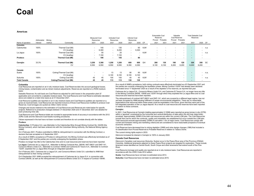#### **Americas**

|                     |              |                                 | <b>Measured Coal</b>     |                          | <b>Indicated Coal</b>    |       | Inferred Coal |                          |           | <b>Extractable Coal</b><br>Reserves |                          | Saleable<br>Coal Reserves |                          | <b>Total Saleable Coal</b><br>Reserves |       |           |
|---------------------|--------------|---------------------------------|--------------------------|--------------------------|--------------------------|-------|---------------|--------------------------|-----------|-------------------------------------|--------------------------|---------------------------|--------------------------|----------------------------------------|-------|-----------|
|                     | Attributable | Mining                          | Resources                |                          | Resources                |       | Resources     |                          |           | Proved                              | Probable                 | Proved                    | Probable                 |                                        |       |           |
| Name of operation   | interest     | method<br>Commodity             | 2021                     | 2020                     | 2021                     | 2020  | 2021          | 2020                     | <b>CP</b> | 2021                                | 2021                     | 2021                      | 2021                     | 2021                                   |       | 2020 CP   |
| Colombia            |              |                                 |                          |                          |                          |       |               |                          |           |                                     |                          |                           |                          |                                        |       |           |
| Calenturitas        | 100%         | Thermal Coal (Mt)               | $\sim$                   | 140                      | $\sim$                   | 130   | ۰             | 60                       | KJW       | $\overline{\phantom{a}}$            |                          | $\overline{\phantom{a}}$  |                          |                                        |       | - n.a     |
|                     |              | CV (kcal/kg)                    | $\overline{\phantom{a}}$ | 6,300                    | $\overline{\phantom{a}}$ | 6,250 | ۰.            | 6,300                    |           |                                     |                          | $\overline{\phantom{a}}$  | $\overline{\phantom{a}}$ |                                        |       |           |
| La Jagua            | 100%         | Thermal Coal (Mt)               | $\overline{\phantom{a}}$ | 50                       | $\overline{\phantom{a}}$ | 25    | ٠             |                          | KJW       | $\overline{\phantom{a}}$            |                          | $\overline{\phantom{a}}$  | $\overline{\phantom{a}}$ |                                        |       | - n.a     |
|                     |              | CV (kcal/kg)                    | $\overline{\phantom{a}}$ | 7,100                    | $\sim$                   | 7,100 | ۰             | $\overline{\phantom{a}}$ |           | $\overline{\phantom{a}}$            |                          | $\overline{\phantom{a}}$  | $\overline{\phantom{0}}$ |                                        |       |           |
| Prodeco             |              | <b>Thermal Coal (Mt)</b>        | $\overline{\phantom{a}}$ | 190                      | $\sim$                   | 155   | ۰             | 60                       |           | $\overline{\phantom{a}}$            |                          | $\,$                      | $\overline{\phantom{a}}$ | $\overline{\phantom{0}}$               |       |           |
| Cerrejón            | 33.3%        | <b>Thermal Coal (Mt)</b>        | 3,250                    | 3,300                    | 1,250                    | 1,250 | 600           | 600                      | GH        | 200                                 | 130                      | 190                       | 120                      | 320                                    | 350   | <b>SC</b> |
|                     |              | CV                              | 6,550                    | 6,550                    | 6,550                    | 6,550 | 6,350         | 6,350                    |           | 6,100                               | 6,100                    | 6,200                     | 6,200                    | 6,200                                  | 6,200 |           |
| Canada              |              |                                 |                          |                          |                          |       |               |                          |           |                                     |                          |                           |                          |                                        |       |           |
| Suska               | 100%         | Coking/Thermal Coal (Mt)        |                          |                          | 13                       | 13    | 90            | 90                       | KJW       |                                     |                          |                           |                          |                                        |       | n.a.      |
|                     |              | CV (kcal/kg)                    | $\overline{\phantom{a}}$ | $\overline{\phantom{a}}$ | 6,100                    | 6,100 | 6,100         | 6,100                    |           |                                     |                          | $\overline{\phantom{a}}$  | $\overline{\phantom{0}}$ | $\overline{\phantom{a}}$               |       |           |
| Sukunka             | 100%         | Coking Coal (Mt)                | 45                       | 45                       | 100                      | 100   | 40            | 40                       | KJW       | $\overline{\phantom{a}}$            | $\overline{\phantom{a}}$ | $\overline{\phantom{a}}$  | $\overline{\phantom{0}}$ |                                        |       | n.a.      |
| <b>Total Canada</b> |              | <b>Coking/Thermal Coal (Mt)</b> | 45                       | 45                       | 113                      | 113   | 130           | 130                      |           |                                     |                          | $\,$                      | $\overline{\phantom{a}}$ | $\overline{\phantom{0}}$               |       |           |

#### **Colombia**

 Coal Resources are reported on an in situ moisture basis. Coal Reserves take into account geological losses, mining losses, contamination and as mined moisture adjustments. Reserves are reported on a ROM moisture basis.

Saleable Reserves: As sold basis are Coal Reserves adjusted for yield losses in the preparation plant (if applicable) and converted to a saleable moisture basis. The Coal Resource and Coal Reserve estimates tabulated above are stated on a total mine basis as at 31 December 2021.

Coal Resource qualities are reported on an in situ moisture basis and Coal Reserve qualities are reported on a gross as received basis. Coal Resources are reported inclusive of those Coal Resources modified to produce Coal Reserves. Coal tonnages are quoted as million metric tonnes

Changes and issues material to the estimation of Coal Resources and Reserves are noted below for specific projects. Reference to production changes between 31 December 2020 and 31 December 2021 are detailed for each producing mine site.

Coal Resource and Coal Reserve totals are rounded to appropriate levels of accuracy in accordance with the 2012 JORC Code and the Glencore Coal Assets rounding procedures.

Values expressed in the text have not been rounded and therefore do not correlate directly with the tables **Prodeco**

**Calenturitas**: CI Prodeco S.A. was titleholder to the Calenturitas Mine through Mining Contract No. 044/89 (the Mining Contract), which had been entered into with the Colombian Mining Authority, the National Mining Agency (ANM).

On 4 February 2021, Prodeco submitted to ANM its relinquishment in connection with the Mining Contract, a decision that was accepted on 6 September 2021.

As a result of ANM's acceptance of Prodeco's relinquishment, the Mining Contract was effectively terminated as of 6 September 2021 and the parties are currently undergoing the liquidation phase.

Prodeco no longer has title to the Calenturitas mine and no coal resources and reserves have been reported. **La Jagua:** Carbones de La Jagua S.A., titleholder to Mining Contracts Nos. 285/95, HKT-08031 and DKP-141, Consorcio Minero Unido S.A., titleholder to Contract 109/90 and Carbones El Tesoro S.A., titleholder to Contract

132/97, exploited the La Jagua Mine through an integrated operation. On 4 February 2021, Carbones de La Jagua S.A. and Consorcio Minero Unido S.A. submitted to ANM their

relinquishment to their mining contracts.

On 6 September 2021 ANM accepted the relinquishment of Carbones de La Jagua S.A. in connection with Contract 285/95, as well as the relinquishment of Consorcio Minero Unido S.A. in respect of Contract 109/90.

As a result of ANM's acceptance, both mining contracts were effectively terminated as of 6 September 2021 and the parties are currently undergoing the liquidation phase. Mining Contract 132/97 had already been declared terminated since 17 September 2020 as a result of the depletion of its reserves, as reported last year.

Carbones de La Jagua S.A., Consorcio Minero Unido S.A. and Carbones El Tesoro S.A. no longer have any title to the Mining Contracts 285/95, 109/90 and 132/97 through which they exploited the La Jagua Mine and no coal resources and reserves have been reported.

The relinquishment of contract HKT-08031 and DKP-141, which are covered by a different legal regime, has not yet been accepted by ANM pending fulfilment of certain environmental obligations. There are no reasonable expectations that resources within these areas could be exploitable in the future, given that they were part of the full integrated operation of the La Jagua deposit. As a result no coal resources and reserves have been reported in relation to these contracts.

#### **Cerrejón:**

In 2021, Coal Resources at Cerrejón totalling approximately 5,100Mt were reported as gross tonnes in situ (GTIS) within a 'geoshell' constrained by the horizontal and vertical distribution of data within the drill hole (data limits) envelope. Approximately 350Mt of the total coal resources are within the current LOM plan. The Coal Resources include that coal for which the continuity, quality and mineability are established but occur outside the LOM plan. Total resources exclude approximately 230Mt of coal within 1 km of major towns. Coal Resources comply with current and foreseen mining and marketing criteria and are considered to have reasonable prospects of eventual economic extraction.

Coal Reserves have decreased due to mining depletion (24Mt) and mine design changes (-5Mt) that included a re-classification from Proved Reserves to Probable Reserves in relation to Tabaco Dome.

The current mining rights expire in 2033.

Glencore increased its interest in Cerrejón to 100% in January 2022.

#### **Canada Coal Resources**

Glencore's Canadian coal resources (Sukunka, Suska) occur in the Peace River area of the Province of British Columbia. Additional tenements adjacent to these Peace River projects are targeted for exploration. These include tenement areas identified as Central South, South Cirque and other tenements that extend south of the Pine River.

Coal Resource tonnage and quality are reported at an in situ moisture basis. Coal Resources are reported in accordance with the JORC Code 2012 edition.

**Suska**: Coal Resources have not been re-estimated since 2013.

**Sukunka:** Coal Resources have not been re-estimated since 2015.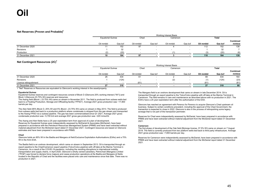#### **Net Reserves (Proven and Probable)1**

|                  |                          |         |           |         | Working Interest Basis |         |           |              |          |
|------------------|--------------------------|---------|-----------|---------|------------------------|---------|-----------|--------------|----------|
|                  | <b>Equatorial Guinea</b> |         | Chad      |         | Cameroon               |         |           | <b>Total</b> |          |
|                  |                          |         |           |         |                        |         |           |              | Combined |
|                  | Oil mmbbl                | Gas bcf | Oil mmbbl | Gas bcf | Oil mmbbl              | Gas bcf | Oil mmbbl | Gas bcf      | mmboe    |
| 31 December 2020 |                          | 152     | a7<br>ວ≀  | - -     |                        |         | 112       | 152          | 138      |
| Revisions        |                          | 32      |           | - -     |                        |         |           | 32           |          |
| Production       | (2)                      | (20)    |           |         |                        |         |           | (20)         | (6)      |
| 31 December 2021 | 10                       | 164     |           |         |                        |         | 110       | 164          | 139      |

#### **Net Contingent Resources (2C)<sup>1</sup>**

|                        |                          |         |           |                          | Working Interest Basis |         |           |         |          |
|------------------------|--------------------------|---------|-----------|--------------------------|------------------------|---------|-----------|---------|----------|
|                        | <b>Equatorial Guinea</b> |         | Chad      |                          | Cameroon               |         |           | Total   |          |
|                        |                          |         |           |                          |                        |         |           |         | Combined |
|                        | Oil mmbbl                | Gas bcf | Oil mmbbl | Gas bcf                  | Oil mmbbl              | Gas bcf | Oil mmbbl | Gas bcf | mmboe    |
| 31 December 2020       | 26                       | 434     |           | $\overline{\phantom{0}}$ |                        | . .     |           | 434     | 164      |
| Revisions              |                          | (124)   |           | $\overline{\phantom{0}}$ | (2)                    | . .     | (1)       | (124)   | (23)     |
| Licence relinquishment |                          |         | (61)      |                          |                        |         | (61)      |         | (61)     |
| 31 December 2021       | 27<br>"                  | 310     |           |                          |                        |         |           | 310     | 80       |

1 "Net" Reserves or Resources are equivalent to Glencore's working interest in the asset/property.

#### **Equatorial Guinea**

Equatorial Guinea reserves and contingent resources consist of Block O (Glencore 25% working interest ("WI")) and Block I (Glencore 23.75% WI) reserves and resources.

The Aseng field (Block I, 23.75% WI) came on stream in November 2011. The field is produced from subsea wells tied back to a Floating Production, Storage and Offloading facility ("FPSO"). Average 2021 gross production was ~17,800 barrels per day.

The Alen field (95% Block O, 25% WI and 5% Block I, 23.75% WI) came on stream in May 2013. The field is produced from subsea wells tied back to a production platform where condensate is stripped from the gas stream and transported to the Aseng FPSO via a subsea pipeline. The gas has been commercialised since Q1 2021. Average 2021 gross condensate production was ~5,700 b/d and average 2021 gross gas production was ~220 mmscf/d.

The Aseng and Alen fields have a 25 year exploitation term from approval of a plan of development. Reserves for Equatorial Guinea were independently assessed by McDaniel & Associates (McDaniel), have been prepared in accordance with the Petroleum Resources Management System (PRMS) and have been extracted without material adjustment from the McDaniel report dated 31 December 2021. Contingent resources are based on Glencore estimates and have been prepared in accordance with PRMS.

#### **Chad**

 Glencore holds an 85% WI in the Badila and Mangara oil field Exclusive Exploitation Authorisations (EXAs) and a 75% WI in the Krim EXA.

The Badila field is an onshore development, which came on stream in September 2013. Oil is transported through an export pipeline to the Chad/Cameroon export pipeline (Totco/Cotco pipeline) with off-take at the Marine Terminal in Cameroon. As a result of the COVID-19 pandemic, including the resulting disruptions to international mobility, transportation and supply chains, in April 2020, Glencore's wholly owned subsidiary, PetroChad (Mangara) Limited ("PCM") was forced to declare force majeure and cease production operations at the Badila and Mangara oil fields located in the Republic of Chad and the facilities were placed onto care and maintenance since that date. There was no production in 2021.

The Mangara field is an onshore development that came on stream in late December 2014. Oil is transported through an export pipeline to the Totco/Cotco pipeline with off-take at the Marine Terminal in Cameroon. The field remains in care and maintenance as described above with no production in 2021. The EXA's have a 25 year exploitation term after the authorisation of the EXA.

Glencore has reached an agreement with Perenco for Perenco to acquire Glencore's Chad upstream oil business. Subject to certain conditions precedent, including the approval of the Chad Government, the transaction is expected to close in 2022. Glencore is also in the process of relinquishing some legacy acreage that is not part of the transaction perimeter.

Reserves for Chad were independently assessed by McDaniel, have been prepared in accordance with PRMS and have been extracted without material adjustment from the McDaniel report dated 31 December 2021.

#### **Cameroon**

 The first phase of development of the Oak field (Bolongo license, 37.5% WI) came on stream on 7 August 2019. The field is currently produced from two platform wells tied back to third party infrastructure. Average 2021 gross production was ~7,800 barrels per day.

Reserves for Cameroon were independently assessed by McDaniel, have been prepared in accordance with PRMS and have been extracted without material adjustment from the McDaniel report dated 31 December 2021.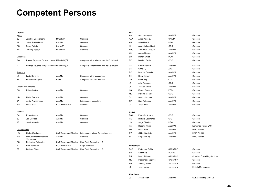## **Competent Persons**

| Copper           |                                            |                       |                                                           | Zinc        |                          |                |                                     |
|------------------|--------------------------------------------|-----------------------|-----------------------------------------------------------|-------------|--------------------------|----------------|-------------------------------------|
| Africa           |                                            |                       |                                                           | AA          | Arthur Almgren           | AusIMM         | Glencore                            |
| JE               | Jacobus Engelbrecht                        | MAusIMM               | Glencore                                                  | AAA         | Angel Angelov            | SAIMM          | Glencore                            |
| JP               | Julian Poniewierski                        | AusIMM                | Glencore                                                  | AH          | Allan Huard              | <b>PGO</b>     | Glencore                            |
| PO               | Paula Ogilvie                              | SANASP                | Glencore                                                  | AL          | Amanda Landriault        | OGQ            | Glencore                            |
| TR               | <b>Timothy Rijsdijk</b>                    | <b>MAusIMM</b>        | Glencore                                                  | <b>APC</b>  | Ana Paula Chiquini       | AusIMM         | Glencore                            |
|                  |                                            |                       |                                                           | AM          | Aaron Meakin             | AusIMM         | Glencore                            |
| Collahuasi       |                                            |                       |                                                           | <b>BD</b>   | <b>Benoit Drolet</b>     | PGO            | Glencore                            |
| <b>RO</b>        | Ronald Reycardo Ordezo Lozano MAusIMM(CP)  |                       | Compañía Minera Doña Inés de Collahuasi                   | <b>BF</b>   | <b>Bastien Fresia</b>    | <b>OGQ</b>     | Glencore                            |
| <b>RZ</b>        | Rodrigo Eduardo Zuñiga Ramírez MAusIMM(CP) |                       | Compañía Minera Doña Inés de Collahuasi                   | <b>CF</b>   | Callum Fannin            | AusIMM         | Glencore                            |
|                  |                                            |                       |                                                           | CH          | Chris Hy                 | AIG            | Glencore                            |
| Antamina         |                                            |                       |                                                           | DC          | Dhaniel Carvalho         | AusIMM         | Glencore                            |
| LC               | Lucio Canchis                              | AusIMM                | Compañía Minera Antamina                                  | DH          | <b>Drew Herbert</b>      | AusIMM         | Glencore                            |
| <b>FA</b>        | Fernando Angeles                           | <b>EGBC</b>           | Compañía Minera Antamina                                  | GR          | <b>Gilles Roy</b>        | <b>OGQ</b>     | Glencore                            |
|                  |                                            |                       |                                                           | JD          | Julie Drapeau            | OGQ            | Glencore                            |
|                  | Other South America                        |                       |                                                           | JS          | Jessica Shiels           | AusIMM         | Glencore                            |
| EC               | <b>Edwin Cortes</b>                        | AusIMM                | Glencore                                                  | KS          | Keiran Swanton           | PEO            | Glencore                            |
|                  |                                            |                       |                                                           | MM          | Maxime Menard            | OGQ            | Glencore                            |
| HB               | Heller Bernabé                             | AusIMM                | Glencore                                                  | SJ          | Simon Jackson            | AusIMM         | Glencore                            |
| JA               | Javier Aymachoque                          | AusIMM                | Independent consultant                                    | SP          | Sam Patterson            | AusIMM         | Glencore                            |
| ΜS               | Mario Saez                                 | <b>CCCRRM</b> (Chile) | Glencore                                                  | JT          | <b>Jody Todd</b>         | AusIMM         | Glencore                            |
| <b>Australia</b> |                                            |                       |                                                           | Nickel      |                          |                |                                     |
| EA               | Eliseo Apaza                               | AusIMM                | Glencore                                                  | <b>PSA</b>  | Pierre St Antoine        | <b>OGQ</b>     | Glencore                            |
| JС               | Jan Coetzee                                | AusIMM                | Glencore                                                  | RC          | <b>Richard Caumartin</b> | OIQ            | Glencore                            |
| JS               | Jessica Shiels                             | AusIMM                | Glencore                                                  | JO          | Jorge Oliveira           | <b>PGO</b>     | Glencore                            |
|                  |                                            |                       |                                                           | <b>RM</b>   | Roberto Menin            | AusIMM         | Koniambo Nickel SAS                 |
| Other projects   |                                            |                       |                                                           | $\sf MR$    | Mitch Rohr               | AusIMM         | MMO Pty Ltd.                        |
| <b>HW</b>        | <b>Herbert Welhener</b>                    |                       | SME Registered Member Independent Mining Consultants Inc. | <b>CW</b>   | <b>Clifford Webster</b>  | AusIMM         | MMO Pty Ltd.                        |
| ΜМ               | Manuel Octavio Machuca<br>Valderrama       | AusIMM                | Glencore                                                  | SK          | Stephen King             | AusIMM         | MMO Pty Ltd.                        |
| RS               | Richard A. Schwering                       |                       | SME Registered Member Hard Rock Consulting LLC            |             |                          |                |                                     |
| <b>RT</b>        | Raul Tarnovski                             | <b>CCCRRM</b> (Chile) | Anglo American                                            | Ferroalloys |                          |                |                                     |
| ZB               | Zachary Black                              |                       | SME Registered Member Hard Rock Consulting LLC            | <b>PJG</b>  | Pieter-Jan Gräbe         | <b>SACNASP</b> | Glencore                            |
|                  |                                            |                       |                                                           | SV          | Solly Vaid               | <b>PLATO</b>   | Glencore                            |
|                  |                                            |                       |                                                           | DR          | Dean Richards            | <b>SACNASP</b> | <b>Obsidian Consulting Services</b> |
|                  |                                            |                       |                                                           | MM          | Mogomotsi Maputle        | <b>SACNASP</b> | Glencore                            |
|                  |                                            |                       |                                                           | <b>SM</b>   | Sydney Maseti            | <b>SACNASP</b> | Glencore                            |
|                  |                                            |                       |                                                           | JС          | Jan Coetzer              | <b>SACNASP</b> | Mokala Manganese                    |

**Aluminium**

JB John Bower

AusIMM

OBK Consulting (Pty) Ltd